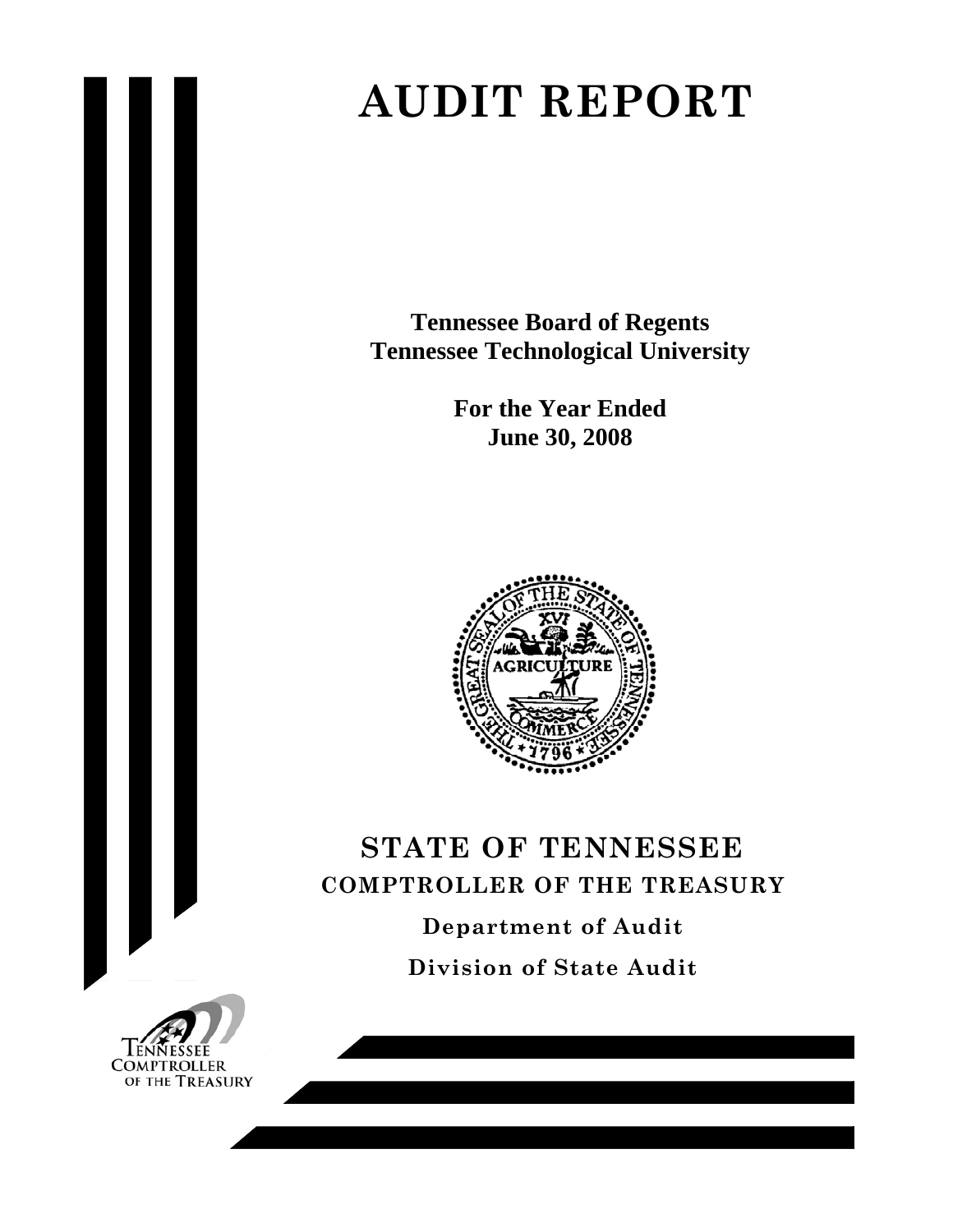# **AUDIT REPORT**

**Tennessee Board of Regents Tennessee Technological University** 

> **For the Year Ended June 30, 2008**



# **STATE OF TENNESSEE COMPTROLLER OF THE TREASURY Department of Audit**

**Division of State Audit** 

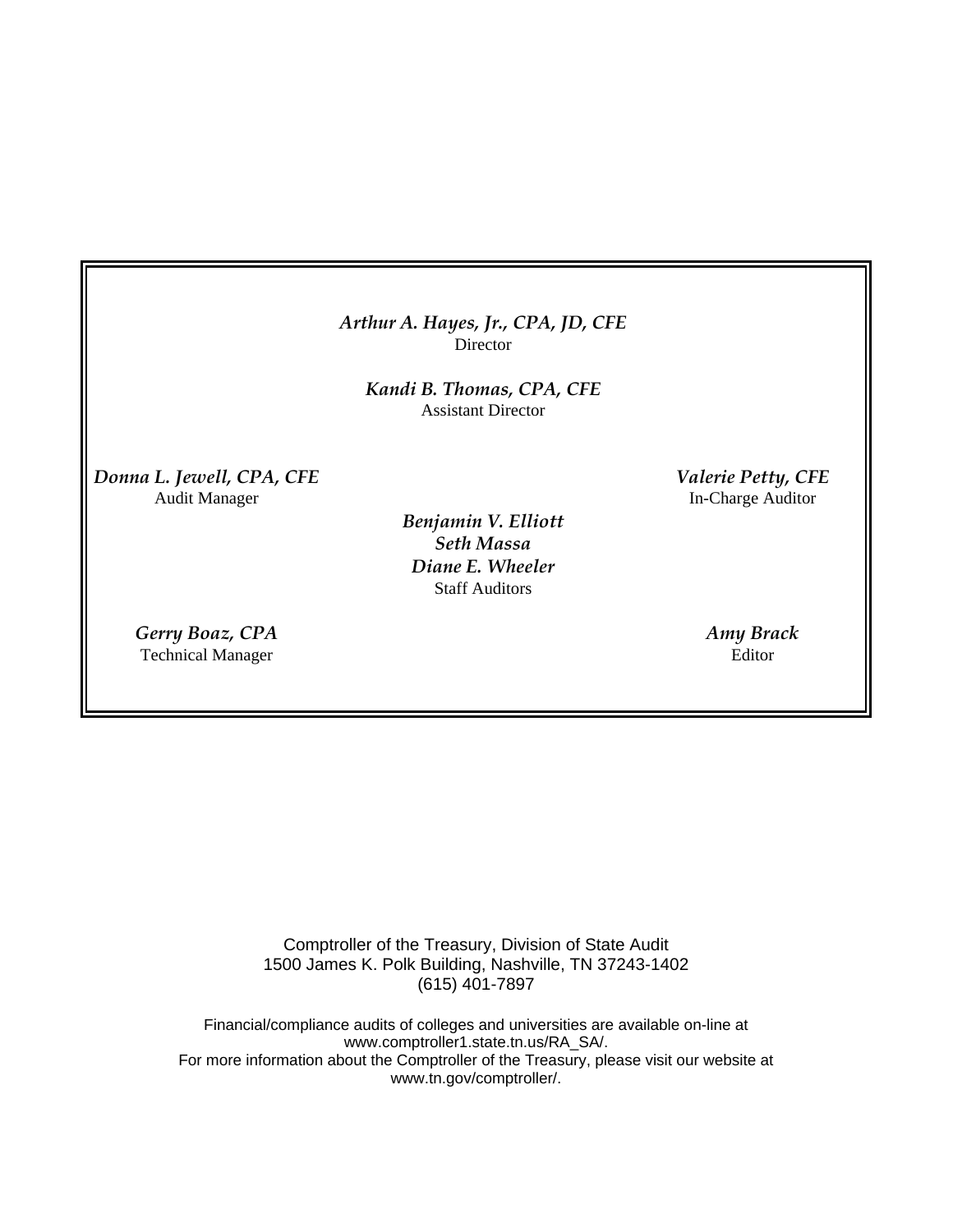## *Arthur A. Hayes, Jr., CPA, JD, CFE* Director

*Kandi B. Thomas, CPA, CFE*  Assistant Director

*Donna L. Jewell, CPA, CFE Valerie Petty, CFE*  Audit Manager In-Charge Auditor

> *Benjamin V. Elliott Seth Massa Diane E. Wheeler* Staff Auditors

*Gerry Boaz, CPA Amy Brack*  Technical Manager Editor

Comptroller of the Treasury, Division of State Audit 1500 James K. Polk Building, Nashville, TN 37243-1402 (615) 401-7897

Financial/compliance audits of colleges and universities are available on-line at www.comptroller1.state.tn.us/RA\_SA/. For more information about the Comptroller of the Treasury, please visit our website at www.tn.gov/comptroller/.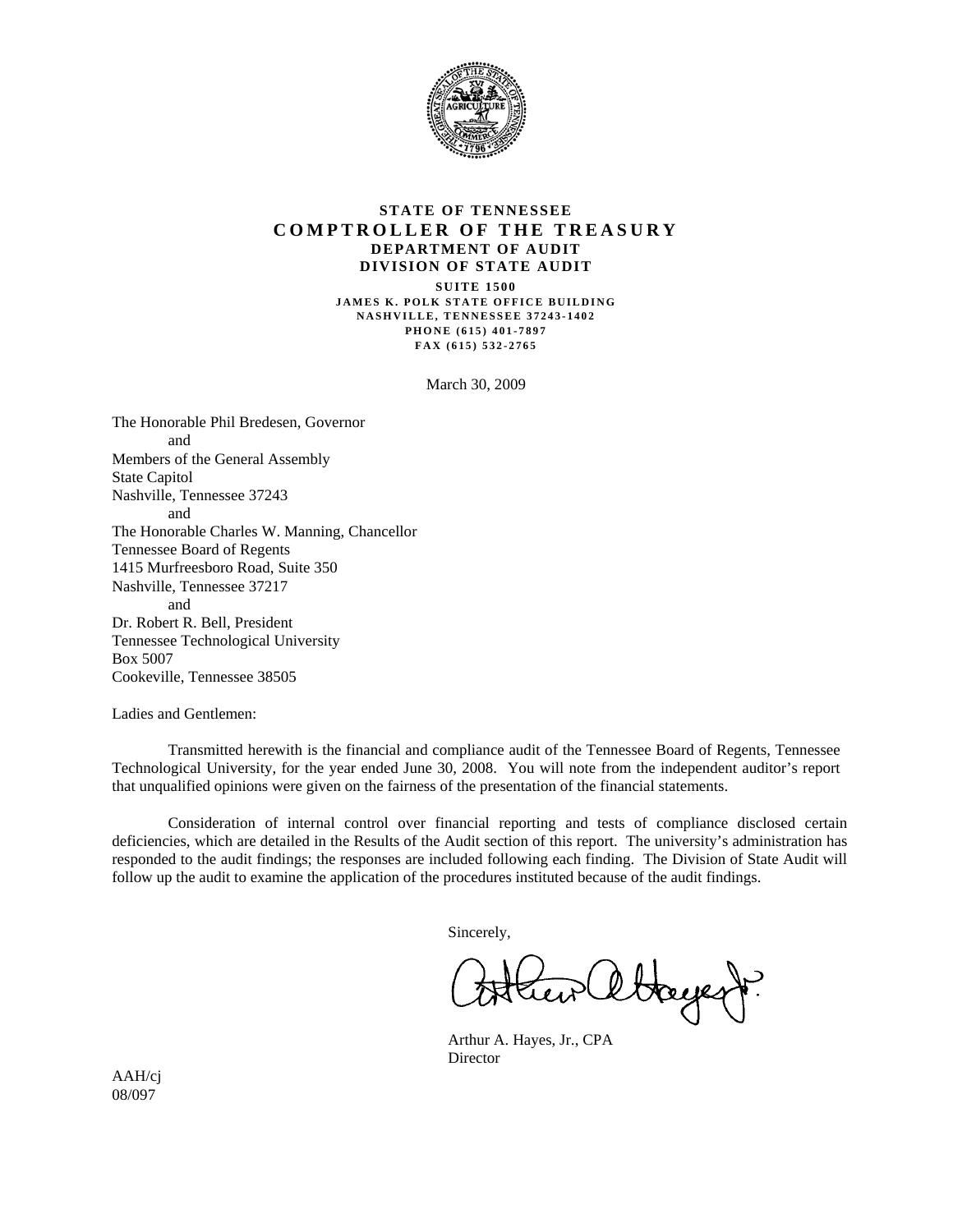

#### **STATE OF TENNESSEE COMPTROLLER OF THE TREASURY DEPARTMENT OF AUDIT DIVISION OF STATE AUDIT**

**SUITE 1500 JAMES K. POLK STATE OFFICE BUILDING NASHVILLE, TENNESSEE 37243-1402 PHONE (615) 401-7897 FAX (615) 532-2765** 

March 30, 2009

The Honorable Phil Bredesen, Governor and Members of the General Assembly State Capitol Nashville, Tennessee 37243 and The Honorable Charles W. Manning, Chancellor Tennessee Board of Regents 1415 Murfreesboro Road, Suite 350 Nashville, Tennessee 37217 and Dr. Robert R. Bell, President Tennessee Technological University Box 5007 Cookeville, Tennessee 38505

Ladies and Gentlemen:

 Transmitted herewith is the financial and compliance audit of the Tennessee Board of Regents, Tennessee Technological University, for the year ended June 30, 2008. You will note from the independent auditor's report that unqualified opinions were given on the fairness of the presentation of the financial statements.

 Consideration of internal control over financial reporting and tests of compliance disclosed certain deficiencies, which are detailed in the Results of the Audit section of this report. The university's administration has responded to the audit findings; the responses are included following each finding. The Division of State Audit will follow up the audit to examine the application of the procedures instituted because of the audit findings.

Sincerely,

Hayest.

 Arthur A. Hayes, Jr., CPA Director

AAH/cj 08/097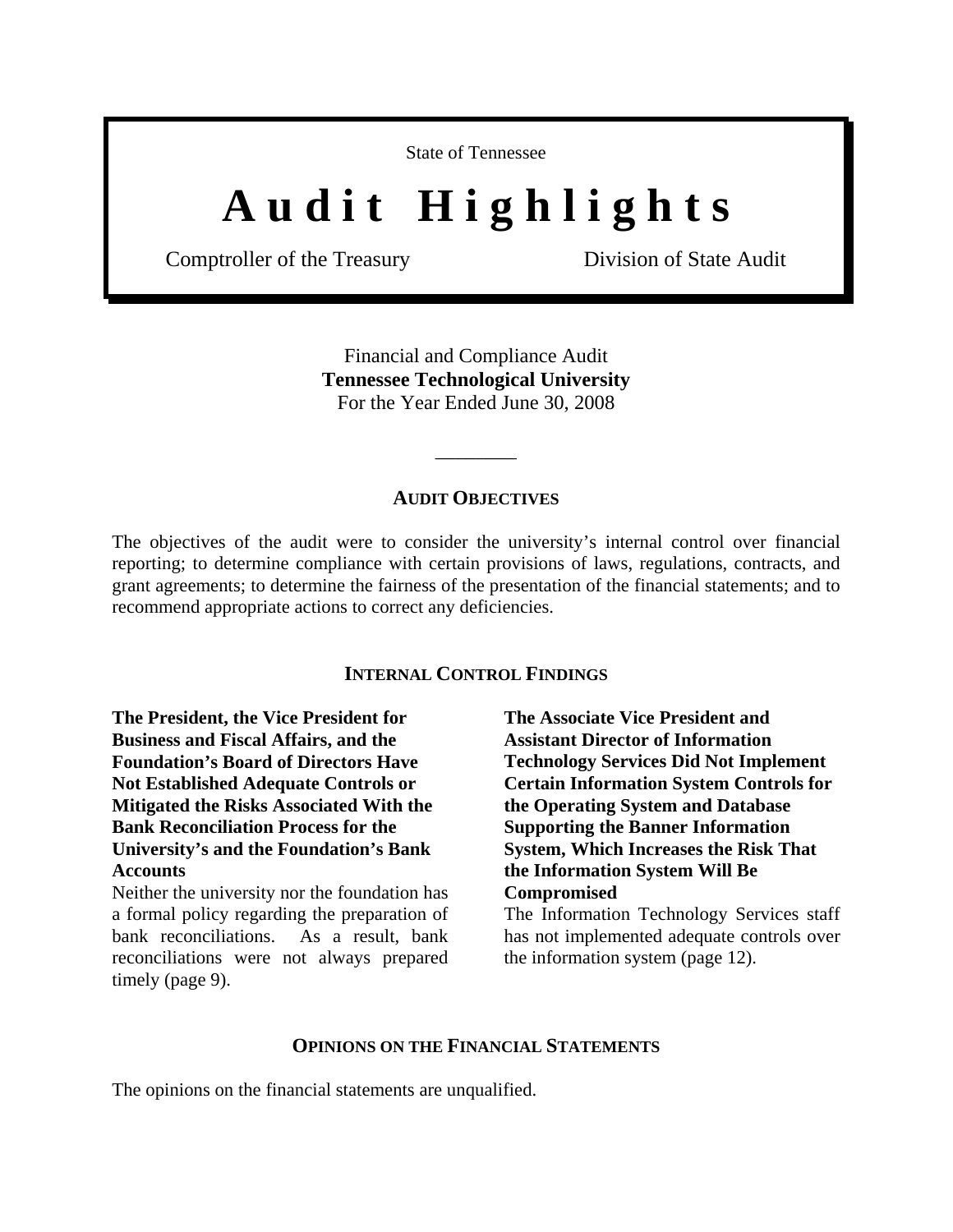State of Tennessee

# A u d i t H i g h l i g h t s

Comptroller of the Treasury Division of State Audit

Financial and Compliance Audit **Tennessee Technological University**  For the Year Ended June 30, 2008

#### **AUDIT OBJECTIVES**

\_\_\_\_\_\_\_\_

The objectives of the audit were to consider the university's internal control over financial reporting; to determine compliance with certain provisions of laws, regulations, contracts, and grant agreements; to determine the fairness of the presentation of the financial statements; and to recommend appropriate actions to correct any deficiencies.

#### **INTERNAL CONTROL FINDINGS**

**The President, the Vice President for Business and Fiscal Affairs, and the Foundation's Board of Directors Have Not Established Adequate Controls or Mitigated the Risks Associated With the Bank Reconciliation Process for the University's and the Foundation's Bank Accounts** 

Neither the university nor the foundation has a formal policy regarding the preparation of bank reconciliations. As a result, bank reconciliations were not always prepared timely (page 9).

**The Associate Vice President and Assistant Director of Information Technology Services Did Not Implement Certain Information System Controls for the Operating System and Database Supporting the Banner Information System, Which Increases the Risk That the Information System Will Be Compromised** 

The Information Technology Services staff has not implemented adequate controls over the information system (page 12).

## **OPINIONS ON THE FINANCIAL STATEMENTS**

The opinions on the financial statements are unqualified.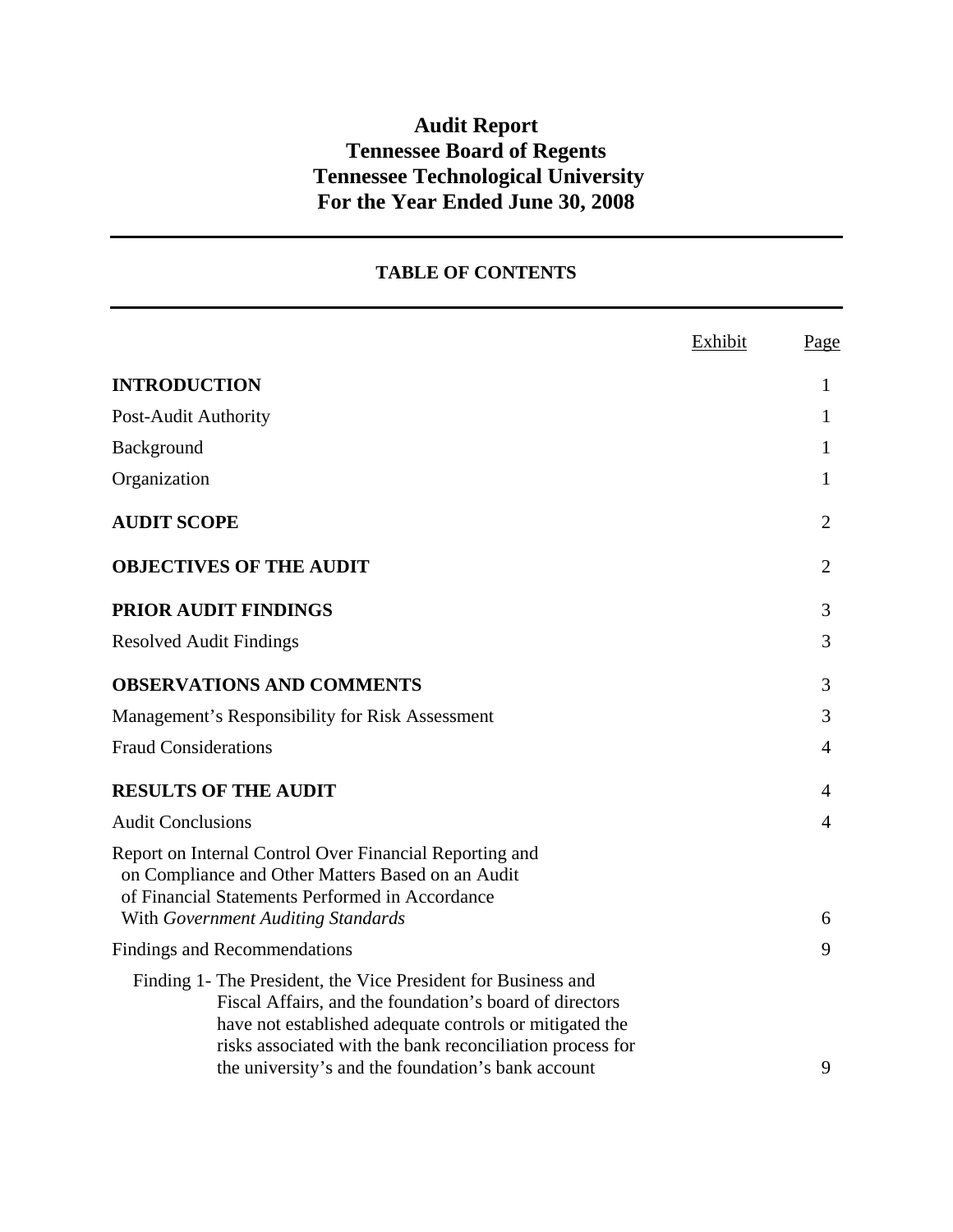# **Audit Report Tennessee Board of Regents Tennessee Technological University For the Year Ended June 30, 2008**

# **TABLE OF CONTENTS**

|                                                                                                                                                                                                                                                                                                        | Exhibit | Page           |
|--------------------------------------------------------------------------------------------------------------------------------------------------------------------------------------------------------------------------------------------------------------------------------------------------------|---------|----------------|
| <b>INTRODUCTION</b>                                                                                                                                                                                                                                                                                    |         | 1              |
| Post-Audit Authority                                                                                                                                                                                                                                                                                   |         | 1              |
| Background                                                                                                                                                                                                                                                                                             |         | 1              |
| Organization                                                                                                                                                                                                                                                                                           |         | 1              |
| <b>AUDIT SCOPE</b>                                                                                                                                                                                                                                                                                     |         | $\overline{2}$ |
| <b>OBJECTIVES OF THE AUDIT</b>                                                                                                                                                                                                                                                                         |         | $\overline{2}$ |
| <b>PRIOR AUDIT FINDINGS</b>                                                                                                                                                                                                                                                                            |         | 3              |
| <b>Resolved Audit Findings</b>                                                                                                                                                                                                                                                                         |         | 3              |
| <b>OBSERVATIONS AND COMMENTS</b>                                                                                                                                                                                                                                                                       |         | 3              |
| Management's Responsibility for Risk Assessment                                                                                                                                                                                                                                                        |         | 3              |
| <b>Fraud Considerations</b>                                                                                                                                                                                                                                                                            |         | 4              |
| <b>RESULTS OF THE AUDIT</b>                                                                                                                                                                                                                                                                            |         | 4              |
| <b>Audit Conclusions</b>                                                                                                                                                                                                                                                                               |         | 4              |
| Report on Internal Control Over Financial Reporting and<br>on Compliance and Other Matters Based on an Audit<br>of Financial Statements Performed in Accordance                                                                                                                                        |         |                |
| With Government Auditing Standards                                                                                                                                                                                                                                                                     |         | 6              |
| <b>Findings and Recommendations</b>                                                                                                                                                                                                                                                                    |         | 9              |
| Finding 1- The President, the Vice President for Business and<br>Fiscal Affairs, and the foundation's board of directors<br>have not established adequate controls or mitigated the<br>risks associated with the bank reconciliation process for<br>the university's and the foundation's bank account |         | 9              |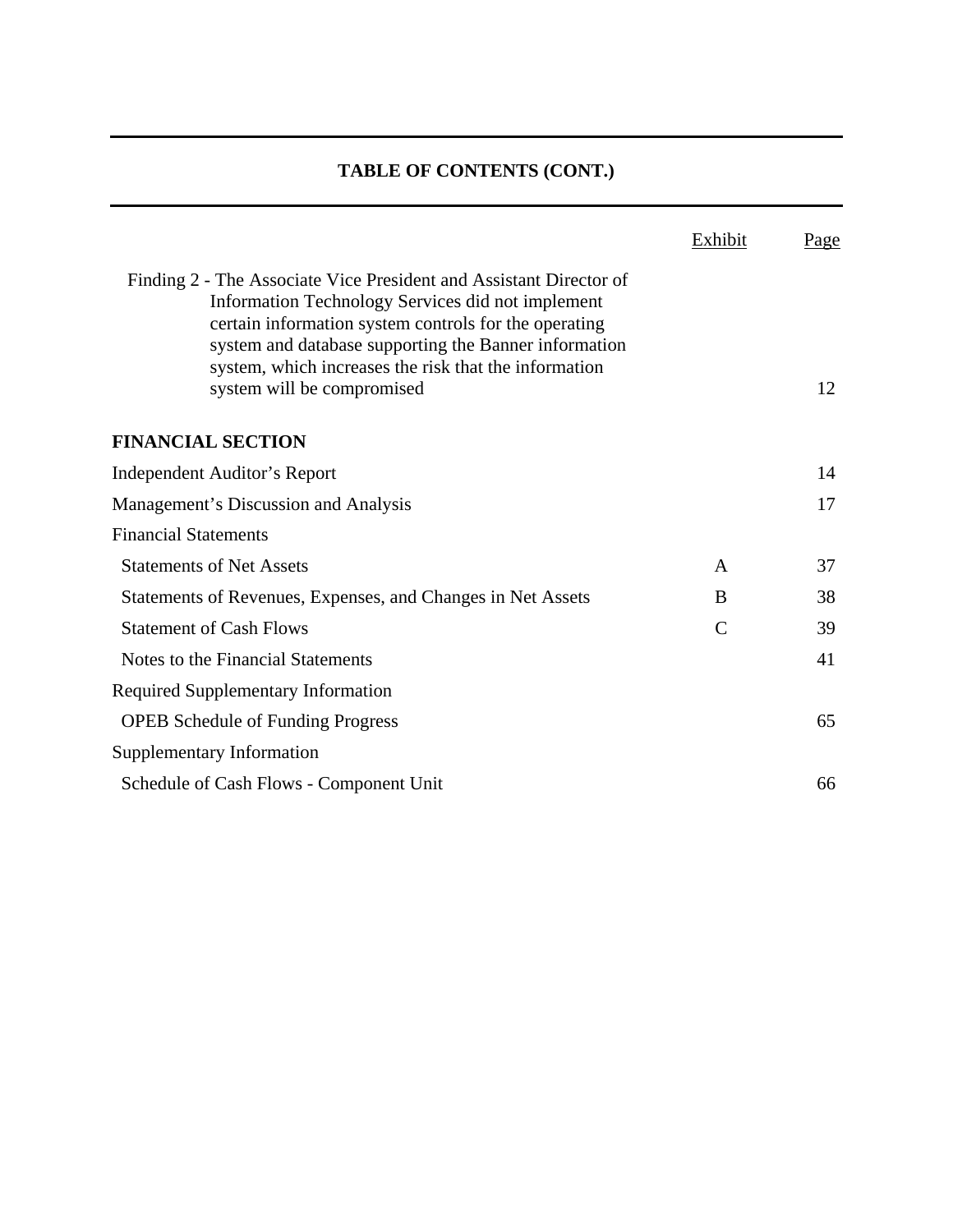# **TABLE OF CONTENTS (CONT.)**

|                                                                                                                                                                                                                                                                                                    | Exhibit       | <u>Page</u> |
|----------------------------------------------------------------------------------------------------------------------------------------------------------------------------------------------------------------------------------------------------------------------------------------------------|---------------|-------------|
| Finding 2 - The Associate Vice President and Assistant Director of<br>Information Technology Services did not implement<br>certain information system controls for the operating<br>system and database supporting the Banner information<br>system, which increases the risk that the information |               |             |
| system will be compromised                                                                                                                                                                                                                                                                         |               | 12          |
| <b>FINANCIAL SECTION</b>                                                                                                                                                                                                                                                                           |               |             |
| Independent Auditor's Report                                                                                                                                                                                                                                                                       |               | 14          |
| Management's Discussion and Analysis                                                                                                                                                                                                                                                               |               | 17          |
| <b>Financial Statements</b>                                                                                                                                                                                                                                                                        |               |             |
| <b>Statements of Net Assets</b>                                                                                                                                                                                                                                                                    | A             | 37          |
| Statements of Revenues, Expenses, and Changes in Net Assets                                                                                                                                                                                                                                        | B             | 38          |
| <b>Statement of Cash Flows</b>                                                                                                                                                                                                                                                                     | $\mathcal{C}$ | 39          |
| Notes to the Financial Statements                                                                                                                                                                                                                                                                  |               | 41          |
| <b>Required Supplementary Information</b>                                                                                                                                                                                                                                                          |               |             |
| <b>OPEB</b> Schedule of Funding Progress                                                                                                                                                                                                                                                           |               | 65          |
| <b>Supplementary Information</b>                                                                                                                                                                                                                                                                   |               |             |
| Schedule of Cash Flows - Component Unit                                                                                                                                                                                                                                                            |               | 66          |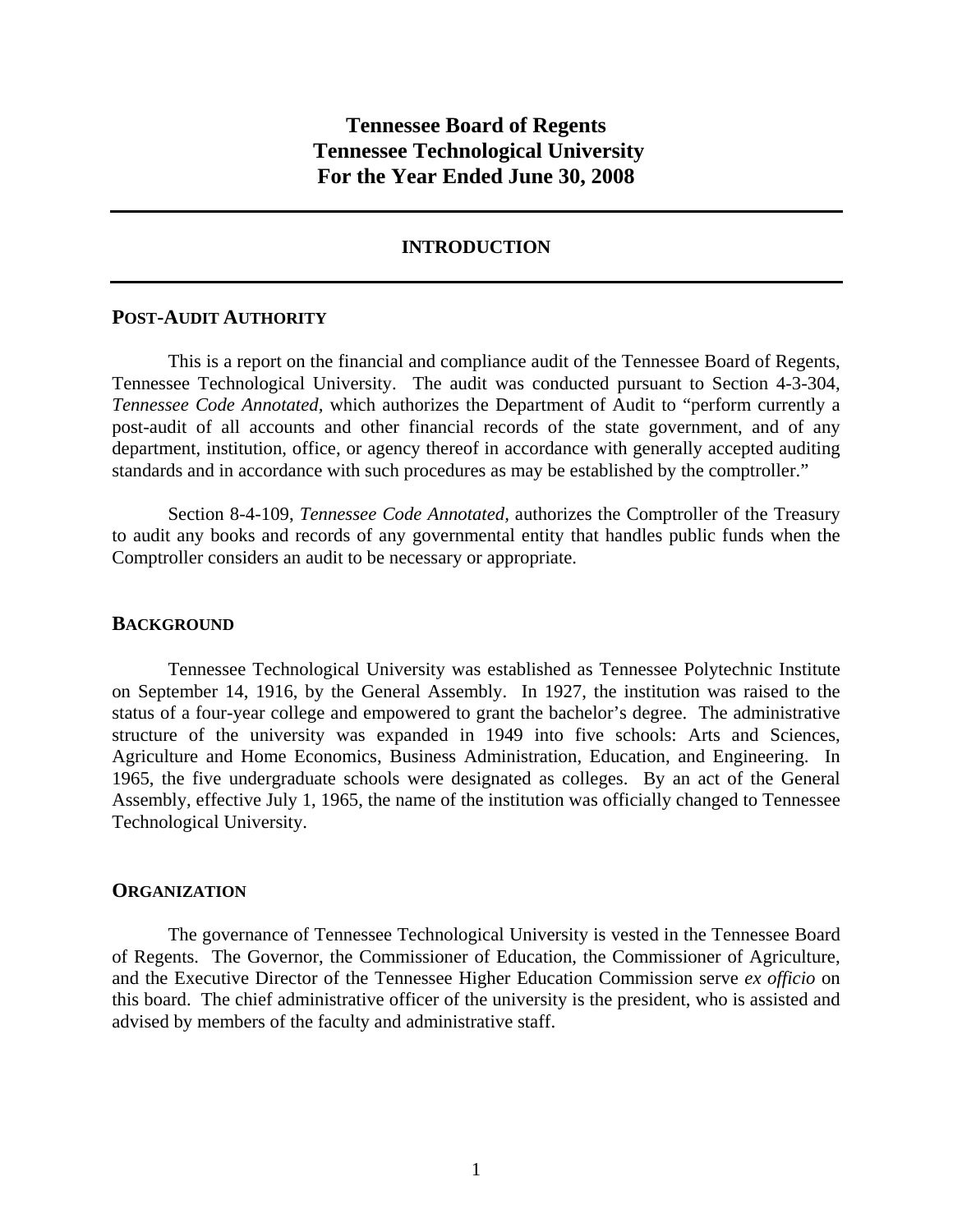# **Tennessee Board of Regents Tennessee Technological University For the Year Ended June 30, 2008**

#### **INTRODUCTION**

#### **POST-AUDIT AUTHORITY**

 This is a report on the financial and compliance audit of the Tennessee Board of Regents, Tennessee Technological University. The audit was conducted pursuant to Section 4-3-304, *Tennessee Code Annotated,* which authorizes the Department of Audit to "perform currently a post-audit of all accounts and other financial records of the state government, and of any department, institution, office, or agency thereof in accordance with generally accepted auditing standards and in accordance with such procedures as may be established by the comptroller."

 Section 8-4-109, *Tennessee Code Annotated,* authorizes the Comptroller of the Treasury to audit any books and records of any governmental entity that handles public funds when the Comptroller considers an audit to be necessary or appropriate.

#### **BACKGROUND**

Tennessee Technological University was established as Tennessee Polytechnic Institute on September 14, 1916, by the General Assembly. In 1927, the institution was raised to the status of a four-year college and empowered to grant the bachelor's degree. The administrative structure of the university was expanded in 1949 into five schools: Arts and Sciences, Agriculture and Home Economics, Business Administration, Education, and Engineering. In 1965, the five undergraduate schools were designated as colleges. By an act of the General Assembly, effective July 1, 1965, the name of the institution was officially changed to Tennessee Technological University.

#### **ORGANIZATION**

 The governance of Tennessee Technological University is vested in the Tennessee Board of Regents. The Governor, the Commissioner of Education, the Commissioner of Agriculture, and the Executive Director of the Tennessee Higher Education Commission serve *ex officio* on this board. The chief administrative officer of the university is the president, who is assisted and advised by members of the faculty and administrative staff.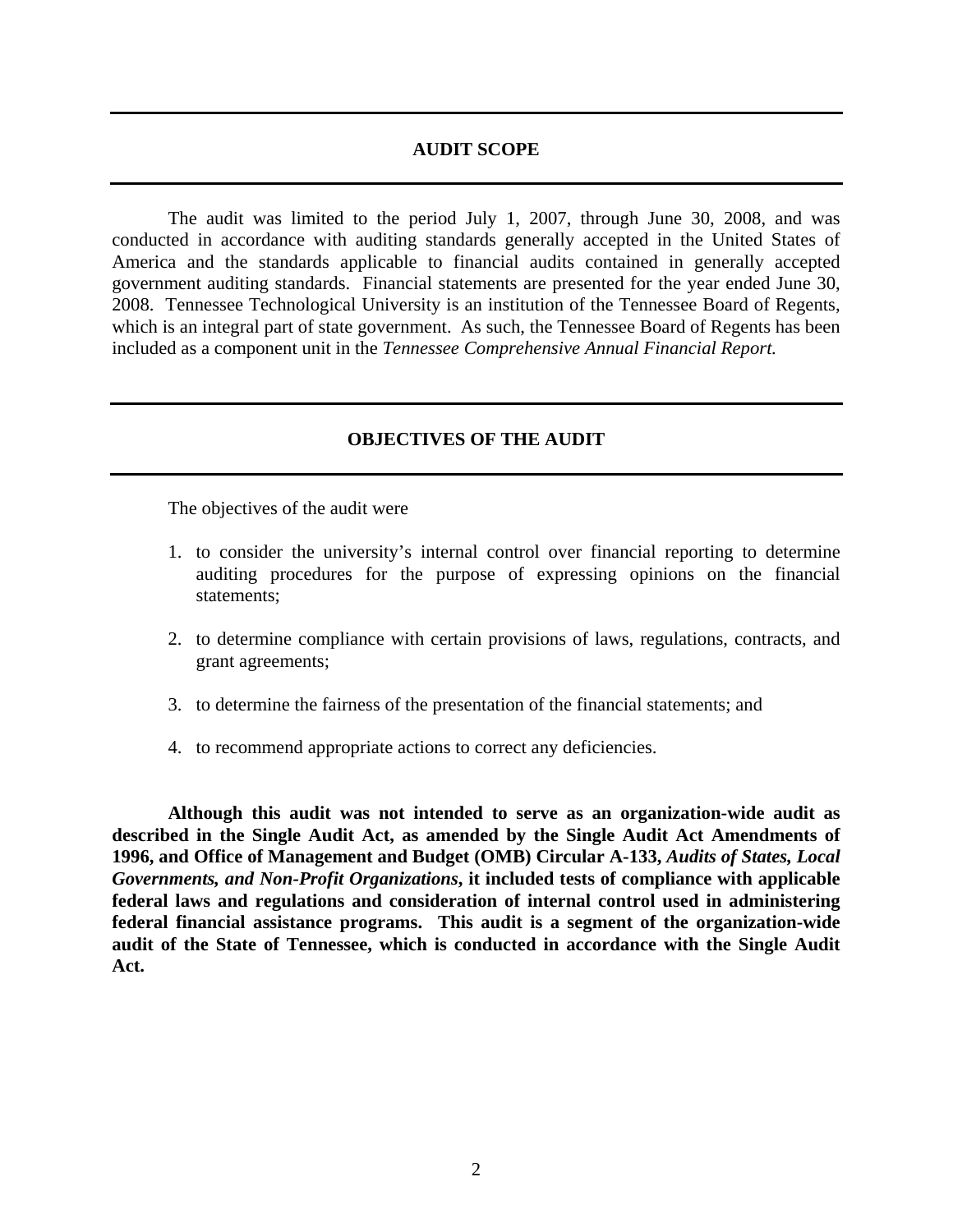#### **AUDIT SCOPE**

 The audit was limited to the period July 1, 2007, through June 30, 2008, and was conducted in accordance with auditing standards generally accepted in the United States of America and the standards applicable to financial audits contained in generally accepted government auditing standards. Financial statements are presented for the year ended June 30, 2008. Tennessee Technological University is an institution of the Tennessee Board of Regents, which is an integral part of state government. As such, the Tennessee Board of Regents has been included as a component unit in the *Tennessee Comprehensive Annual Financial Report.*

#### **OBJECTIVES OF THE AUDIT**

The objectives of the audit were

- 1. to consider the university's internal control over financial reporting to determine auditing procedures for the purpose of expressing opinions on the financial statements;
- 2. to determine compliance with certain provisions of laws, regulations, contracts, and grant agreements;
- 3. to determine the fairness of the presentation of the financial statements; and
- 4. to recommend appropriate actions to correct any deficiencies.

**Although this audit was not intended to serve as an organization-wide audit as described in the Single Audit Act, as amended by the Single Audit Act Amendments of 1996, and Office of Management and Budget (OMB) Circular A-133,** *Audits of States, Local Governments, and Non-Profit Organizations***, it included tests of compliance with applicable federal laws and regulations and consideration of internal control used in administering federal financial assistance programs. This audit is a segment of the organization-wide audit of the State of Tennessee, which is conducted in accordance with the Single Audit Act.**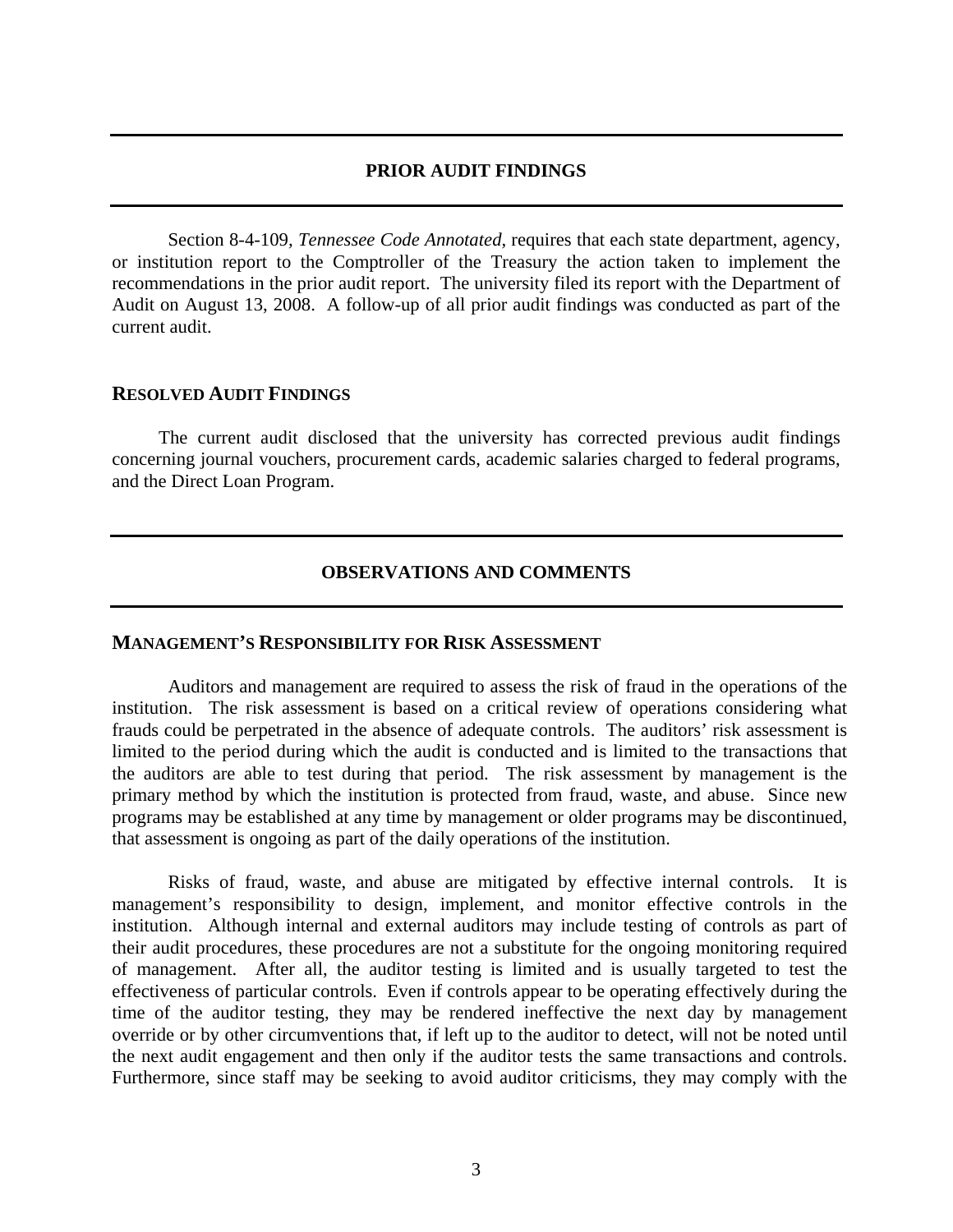## **PRIOR AUDIT FINDINGS**

 Section 8-4-109*, Tennessee Code Annotated*, requires that each state department, agency, or institution report to the Comptroller of the Treasury the action taken to implement the recommendations in the prior audit report. The university filed its report with the Department of Audit on August 13, 2008. A follow-up of all prior audit findings was conducted as part of the current audit.

#### **RESOLVED AUDIT FINDINGS**

 The current audit disclosed that the university has corrected previous audit findings concerning journal vouchers, procurement cards, academic salaries charged to federal programs, and the Direct Loan Program.

## **OBSERVATIONS AND COMMENTS**

#### **MANAGEMENT'S RESPONSIBILITY FOR RISK ASSESSMENT**

Auditors and management are required to assess the risk of fraud in the operations of the institution. The risk assessment is based on a critical review of operations considering what frauds could be perpetrated in the absence of adequate controls. The auditors' risk assessment is limited to the period during which the audit is conducted and is limited to the transactions that the auditors are able to test during that period. The risk assessment by management is the primary method by which the institution is protected from fraud, waste, and abuse. Since new programs may be established at any time by management or older programs may be discontinued, that assessment is ongoing as part of the daily operations of the institution.

Risks of fraud, waste, and abuse are mitigated by effective internal controls. It is management's responsibility to design, implement, and monitor effective controls in the institution. Although internal and external auditors may include testing of controls as part of their audit procedures, these procedures are not a substitute for the ongoing monitoring required of management. After all, the auditor testing is limited and is usually targeted to test the effectiveness of particular controls. Even if controls appear to be operating effectively during the time of the auditor testing, they may be rendered ineffective the next day by management override or by other circumventions that, if left up to the auditor to detect, will not be noted until the next audit engagement and then only if the auditor tests the same transactions and controls. Furthermore, since staff may be seeking to avoid auditor criticisms, they may comply with the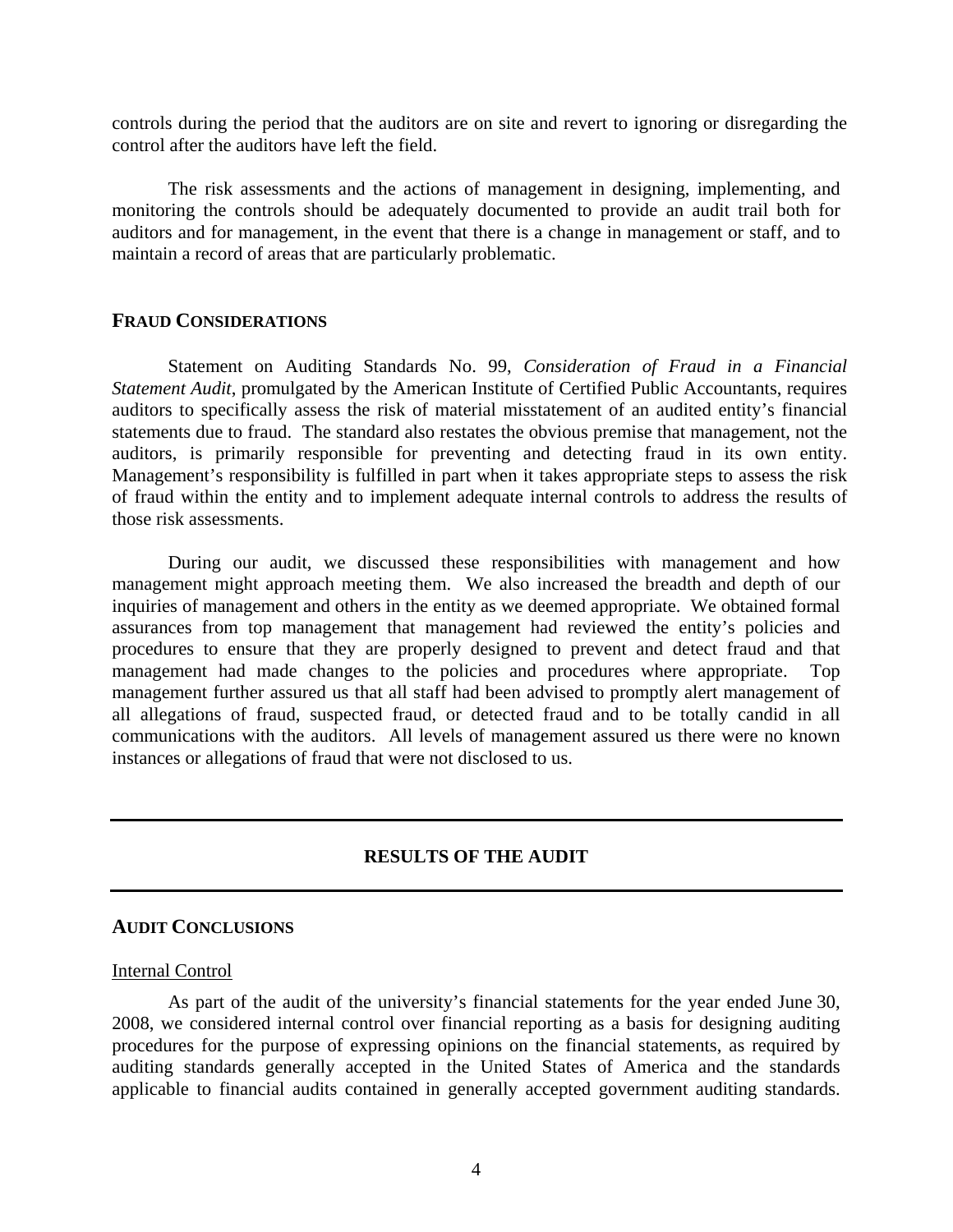controls during the period that the auditors are on site and revert to ignoring or disregarding the control after the auditors have left the field.

The risk assessments and the actions of management in designing, implementing, and monitoring the controls should be adequately documented to provide an audit trail both for auditors and for management, in the event that there is a change in management or staff, and to maintain a record of areas that are particularly problematic.

#### **FRAUD CONSIDERATIONS**

 Statement on Auditing Standards No. 99, *Consideration of Fraud in a Financial Statement Audit*, promulgated by the American Institute of Certified Public Accountants, requires auditors to specifically assess the risk of material misstatement of an audited entity's financial statements due to fraud. The standard also restates the obvious premise that management, not the auditors, is primarily responsible for preventing and detecting fraud in its own entity. Management's responsibility is fulfilled in part when it takes appropriate steps to assess the risk of fraud within the entity and to implement adequate internal controls to address the results of those risk assessments.

 During our audit, we discussed these responsibilities with management and how management might approach meeting them. We also increased the breadth and depth of our inquiries of management and others in the entity as we deemed appropriate. We obtained formal assurances from top management that management had reviewed the entity's policies and procedures to ensure that they are properly designed to prevent and detect fraud and that management had made changes to the policies and procedures where appropriate. Top management further assured us that all staff had been advised to promptly alert management of all allegations of fraud, suspected fraud, or detected fraud and to be totally candid in all communications with the auditors. All levels of management assured us there were no known instances or allegations of fraud that were not disclosed to us.

## **RESULTS OF THE AUDIT**

#### **AUDIT CONCLUSIONS**

#### Internal Control

 As part of the audit of the university's financial statements for the year ended June 30, 2008, we considered internal control over financial reporting as a basis for designing auditing procedures for the purpose of expressing opinions on the financial statements, as required by auditing standards generally accepted in the United States of America and the standards applicable to financial audits contained in generally accepted government auditing standards.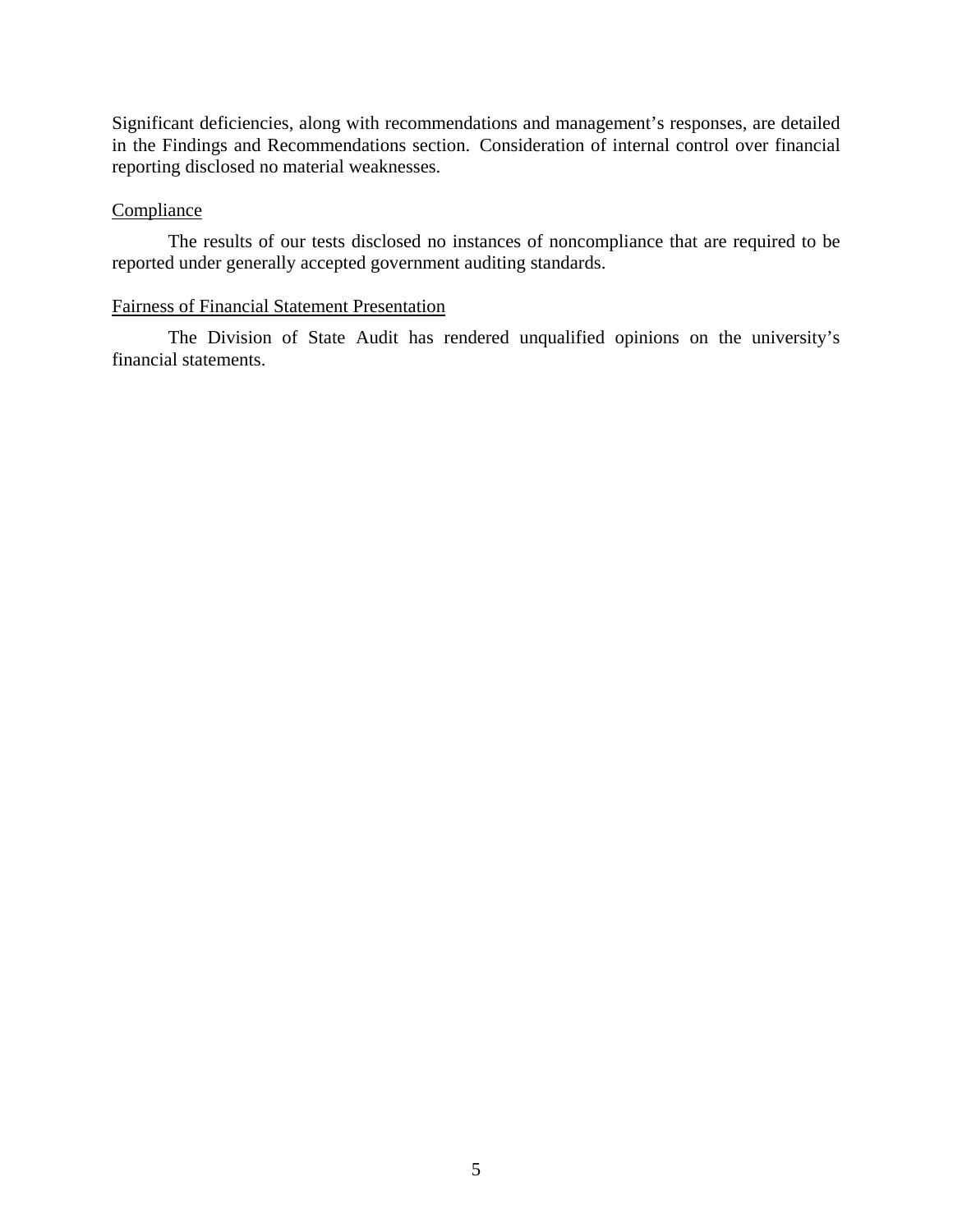Significant deficiencies, along with recommendations and management's responses, are detailed in the Findings and Recommendations section. Consideration of internal control over financial reporting disclosed no material weaknesses.

## **Compliance**

 The results of our tests disclosed no instances of noncompliance that are required to be reported under generally accepted government auditing standards.

## Fairness of Financial Statement Presentation

 The Division of State Audit has rendered unqualified opinions on the university's financial statements.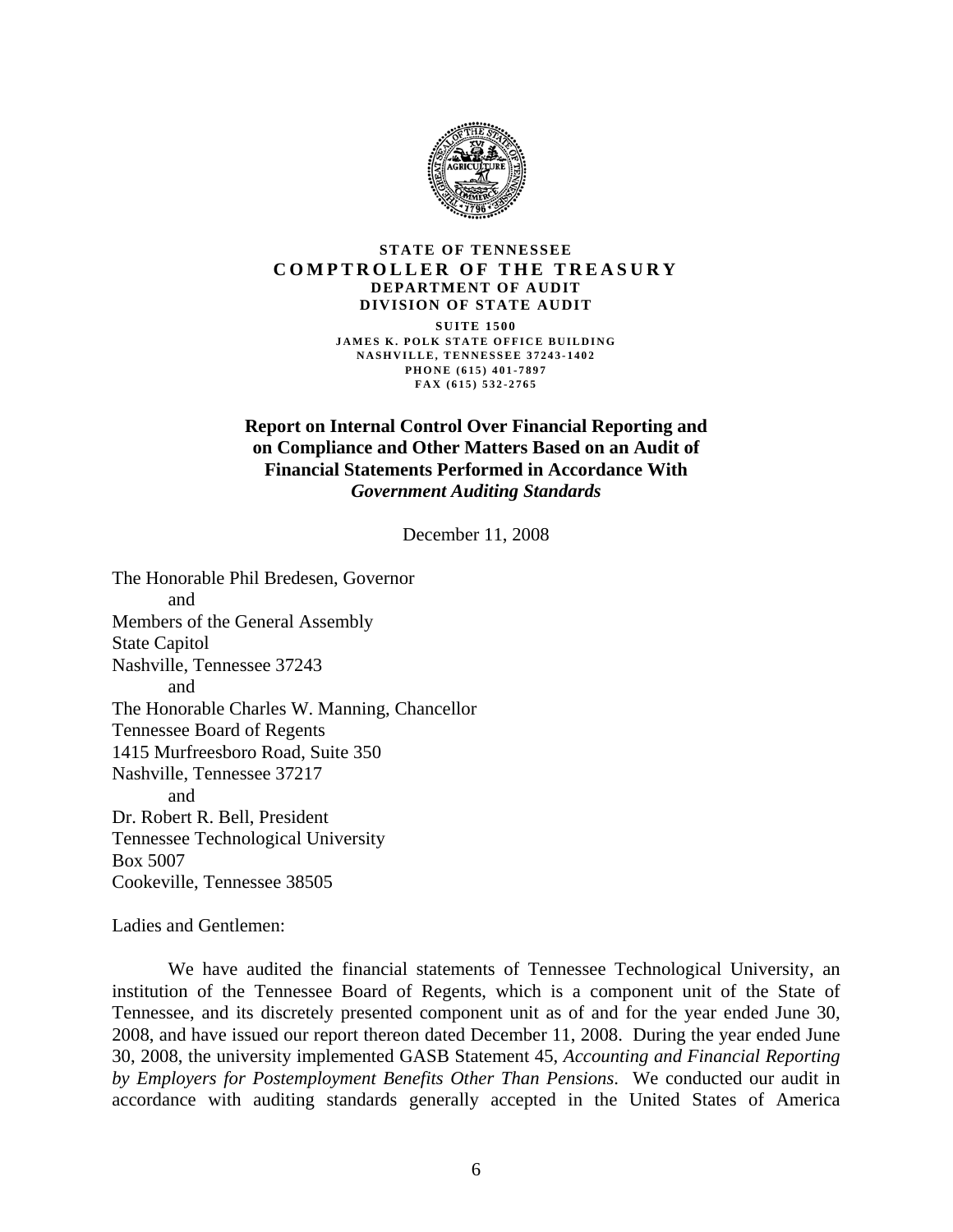

#### **STATE OF TENNESSEE COMPTROLLER OF THE TREASURY DEPARTMENT OF AUDIT DIVISION OF STATE AUDIT SUITE 1500 JAMES K. POLK STATE OFFICE BUILDING NASHVILLE, TENNESSEE 37243-1402 PHONE (615) 401-7897 FAX (615) 532-2765**

## **Report on Internal Control Over Financial Reporting and on Compliance and Other Matters Based on an Audit of Financial Statements Performed in Accordance With**  *Government Auditing Standards*

December 11, 2008

The Honorable Phil Bredesen, Governor and Members of the General Assembly State Capitol Nashville, Tennessee 37243 and The Honorable Charles W. Manning, Chancellor Tennessee Board of Regents 1415 Murfreesboro Road, Suite 350 Nashville, Tennessee 37217 and Dr. Robert R. Bell, President Tennessee Technological University Box 5007 Cookeville, Tennessee 38505

Ladies and Gentlemen:

 We have audited the financial statements of Tennessee Technological University, an institution of the Tennessee Board of Regents, which is a component unit of the State of Tennessee, and its discretely presented component unit as of and for the year ended June 30, 2008, and have issued our report thereon dated December 11, 2008. During the year ended June 30, 2008, the university implemented GASB Statement 45, *Accounting and Financial Reporting by Employers for Postemployment Benefits Other Than Pensions*.We conducted our audit in accordance with auditing standards generally accepted in the United States of America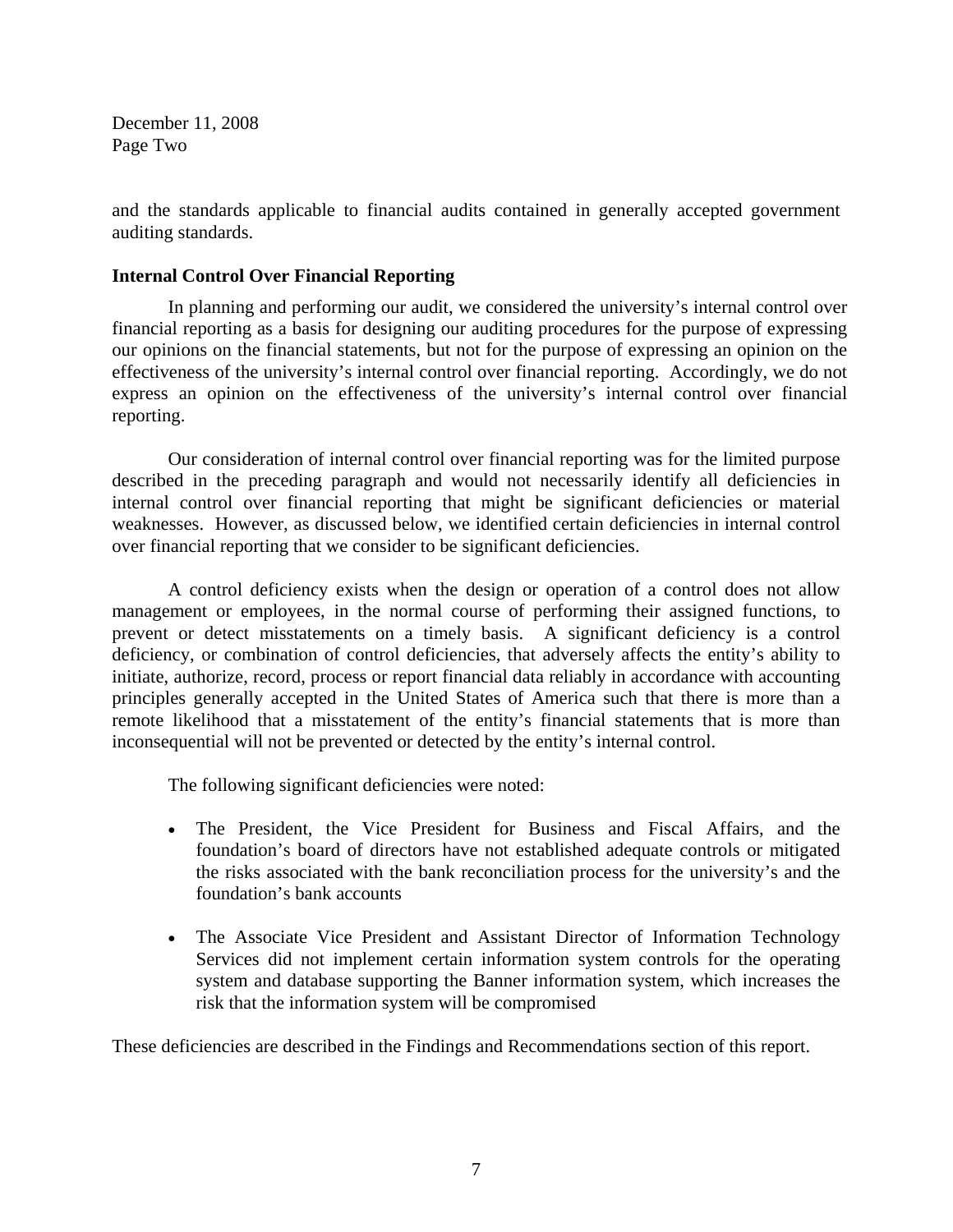December 11, 2008 Page Two

and the standards applicable to financial audits contained in generally accepted government auditing standards.

## **Internal Control Over Financial Reporting**

 In planning and performing our audit, we considered the university's internal control over financial reporting as a basis for designing our auditing procedures for the purpose of expressing our opinions on the financial statements, but not for the purpose of expressing an opinion on the effectiveness of the university's internal control over financial reporting. Accordingly, we do not express an opinion on the effectiveness of the university's internal control over financial reporting.

Our consideration of internal control over financial reporting was for the limited purpose described in the preceding paragraph and would not necessarily identify all deficiencies in internal control over financial reporting that might be significant deficiencies or material weaknesses. However, as discussed below, we identified certain deficiencies in internal control over financial reporting that we consider to be significant deficiencies.

 A control deficiency exists when the design or operation of a control does not allow management or employees, in the normal course of performing their assigned functions, to prevent or detect misstatements on a timely basis. A significant deficiency is a control deficiency, or combination of control deficiencies, that adversely affects the entity's ability to initiate, authorize, record, process or report financial data reliably in accordance with accounting principles generally accepted in the United States of America such that there is more than a remote likelihood that a misstatement of the entity's financial statements that is more than inconsequential will not be prevented or detected by the entity's internal control.

The following significant deficiencies were noted:

- The President, the Vice President for Business and Fiscal Affairs, and the foundation's board of directors have not established adequate controls or mitigated the risks associated with the bank reconciliation process for the university's and the foundation's bank accounts
- The Associate Vice President and Assistant Director of Information Technology Services did not implement certain information system controls for the operating system and database supporting the Banner information system, which increases the risk that the information system will be compromised

These deficiencies are described in the Findings and Recommendations section of this report.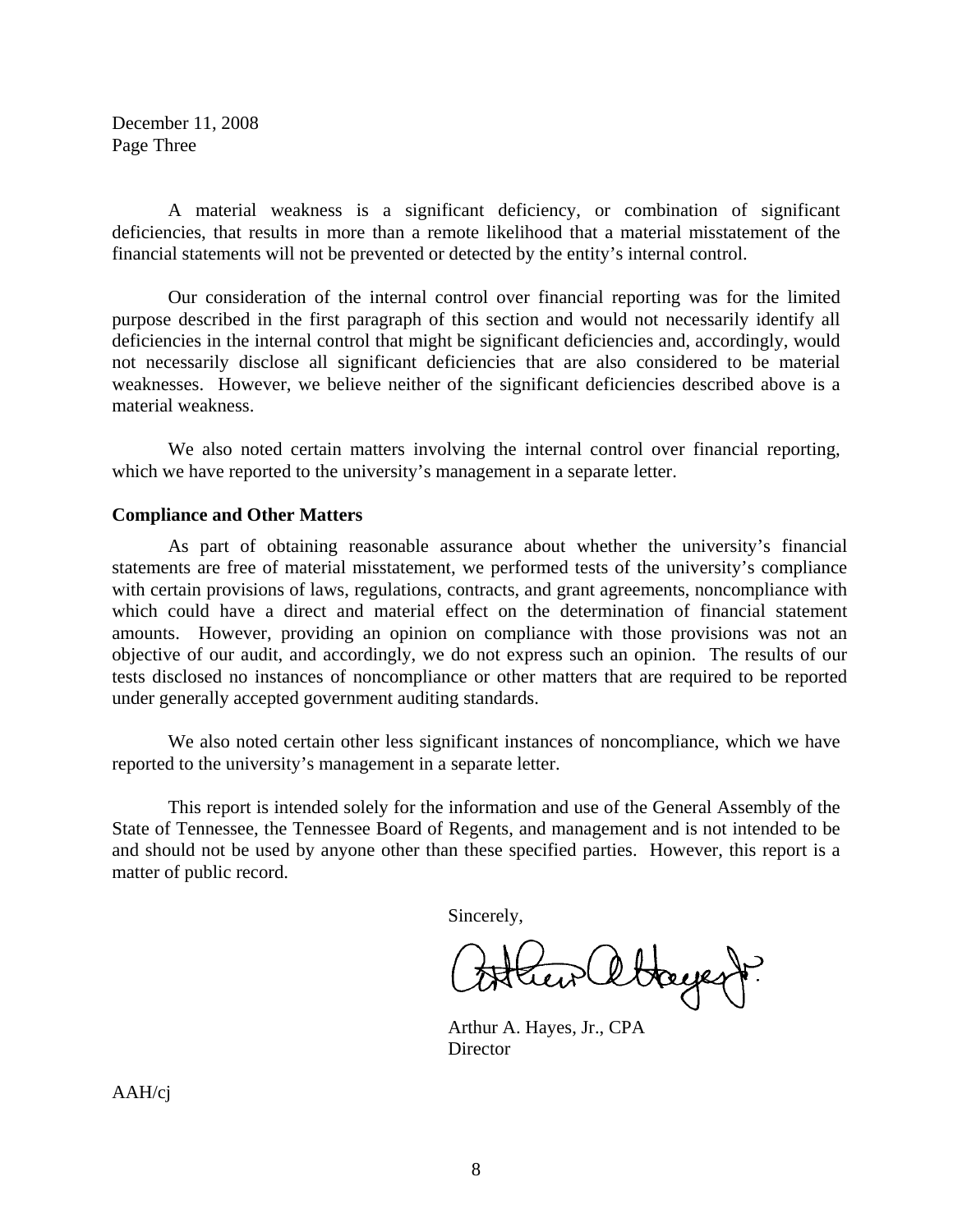December 11, 2008 Page Three

 A material weakness is a significant deficiency, or combination of significant deficiencies, that results in more than a remote likelihood that a material misstatement of the financial statements will not be prevented or detected by the entity's internal control.

 Our consideration of the internal control over financial reporting was for the limited purpose described in the first paragraph of this section and would not necessarily identify all deficiencies in the internal control that might be significant deficiencies and, accordingly, would not necessarily disclose all significant deficiencies that are also considered to be material weaknesses. However, we believe neither of the significant deficiencies described above is a material weakness.

 We also noted certain matters involving the internal control over financial reporting, which we have reported to the university's management in a separate letter.

### **Compliance and Other Matters**

 As part of obtaining reasonable assurance about whether the university's financial statements are free of material misstatement, we performed tests of the university's compliance with certain provisions of laws, regulations, contracts, and grant agreements, noncompliance with which could have a direct and material effect on the determination of financial statement amounts. However, providing an opinion on compliance with those provisions was not an objective of our audit, and accordingly, we do not express such an opinion. The results of our tests disclosed no instances of noncompliance or other matters that are required to be reported under generally accepted government auditing standards.

 We also noted certain other less significant instances of noncompliance, which we have reported to the university's management in a separate letter.

This report is intended solely for the information and use of the General Assembly of the State of Tennessee, the Tennessee Board of Regents, and management and is not intended to be and should not be used by anyone other than these specified parties. However, this report is a matter of public record.

Sincerely,

ltagent?

 Arthur A. Hayes, Jr., CPA **Director** 

AAH/cj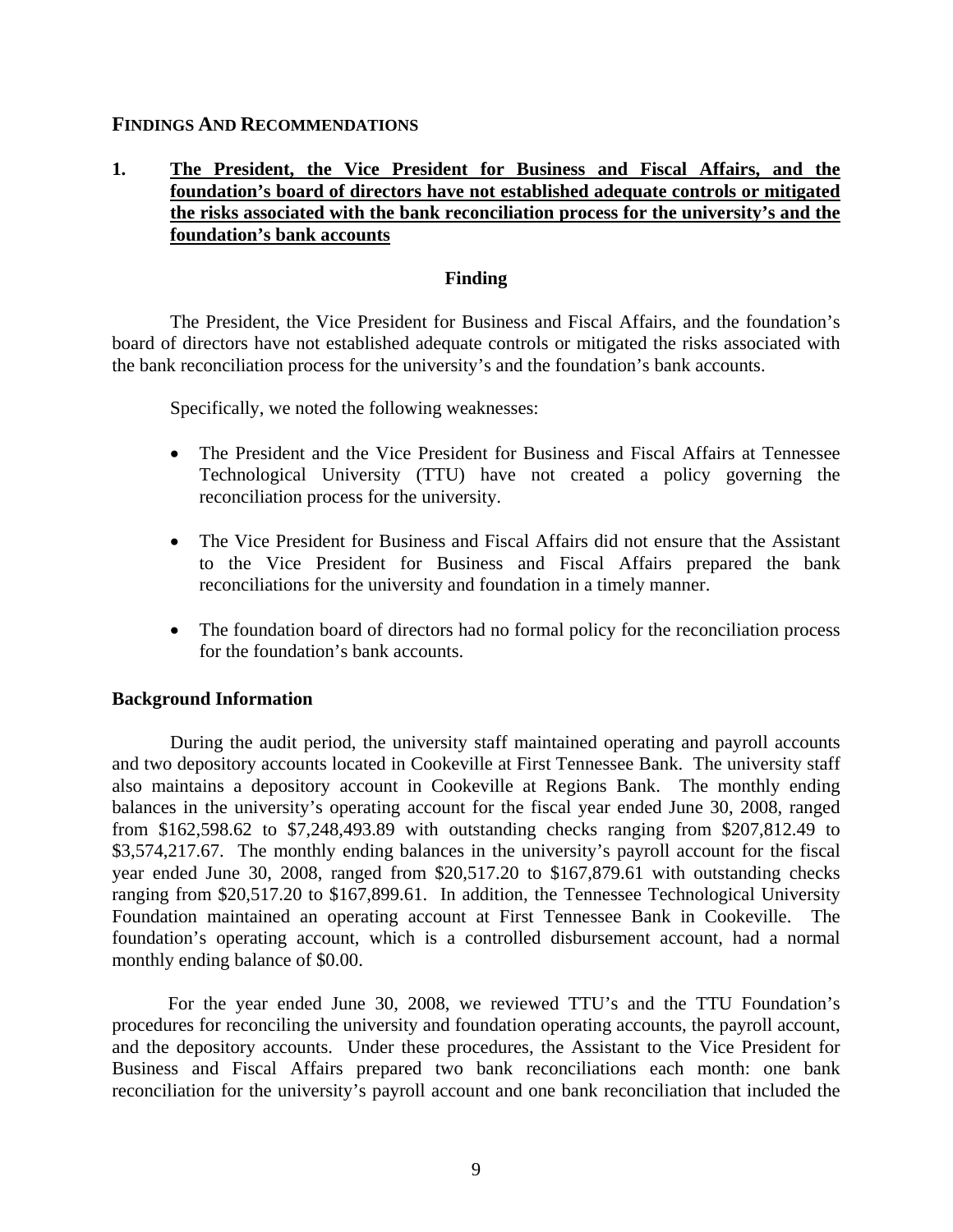## **FINDINGS AND RECOMMENDATIONS**

# **1. The President, the Vice President for Business and Fiscal Affairs, and the foundation's board of directors have not established adequate controls or mitigated the risks associated with the bank reconciliation process for the university's and the foundation's bank accounts**

### **Finding**

The President, the Vice President for Business and Fiscal Affairs, and the foundation's board of directors have not established adequate controls or mitigated the risks associated with the bank reconciliation process for the university's and the foundation's bank accounts.

Specifically, we noted the following weaknesses:

- The President and the Vice President for Business and Fiscal Affairs at Tennessee Technological University (TTU) have not created a policy governing the reconciliation process for the university.
- The Vice President for Business and Fiscal Affairs did not ensure that the Assistant to the Vice President for Business and Fiscal Affairs prepared the bank reconciliations for the university and foundation in a timely manner.
- The foundation board of directors had no formal policy for the reconciliation process for the foundation's bank accounts.

#### **Background Information**

During the audit period, the university staff maintained operating and payroll accounts and two depository accounts located in Cookeville at First Tennessee Bank. The university staff also maintains a depository account in Cookeville at Regions Bank. The monthly ending balances in the university's operating account for the fiscal year ended June 30, 2008, ranged from \$162,598.62 to \$7,248,493.89 with outstanding checks ranging from \$207,812.49 to \$3,574,217.67. The monthly ending balances in the university's payroll account for the fiscal year ended June 30, 2008, ranged from \$20,517.20 to \$167,879.61 with outstanding checks ranging from \$20,517.20 to \$167,899.61. In addition, the Tennessee Technological University Foundation maintained an operating account at First Tennessee Bank in Cookeville. The foundation's operating account, which is a controlled disbursement account, had a normal monthly ending balance of \$0.00.

For the year ended June 30, 2008, we reviewed TTU's and the TTU Foundation's procedures for reconciling the university and foundation operating accounts, the payroll account, and the depository accounts. Under these procedures, the Assistant to the Vice President for Business and Fiscal Affairs prepared two bank reconciliations each month: one bank reconciliation for the university's payroll account and one bank reconciliation that included the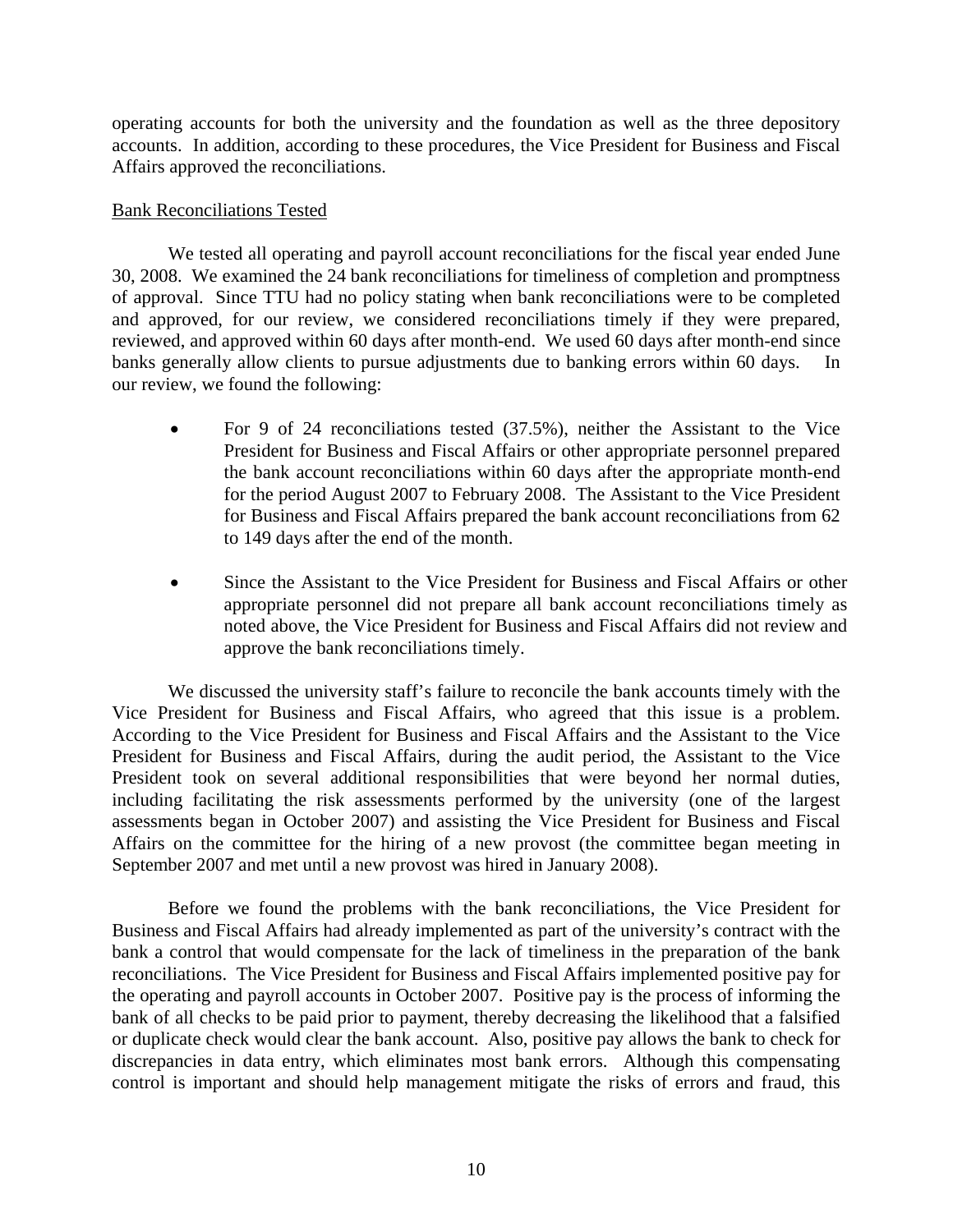operating accounts for both the university and the foundation as well as the three depository accounts. In addition, according to these procedures, the Vice President for Business and Fiscal Affairs approved the reconciliations.

## Bank Reconciliations Tested

We tested all operating and payroll account reconciliations for the fiscal year ended June 30, 2008. We examined the 24 bank reconciliations for timeliness of completion and promptness of approval. Since TTU had no policy stating when bank reconciliations were to be completed and approved, for our review, we considered reconciliations timely if they were prepared, reviewed, and approved within 60 days after month-end. We used 60 days after month-end since banks generally allow clients to pursue adjustments due to banking errors within 60 days. In our review, we found the following:

- For 9 of 24 reconciliations tested (37.5%), neither the Assistant to the Vice President for Business and Fiscal Affairs or other appropriate personnel prepared the bank account reconciliations within 60 days after the appropriate month-end for the period August 2007 to February 2008. The Assistant to the Vice President for Business and Fiscal Affairs prepared the bank account reconciliations from 62 to 149 days after the end of the month.
- Since the Assistant to the Vice President for Business and Fiscal Affairs or other appropriate personnel did not prepare all bank account reconciliations timely as noted above, the Vice President for Business and Fiscal Affairs did not review and approve the bank reconciliations timely.

We discussed the university staff's failure to reconcile the bank accounts timely with the Vice President for Business and Fiscal Affairs, who agreed that this issue is a problem. According to the Vice President for Business and Fiscal Affairs and the Assistant to the Vice President for Business and Fiscal Affairs, during the audit period, the Assistant to the Vice President took on several additional responsibilities that were beyond her normal duties, including facilitating the risk assessments performed by the university (one of the largest assessments began in October 2007) and assisting the Vice President for Business and Fiscal Affairs on the committee for the hiring of a new provost (the committee began meeting in September 2007 and met until a new provost was hired in January 2008).

Before we found the problems with the bank reconciliations, the Vice President for Business and Fiscal Affairs had already implemented as part of the university's contract with the bank a control that would compensate for the lack of timeliness in the preparation of the bank reconciliations. The Vice President for Business and Fiscal Affairs implemented positive pay for the operating and payroll accounts in October 2007. Positive pay is the process of informing the bank of all checks to be paid prior to payment, thereby decreasing the likelihood that a falsified or duplicate check would clear the bank account. Also, positive pay allows the bank to check for discrepancies in data entry, which eliminates most bank errors. Although this compensating control is important and should help management mitigate the risks of errors and fraud, this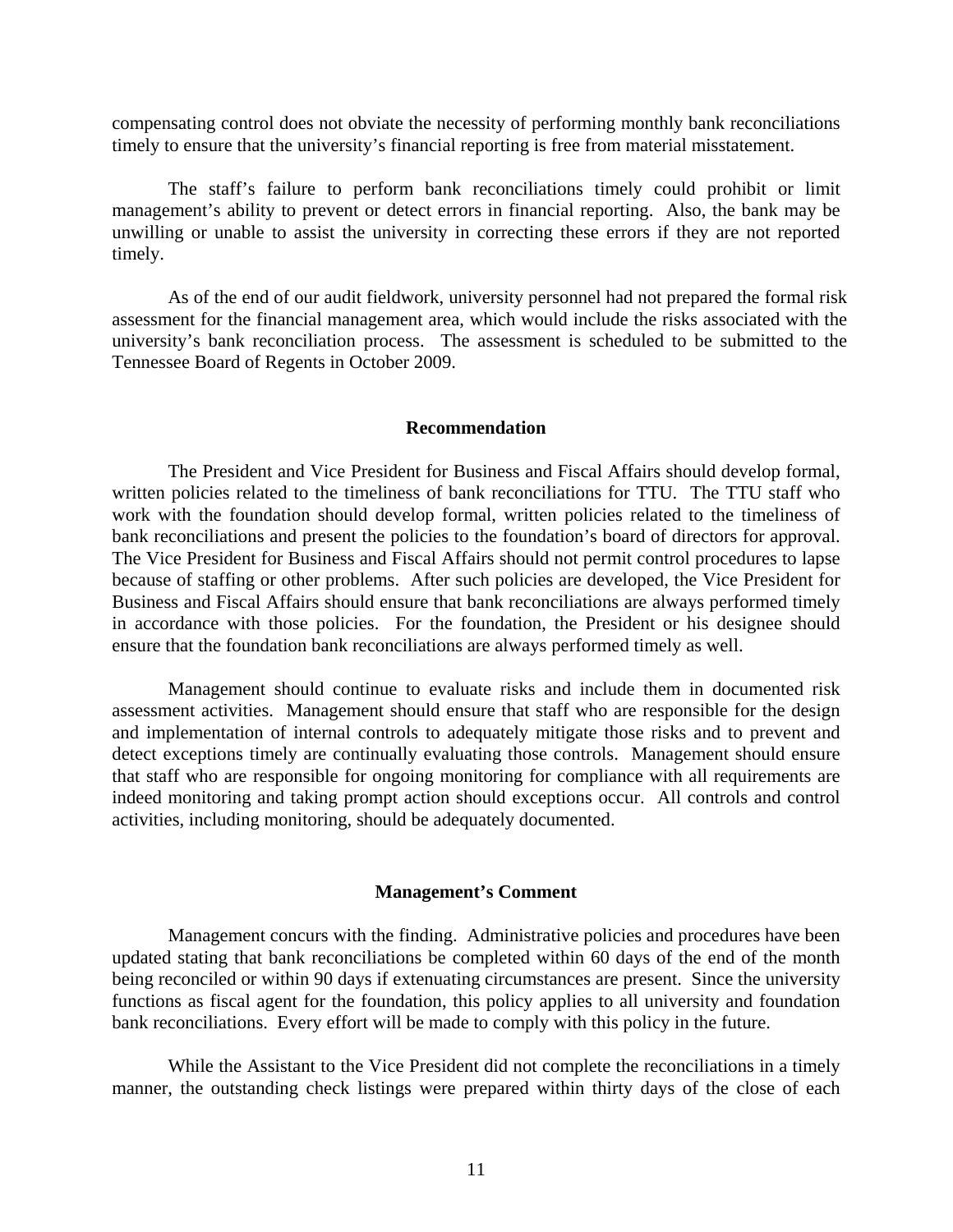compensating control does not obviate the necessity of performing monthly bank reconciliations timely to ensure that the university's financial reporting is free from material misstatement.

The staff's failure to perform bank reconciliations timely could prohibit or limit management's ability to prevent or detect errors in financial reporting. Also, the bank may be unwilling or unable to assist the university in correcting these errors if they are not reported timely.

As of the end of our audit fieldwork, university personnel had not prepared the formal risk assessment for the financial management area, which would include the risks associated with the university's bank reconciliation process. The assessment is scheduled to be submitted to the Tennessee Board of Regents in October 2009.

#### **Recommendation**

The President and Vice President for Business and Fiscal Affairs should develop formal, written policies related to the timeliness of bank reconciliations for TTU. The TTU staff who work with the foundation should develop formal, written policies related to the timeliness of bank reconciliations and present the policies to the foundation's board of directors for approval. The Vice President for Business and Fiscal Affairs should not permit control procedures to lapse because of staffing or other problems. After such policies are developed, the Vice President for Business and Fiscal Affairs should ensure that bank reconciliations are always performed timely in accordance with those policies. For the foundation, the President or his designee should ensure that the foundation bank reconciliations are always performed timely as well.

Management should continue to evaluate risks and include them in documented risk assessment activities. Management should ensure that staff who are responsible for the design and implementation of internal controls to adequately mitigate those risks and to prevent and detect exceptions timely are continually evaluating those controls. Management should ensure that staff who are responsible for ongoing monitoring for compliance with all requirements are indeed monitoring and taking prompt action should exceptions occur. All controls and control activities, including monitoring, should be adequately documented.

#### **Management's Comment**

Management concurs with the finding. Administrative policies and procedures have been updated stating that bank reconciliations be completed within 60 days of the end of the month being reconciled or within 90 days if extenuating circumstances are present. Since the university functions as fiscal agent for the foundation, this policy applies to all university and foundation bank reconciliations. Every effort will be made to comply with this policy in the future.

While the Assistant to the Vice President did not complete the reconciliations in a timely manner, the outstanding check listings were prepared within thirty days of the close of each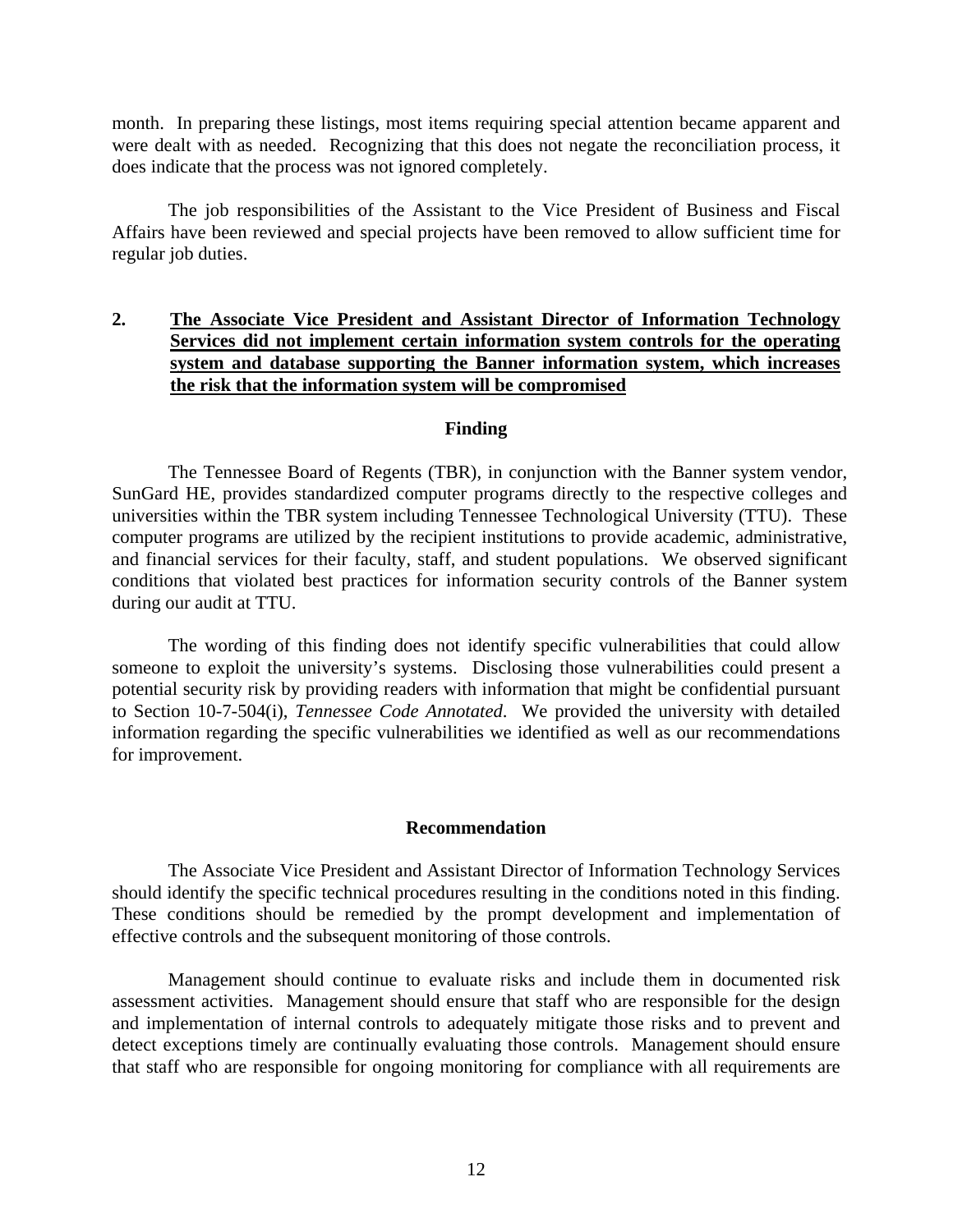month. In preparing these listings, most items requiring special attention became apparent and were dealt with as needed. Recognizing that this does not negate the reconciliation process, it does indicate that the process was not ignored completely.

The job responsibilities of the Assistant to the Vice President of Business and Fiscal Affairs have been reviewed and special projects have been removed to allow sufficient time for regular job duties.

## **2. The Associate Vice President and Assistant Director of Information Technology Services did not implement certain information system controls for the operating system and database supporting the Banner information system, which increases the risk that the information system will be compromised**

#### **Finding**

 The Tennessee Board of Regents (TBR), in conjunction with the Banner system vendor, SunGard HE, provides standardized computer programs directly to the respective colleges and universities within the TBR system including Tennessee Technological University (TTU). These computer programs are utilized by the recipient institutions to provide academic, administrative, and financial services for their faculty, staff, and student populations. We observed significant conditions that violated best practices for information security controls of the Banner system during our audit at TTU.

 The wording of this finding does not identify specific vulnerabilities that could allow someone to exploit the university's systems. Disclosing those vulnerabilities could present a potential security risk by providing readers with information that might be confidential pursuant to Section 10-7-504(i), *Tennessee Code Annotated*. We provided the university with detailed information regarding the specific vulnerabilities we identified as well as our recommendations for improvement.

#### **Recommendation**

The Associate Vice President and Assistant Director of Information Technology Services should identify the specific technical procedures resulting in the conditions noted in this finding. These conditions should be remedied by the prompt development and implementation of effective controls and the subsequent monitoring of those controls.

Management should continue to evaluate risks and include them in documented risk assessment activities. Management should ensure that staff who are responsible for the design and implementation of internal controls to adequately mitigate those risks and to prevent and detect exceptions timely are continually evaluating those controls. Management should ensure that staff who are responsible for ongoing monitoring for compliance with all requirements are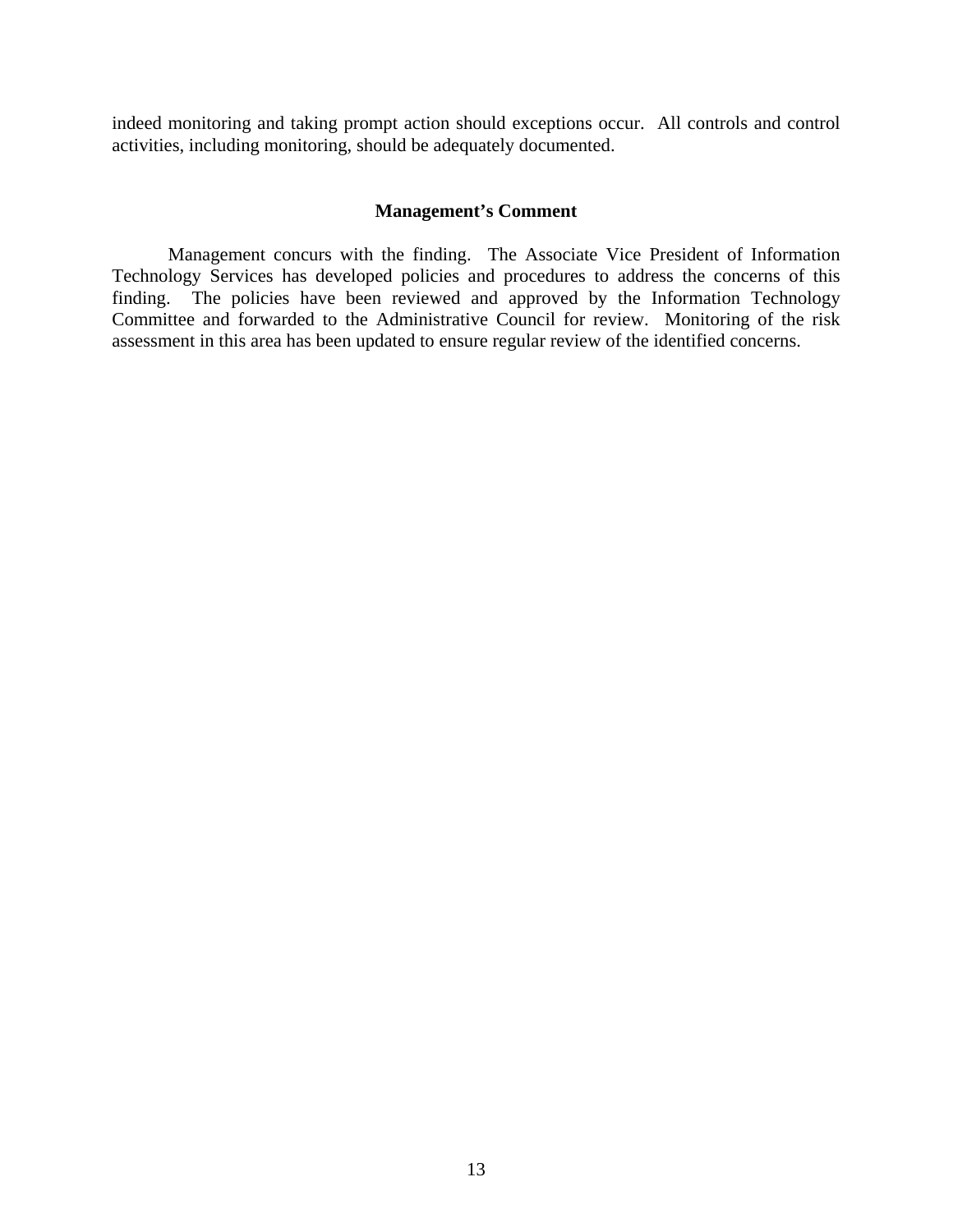indeed monitoring and taking prompt action should exceptions occur. All controls and control activities, including monitoring, should be adequately documented.

#### **Management's Comment**

Management concurs with the finding. The Associate Vice President of Information Technology Services has developed policies and procedures to address the concerns of this finding. The policies have been reviewed and approved by the Information Technology Committee and forwarded to the Administrative Council for review. Monitoring of the risk assessment in this area has been updated to ensure regular review of the identified concerns.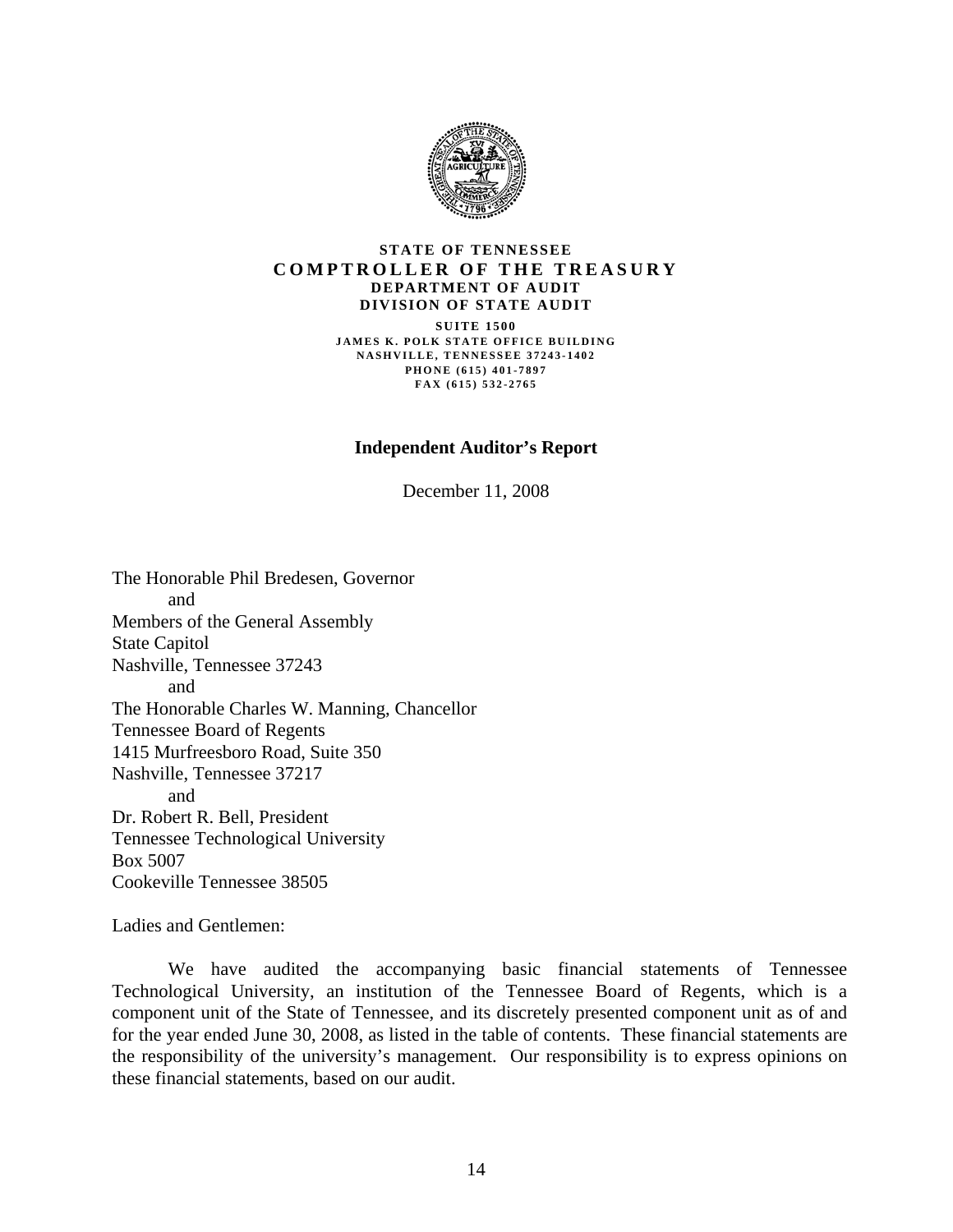

#### **STATE OF TENNESSEE COMPTROLLER OF THE TREASURY DEPARTMENT OF AUDIT DIVISION OF STATE AUDIT SUITE 1500 JAMES K. POLK STATE OFFICE BUILDING NASHVILLE, TENNESSEE 37243-1402 PHONE (615) 401-7897 FAX (615) 532-2765**

#### **Independent Auditor's Report**

December 11, 2008

The Honorable Phil Bredesen, Governor and Members of the General Assembly State Capitol Nashville, Tennessee 37243 and The Honorable Charles W. Manning, Chancellor Tennessee Board of Regents 1415 Murfreesboro Road, Suite 350 Nashville, Tennessee 37217 and Dr. Robert R. Bell, President Tennessee Technological University Box 5007 Cookeville Tennessee 38505

Ladies and Gentlemen:

 We have audited the accompanying basic financial statements of Tennessee Technological University, an institution of the Tennessee Board of Regents, which is a component unit of the State of Tennessee, and its discretely presented component unit as of and for the year ended June 30, 2008, as listed in the table of contents. These financial statements are the responsibility of the university's management. Our responsibility is to express opinions on these financial statements, based on our audit.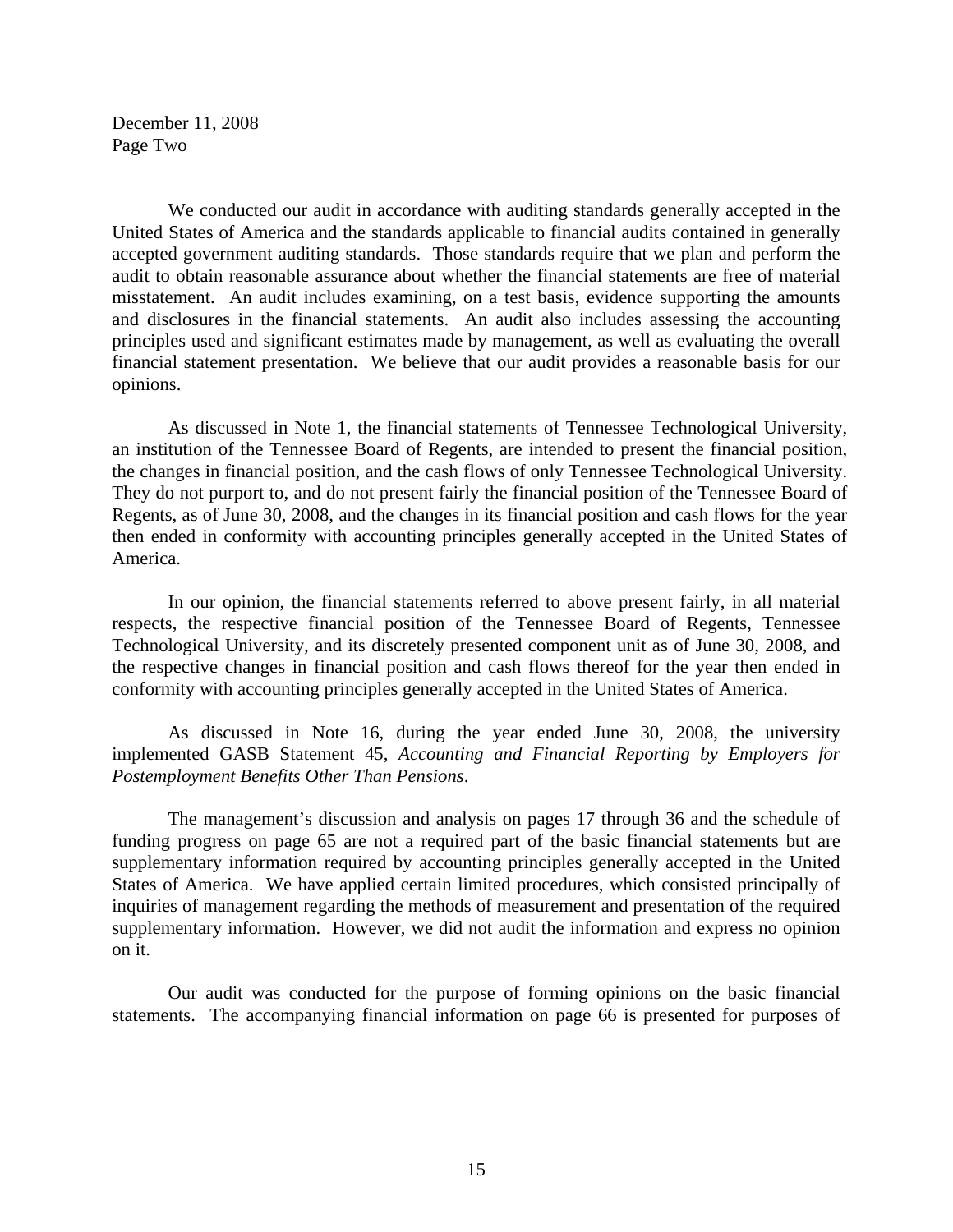December 11, 2008 Page Two

 We conducted our audit in accordance with auditing standards generally accepted in the United States of America and the standards applicable to financial audits contained in generally accepted government auditing standards. Those standards require that we plan and perform the audit to obtain reasonable assurance about whether the financial statements are free of material misstatement. An audit includes examining, on a test basis, evidence supporting the amounts and disclosures in the financial statements. An audit also includes assessing the accounting principles used and significant estimates made by management, as well as evaluating the overall financial statement presentation. We believe that our audit provides a reasonable basis for our opinions.

As discussed in Note 1, the financial statements of Tennessee Technological University, an institution of the Tennessee Board of Regents, are intended to present the financial position, the changes in financial position, and the cash flows of only Tennessee Technological University. They do not purport to, and do not present fairly the financial position of the Tennessee Board of Regents, as of June 30, 2008, and the changes in its financial position and cash flows for the year then ended in conformity with accounting principles generally accepted in the United States of America.

 In our opinion, the financial statements referred to above present fairly, in all material respects, the respective financial position of the Tennessee Board of Regents, Tennessee Technological University, and its discretely presented component unit as of June 30, 2008, and the respective changes in financial position and cash flows thereof for the year then ended in conformity with accounting principles generally accepted in the United States of America.

 As discussed in Note 16, during the year ended June 30, 2008, the university implemented GASB Statement 45, *Accounting and Financial Reporting by Employers for Postemployment Benefits Other Than Pensions*.

 The management's discussion and analysis on pages 17 through 36 and the schedule of funding progress on page 65 are not a required part of the basic financial statements but are supplementary information required by accounting principles generally accepted in the United States of America. We have applied certain limited procedures, which consisted principally of inquiries of management regarding the methods of measurement and presentation of the required supplementary information. However, we did not audit the information and express no opinion on it.

 Our audit was conducted for the purpose of forming opinions on the basic financial statements. The accompanying financial information on page 66 is presented for purposes of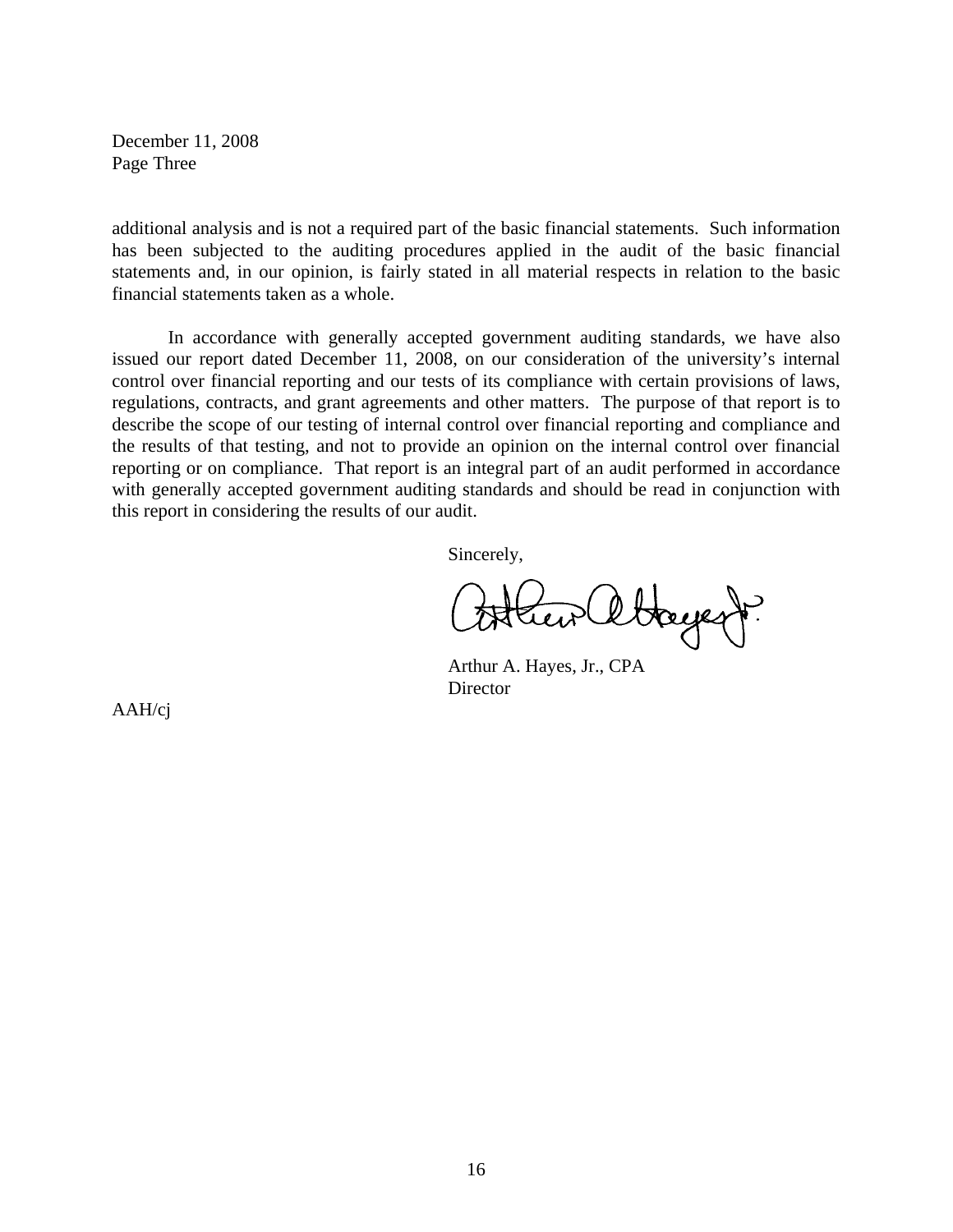December 11, 2008 Page Three

additional analysis and is not a required part of the basic financial statements. Such information has been subjected to the auditing procedures applied in the audit of the basic financial statements and, in our opinion, is fairly stated in all material respects in relation to the basic financial statements taken as a whole.

 In accordance with generally accepted government auditing standards, we have also issued our report dated December 11, 2008, on our consideration of the university's internal control over financial reporting and our tests of its compliance with certain provisions of laws, regulations, contracts, and grant agreements and other matters. The purpose of that report is to describe the scope of our testing of internal control over financial reporting and compliance and the results of that testing, and not to provide an opinion on the internal control over financial reporting or on compliance. That report is an integral part of an audit performed in accordance with generally accepted government auditing standards and should be read in conjunction with this report in considering the results of our audit.

Sincerely,

ettagegy?

 Arthur A. Hayes, Jr., CPA **Director** 

AAH/cj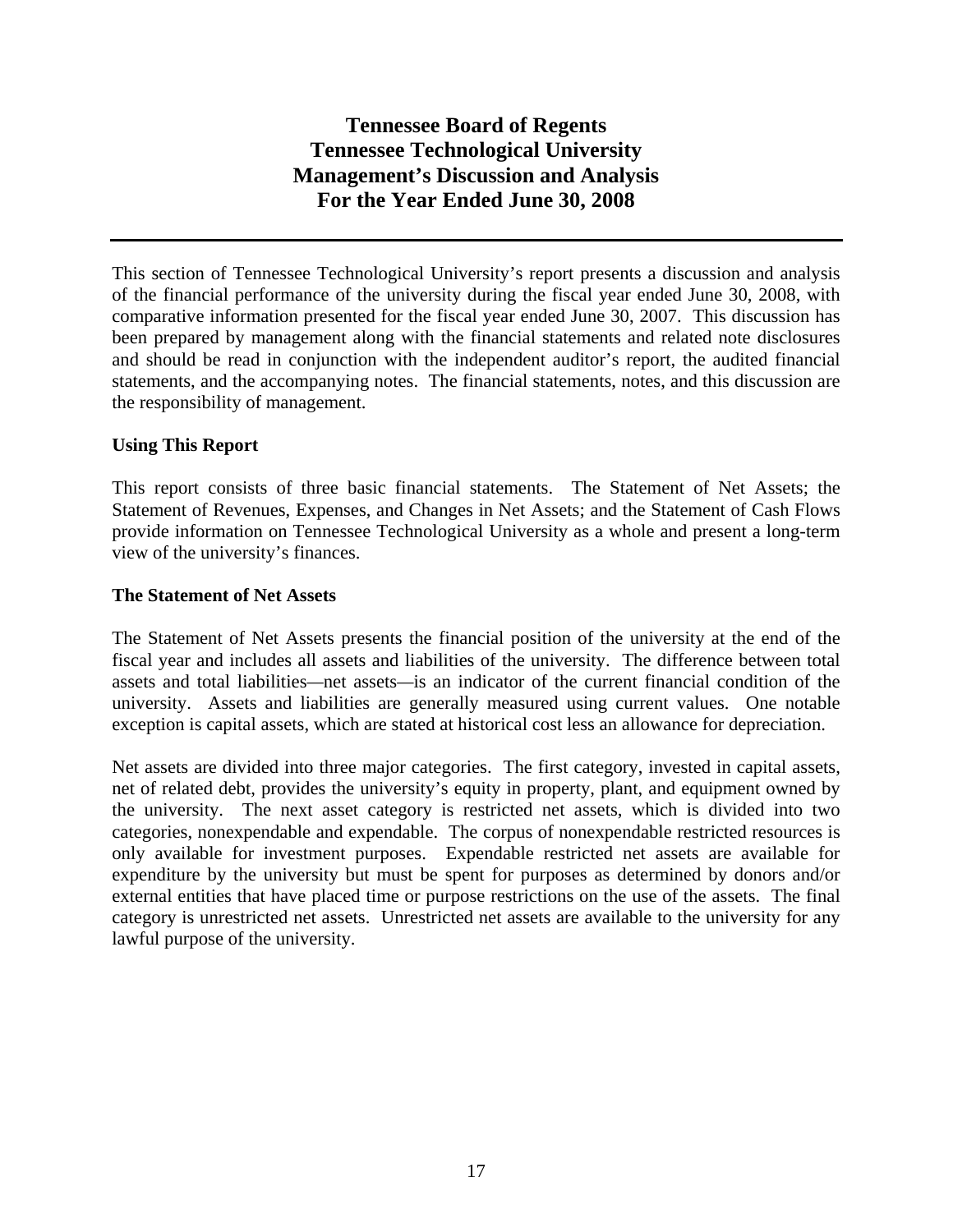This section of Tennessee Technological University's report presents a discussion and analysis of the financial performance of the university during the fiscal year ended June 30, 2008, with comparative information presented for the fiscal year ended June 30, 2007. This discussion has been prepared by management along with the financial statements and related note disclosures and should be read in conjunction with the independent auditor's report, the audited financial statements, and the accompanying notes. The financial statements, notes, and this discussion are the responsibility of management.

## **Using This Report**

This report consists of three basic financial statements. The Statement of Net Assets; the Statement of Revenues, Expenses, and Changes in Net Assets; and the Statement of Cash Flows provide information on Tennessee Technological University as a whole and present a long-term view of the university's finances.

## **The Statement of Net Assets**

The Statement of Net Assets presents the financial position of the university at the end of the fiscal year and includes all assets and liabilities of the university. The difference between total assets and total liabilities*—*net assets*—*is an indicator of the current financial condition of the university. Assets and liabilities are generally measured using current values. One notable exception is capital assets, which are stated at historical cost less an allowance for depreciation.

Net assets are divided into three major categories. The first category, invested in capital assets, net of related debt, provides the university's equity in property, plant, and equipment owned by the university. The next asset category is restricted net assets, which is divided into two categories, nonexpendable and expendable. The corpus of nonexpendable restricted resources is only available for investment purposes. Expendable restricted net assets are available for expenditure by the university but must be spent for purposes as determined by donors and/or external entities that have placed time or purpose restrictions on the use of the assets. The final category is unrestricted net assets. Unrestricted net assets are available to the university for any lawful purpose of the university.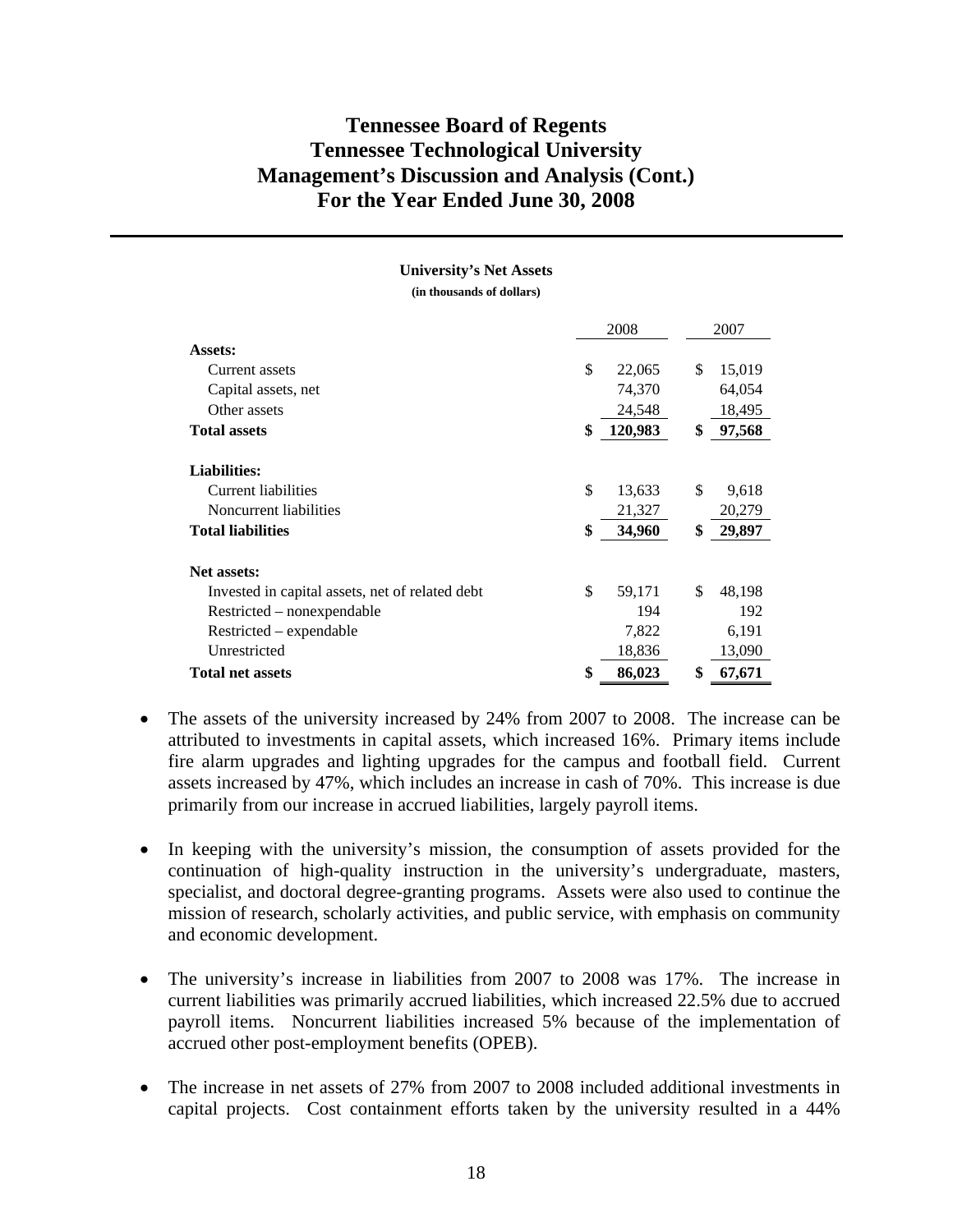|                                                 | 2008          | 2007         |
|-------------------------------------------------|---------------|--------------|
| Assets:                                         |               |              |
| Current assets                                  | \$<br>22,065  | \$<br>15,019 |
| Capital assets, net                             | 74,370        | 64,054       |
| Other assets                                    | 24,548        | 18,495       |
| <b>Total assets</b>                             | \$<br>120,983 | \$<br>97,568 |
| <b>Liabilities:</b>                             |               |              |
| Current liabilities                             | \$<br>13,633  | \$<br>9,618  |
| Noncurrent liabilities                          | 21,327        | 20,279       |
| <b>Total liabilities</b>                        | \$<br>34,960  | \$<br>29,897 |
| <b>Net assets:</b>                              |               |              |
| Invested in capital assets, net of related debt | \$<br>59,171  | \$<br>48,198 |
| Restricted - nonexpendable                      | 194           | 192          |
| Restricted – expendable                         | 7,822         | 6,191        |
| Unrestricted                                    | 18,836        | 13,090       |
| <b>Total net assets</b>                         | \$<br>86,023  | \$<br>67,671 |

**University's Net Assets (in thousands of dollars)** 

- In keeping with the university's mission, the consumption of assets provided for the continuation of high-quality instruction in the university's undergraduate, masters, specialist, and doctoral degree-granting programs. Assets were also used to continue the mission of research, scholarly activities, and public service, with emphasis on community and economic development.
- The university's increase in liabilities from 2007 to 2008 was 17%. The increase in current liabilities was primarily accrued liabilities, which increased 22.5% due to accrued payroll items. Noncurrent liabilities increased 5% because of the implementation of accrued other post-employment benefits (OPEB).
- The increase in net assets of 27% from 2007 to 2008 included additional investments in capital projects. Cost containment efforts taken by the university resulted in a 44%

<sup>•</sup> The assets of the university increased by 24% from 2007 to 2008. The increase can be attributed to investments in capital assets, which increased 16%. Primary items include fire alarm upgrades and lighting upgrades for the campus and football field. Current assets increased by 47%, which includes an increase in cash of 70%. This increase is due primarily from our increase in accrued liabilities, largely payroll items.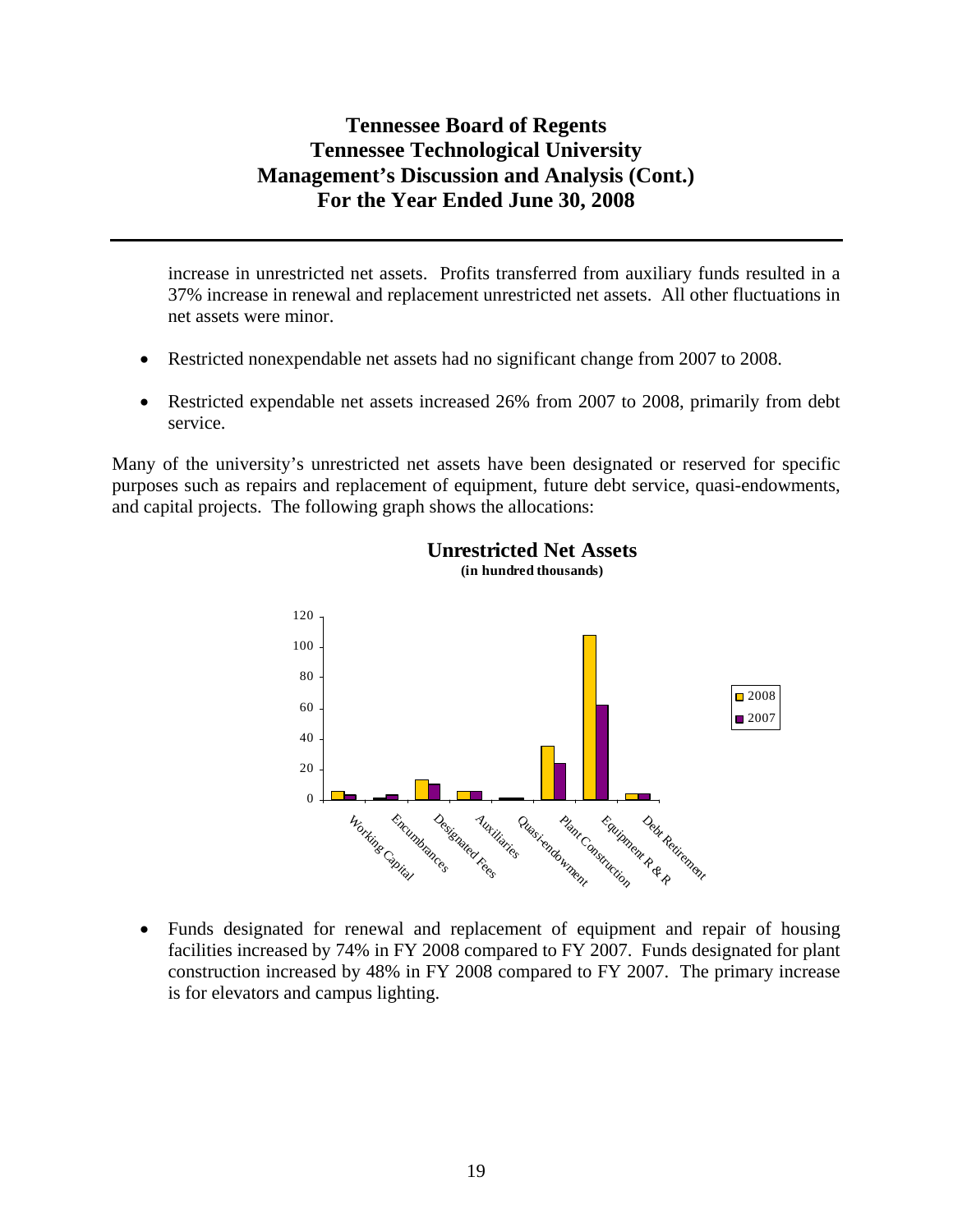increase in unrestricted net assets. Profits transferred from auxiliary funds resulted in a 37% increase in renewal and replacement unrestricted net assets. All other fluctuations in net assets were minor.

- Restricted nonexpendable net assets had no significant change from 2007 to 2008.
- Restricted expendable net assets increased 26% from 2007 to 2008, primarily from debt service.

Many of the university's unrestricted net assets have been designated or reserved for specific purposes such as repairs and replacement of equipment, future debt service, quasi-endowments, and capital projects. The following graph shows the allocations:



#### **Unrestricted Net Assets (in hundred thousands)**

• Funds designated for renewal and replacement of equipment and repair of housing facilities increased by 74% in FY 2008 compared to FY 2007. Funds designated for plant construction increased by 48% in FY 2008 compared to FY 2007. The primary increase is for elevators and campus lighting.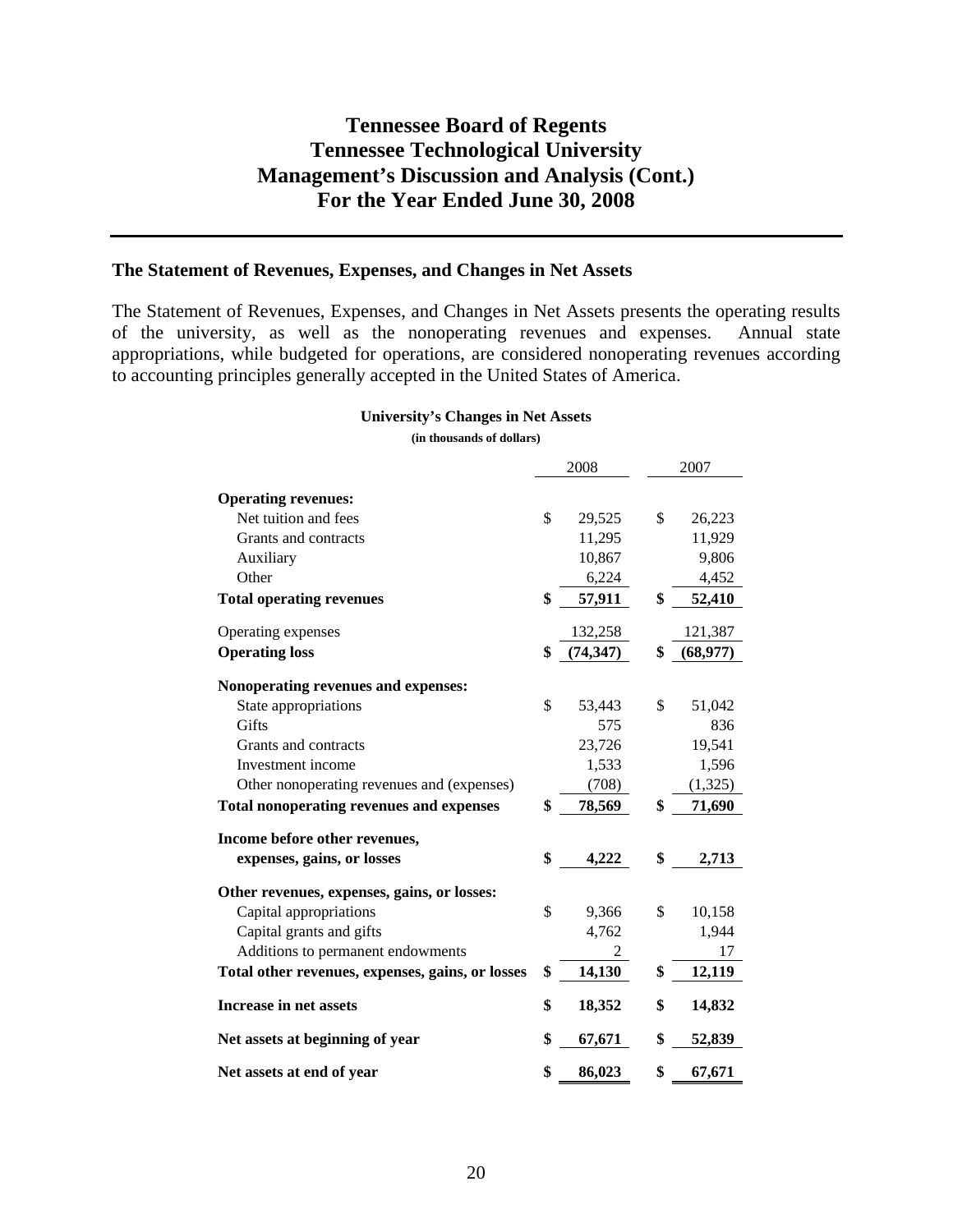## **The Statement of Revenues, Expenses, and Changes in Net Assets**

The Statement of Revenues, Expenses, and Changes in Net Assets presents the operating results of the university, as well as the nonoperating revenues and expenses. Annual state appropriations, while budgeted for operations, are considered nonoperating revenues according to accounting principles generally accepted in the United States of America.

#### **University's Changes in Net Assets (in thousands of dollars)**

|                                                  | 2008 |           | 2007           |
|--------------------------------------------------|------|-----------|----------------|
| <b>Operating revenues:</b>                       |      |           |                |
| Net tuition and fees                             | \$   | 29,525    | \$<br>26,223   |
| Grants and contracts                             |      | 11,295    | 11,929         |
| Auxiliary                                        |      | 10,867    | 9,806          |
| Other                                            |      | 6,224     | 4,452          |
| <b>Total operating revenues</b>                  | \$   | 57,911    | \$<br>52,410   |
| Operating expenses                               |      | 132,258   | 121,387        |
| <b>Operating loss</b>                            | \$   | (74, 347) | \$<br>(68,977) |
| Nonoperating revenues and expenses:              |      |           |                |
| State appropriations                             | \$   | 53,443    | \$<br>51,042   |
| Gifts                                            |      | 575       | 836            |
| Grants and contracts                             |      | 23,726    | 19,541         |
| Investment income                                |      | 1,533     | 1,596          |
| Other nonoperating revenues and (expenses)       |      | (708)     | (1,325)        |
| <b>Total nonoperating revenues and expenses</b>  | \$   | 78,569    | \$<br>71,690   |
| Income before other revenues,                    |      |           |                |
| expenses, gains, or losses                       | \$   | 4,222     | \$<br>2,713    |
| Other revenues, expenses, gains, or losses:      |      |           |                |
| Capital appropriations                           | \$   | 9,366     | \$<br>10,158   |
| Capital grants and gifts                         |      | 4,762     | 1,944          |
| Additions to permanent endowments                |      | 2         | 17             |
| Total other revenues, expenses, gains, or losses | \$   | 14,130    | \$<br>12,119   |
| Increase in net assets                           | \$   | 18,352    | \$<br>14,832   |
| Net assets at beginning of year                  | \$   | 67,671    | \$<br>52,839   |
| Net assets at end of year                        | \$   | 86,023    | \$<br>67,671   |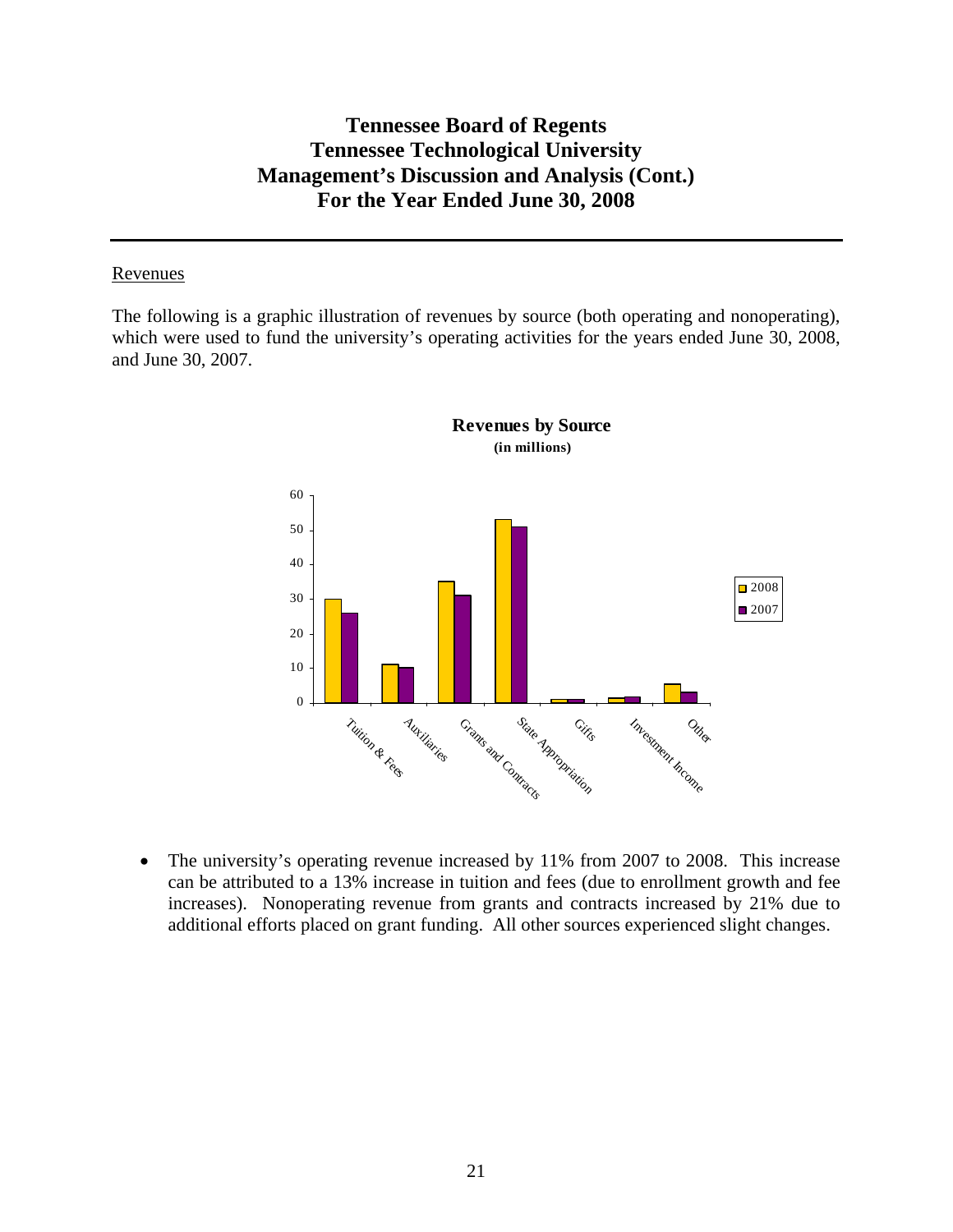#### Revenues

The following is a graphic illustration of revenues by source (both operating and nonoperating), which were used to fund the university's operating activities for the years ended June 30, 2008, and June 30, 2007.



• The university's operating revenue increased by 11% from 2007 to 2008. This increase can be attributed to a 13% increase in tuition and fees (due to enrollment growth and fee increases). Nonoperating revenue from grants and contracts increased by 21% due to additional efforts placed on grant funding. All other sources experienced slight changes.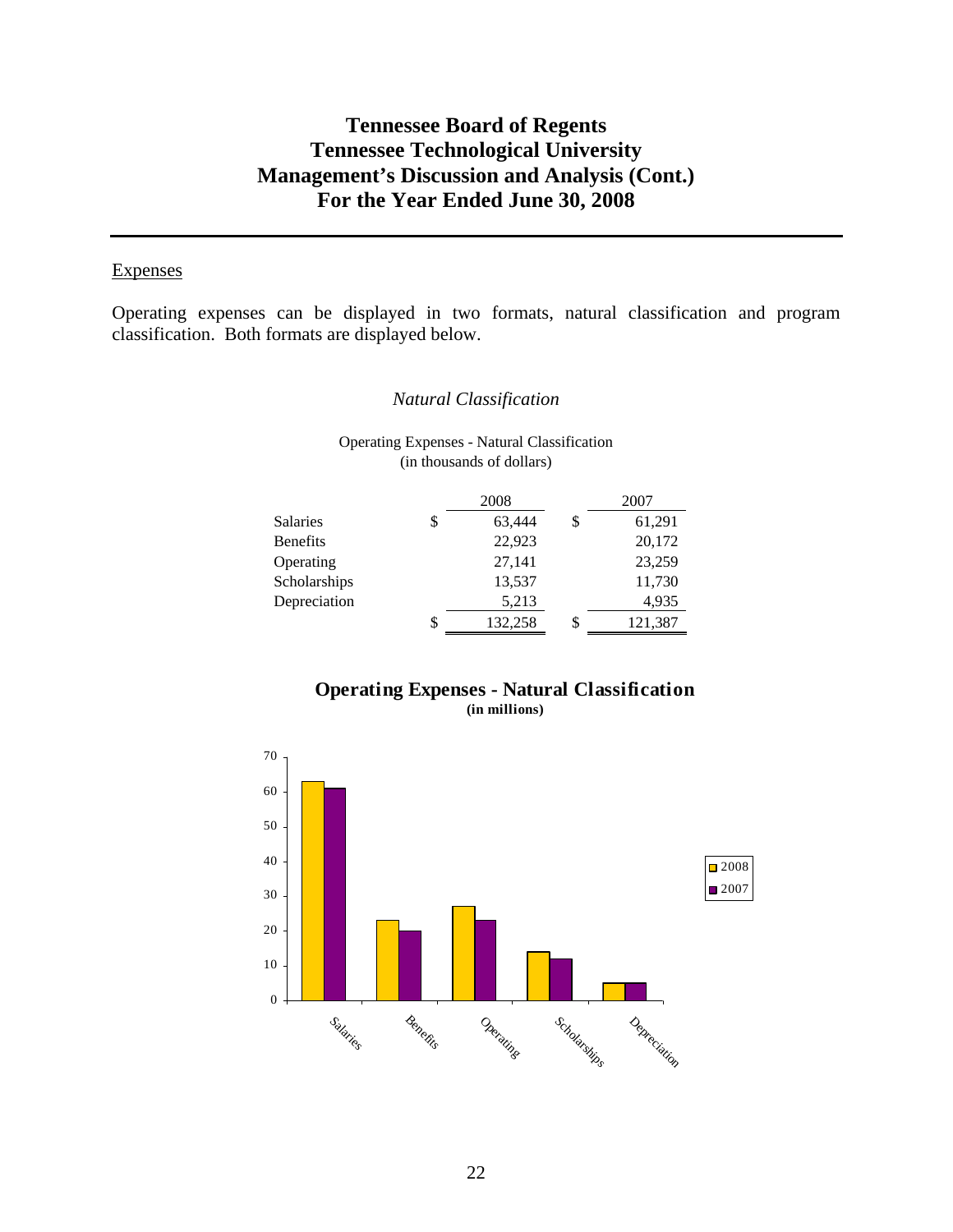#### **Expenses**

Operating expenses can be displayed in two formats, natural classification and program classification. Both formats are displayed below.

#### *Natural Classification*

Operating Expenses - Natural Classification (in thousands of dollars)

|                 |    | 2008    |   | 2007    |
|-----------------|----|---------|---|---------|
| <b>Salaries</b> | \$ | 63,444  |   | 61,291  |
| <b>Benefits</b> |    | 22,923  |   | 20,172  |
| Operating       |    | 27,141  |   | 23,259  |
| Scholarships    |    | 13,537  |   | 11,730  |
| Depreciation    |    | 5,213   |   | 4,935   |
|                 | S  | 132,258 | S | 121,387 |

## **Operating Expenses - Natural Classification (in millions)**

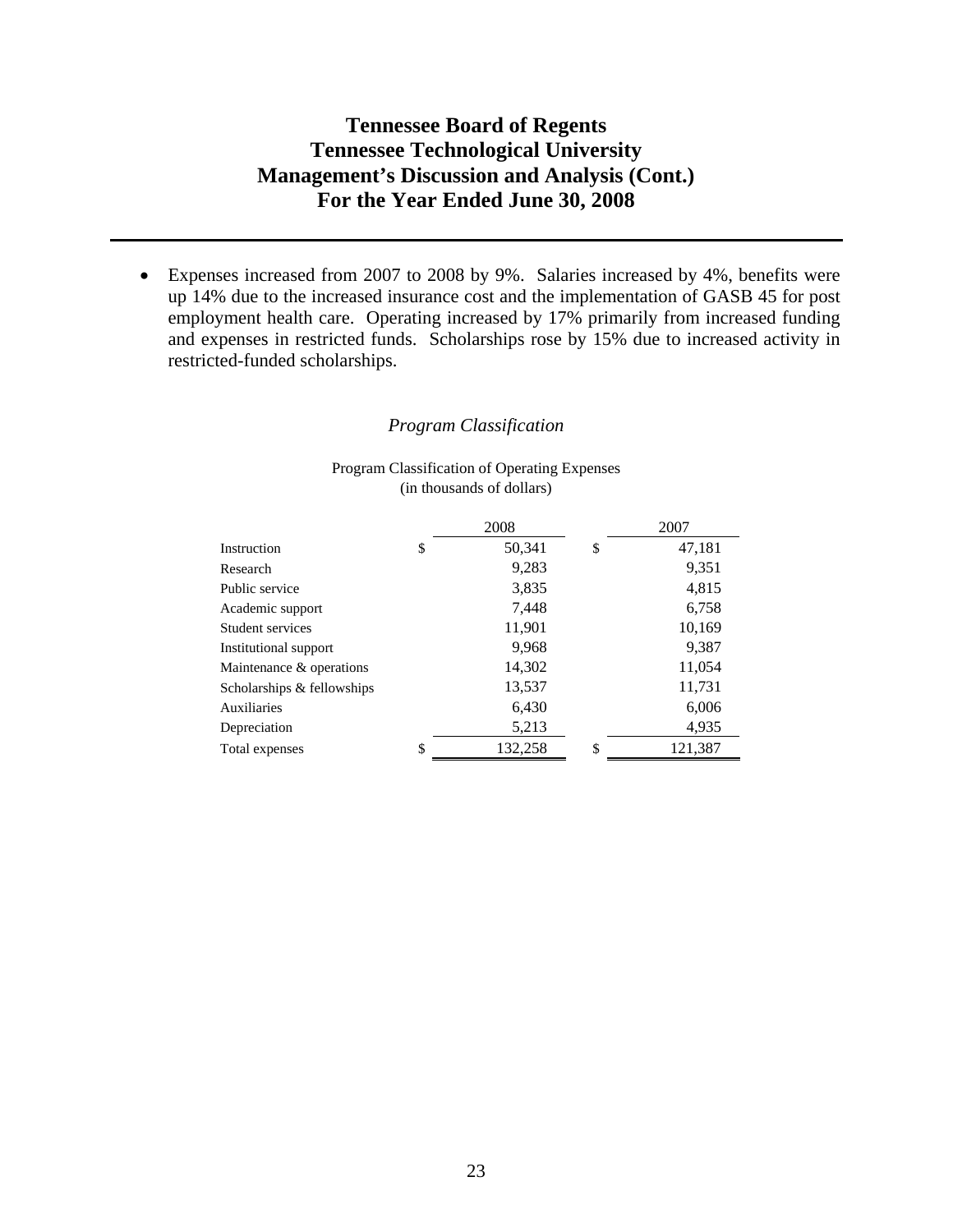• Expenses increased from 2007 to 2008 by 9%. Salaries increased by 4%, benefits were up 14% due to the increased insurance cost and the implementation of GASB 45 for post employment health care. Operating increased by 17% primarily from increased funding and expenses in restricted funds. Scholarships rose by 15% due to increased activity in restricted-funded scholarships.

#### *Program Classification*

#### Program Classification of Operating Expenses (in thousands of dollars)

|                            | 2008          | 2007          |
|----------------------------|---------------|---------------|
| Instruction                | \$<br>50,341  | \$<br>47,181  |
| Research                   | 9,283         | 9,351         |
| Public service             | 3,835         | 4,815         |
| Academic support           | 7,448         | 6,758         |
| Student services           | 11,901        | 10,169        |
| Institutional support      | 9,968         | 9,387         |
| Maintenance & operations   | 14,302        | 11,054        |
| Scholarships & fellowships | 13,537        | 11,731        |
| Auxiliaries                | 6,430         | 6,006         |
| Depreciation               | 5,213         | 4,935         |
| Total expenses             | \$<br>132,258 | \$<br>121,387 |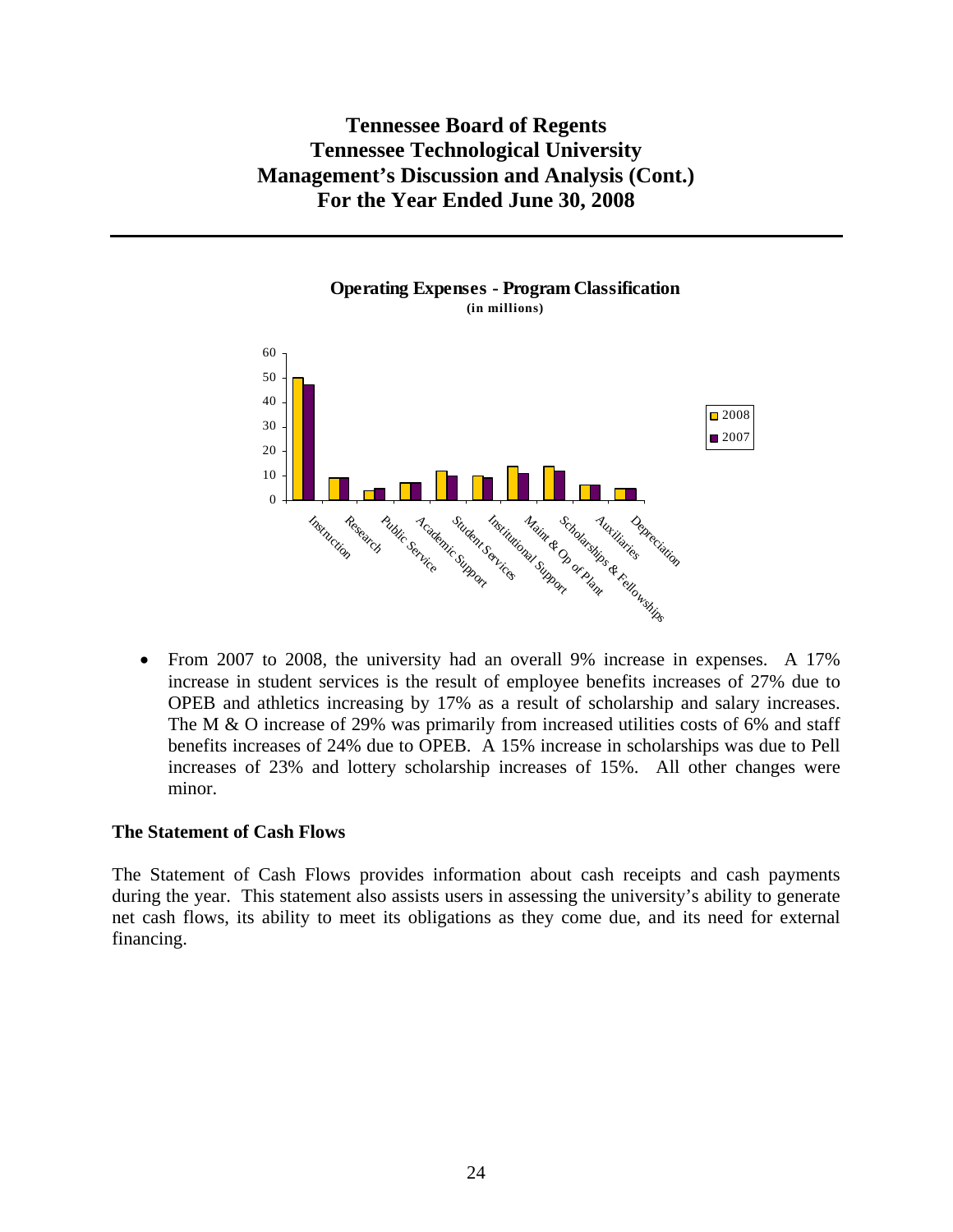

• From 2007 to 2008, the university had an overall 9% increase in expenses. A 17% increase in student services is the result of employee benefits increases of 27% due to OPEB and athletics increasing by 17% as a result of scholarship and salary increases. The M & O increase of 29% was primarily from increased utilities costs of 6% and staff benefits increases of 24% due to OPEB. A 15% increase in scholarships was due to Pell increases of 23% and lottery scholarship increases of 15%. All other changes were minor.

#### **The Statement of Cash Flows**

The Statement of Cash Flows provides information about cash receipts and cash payments during the year. This statement also assists users in assessing the university's ability to generate net cash flows, its ability to meet its obligations as they come due, and its need for external financing.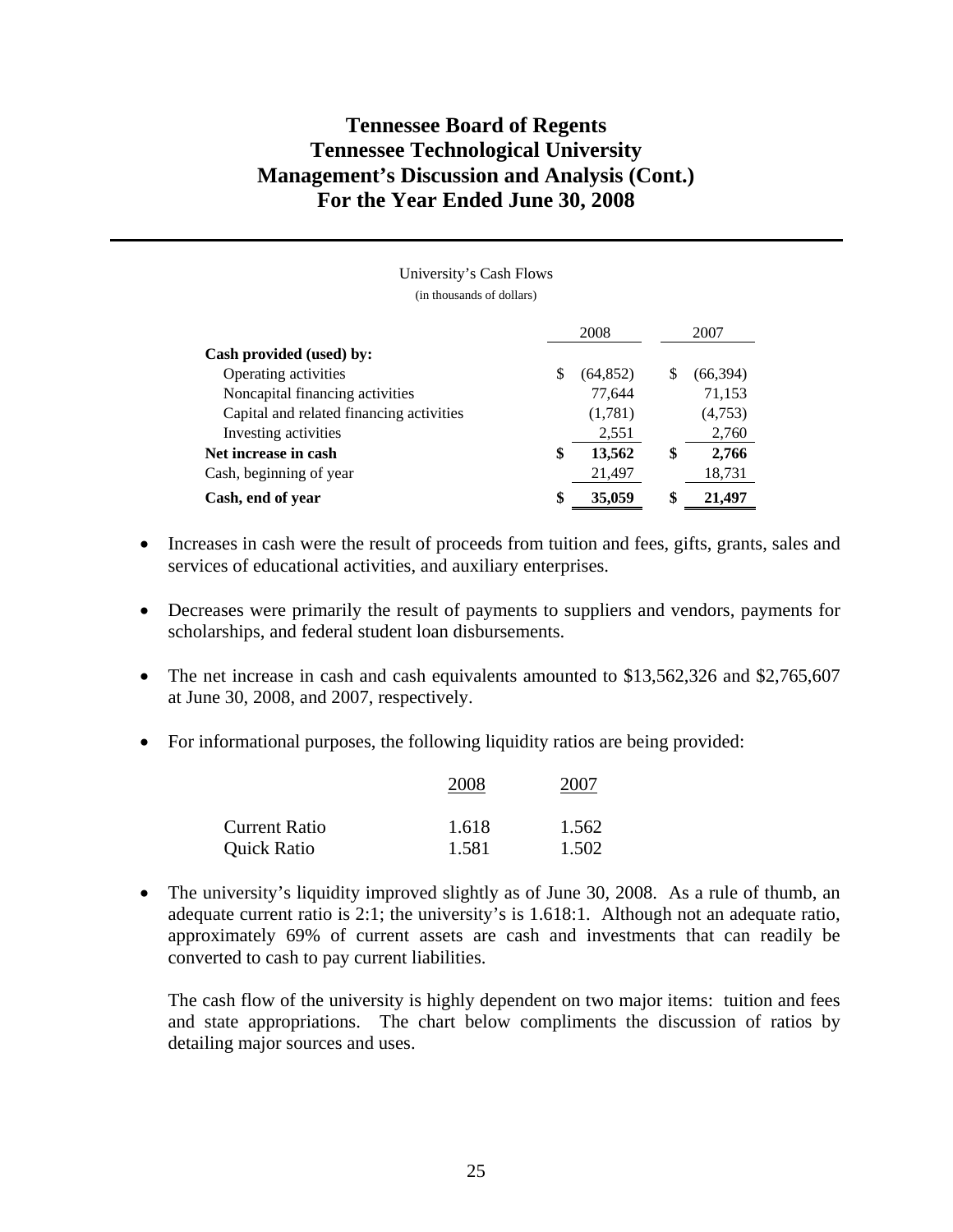University's Cash Flows (in thousands of dollars)

 2008 2007 **Cash provided (used) by:**  Operating activities  $\frac{1}{2}$  (64,852)  $\frac{1}{2}$  (66,394) Noncapital financing activities 77,644 71,153 Capital and related financing activities (1,781) (4,753) Investing activities 2,551 2,760 **Net increase in cash \$ 13,562 \$ 2,766**  Cash, beginning of year 21,497 18,731 **Cash, end of year \$ 35,059 \$ 21,497** 

- Increases in cash were the result of proceeds from tuition and fees, gifts, grants, sales and services of educational activities, and auxiliary enterprises.
- Decreases were primarily the result of payments to suppliers and vendors, payments for scholarships, and federal student loan disbursements.
- The net increase in cash and cash equivalents amounted to \$13,562,326 and \$2,765,607 at June 30, 2008, and 2007, respectively.
- For informational purposes, the following liquidity ratios are being provided:

|                    | 2008  | 2007  |
|--------------------|-------|-------|
| Current Ratio      | 1.618 | 1.562 |
| <b>Quick Ratio</b> | 1.581 | 1.502 |

• The university's liquidity improved slightly as of June 30, 2008. As a rule of thumb, an adequate current ratio is 2:1; the university's is 1.618:1. Although not an adequate ratio, approximately 69% of current assets are cash and investments that can readily be converted to cash to pay current liabilities.

The cash flow of the university is highly dependent on two major items: tuition and fees and state appropriations. The chart below compliments the discussion of ratios by detailing major sources and uses.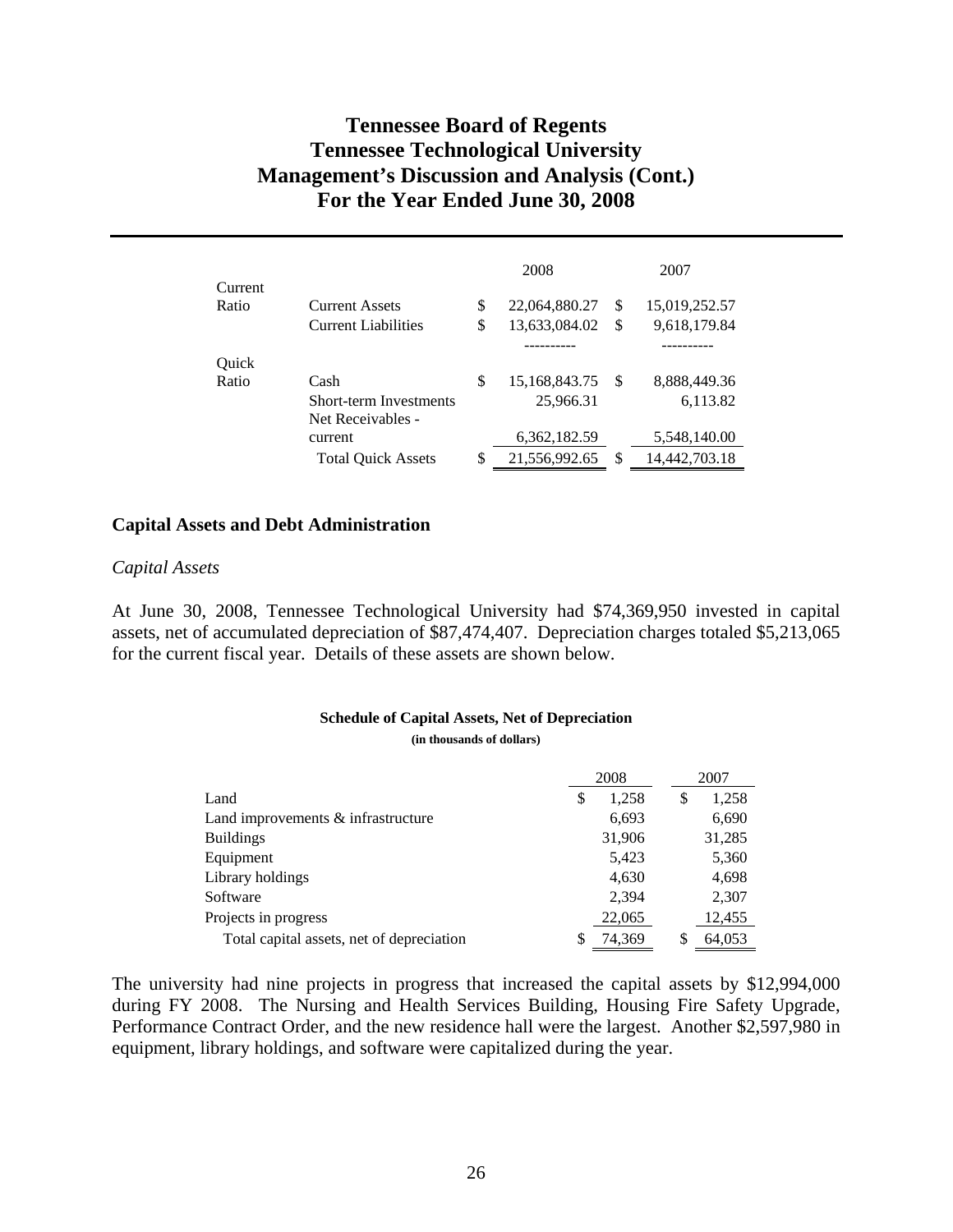|                  |                                              |          | 2008                           |          | 2007                          |  |
|------------------|----------------------------------------------|----------|--------------------------------|----------|-------------------------------|--|
| Current<br>Ratio | Current Assets<br><b>Current Liabilities</b> | \$<br>\$ | 22,064,880.27<br>13,633,084.02 | \$<br>\$ | 15,019,252.57<br>9,618,179.84 |  |
|                  |                                              |          |                                |          |                               |  |
| Quick            |                                              |          |                                |          |                               |  |
| Ratio            | Cash                                         | \$       | 15,168,843.75                  | -S       | 8,888,449.36                  |  |
|                  | Short-term Investments<br>Net Receivables -  |          | 25,966.31                      |          | 6,113.82                      |  |
|                  | current                                      |          | 6,362,182.59                   |          | 5,548,140.00                  |  |
|                  | <b>Total Quick Assets</b>                    | \$       | 21,556,992.65                  | \$       | 14,442,703.18                 |  |

### **Capital Assets and Debt Administration**

#### *Capital Assets*

At June 30, 2008, Tennessee Technological University had \$74,369,950 invested in capital assets, net of accumulated depreciation of \$87,474,407. Depreciation charges totaled \$5,213,065 for the current fiscal year. Details of these assets are shown below.

# **Schedule of Capital Assets, Net of Depreciation**

**(in thousands of dollars)** 

|                                           | 2008 |        |   | 2007   |
|-------------------------------------------|------|--------|---|--------|
| Land                                      | \$   | 1,258  | S | 1,258  |
| Land improvements $&$ infrastructure      |      | 6,693  |   | 6,690  |
| <b>Buildings</b>                          |      | 31,906 |   | 31,285 |
| Equipment                                 |      | 5,423  |   | 5,360  |
| Library holdings                          |      | 4,630  |   | 4,698  |
| Software                                  |      | 2,394  |   | 2,307  |
| Projects in progress                      |      | 22,065 |   | 12,455 |
| Total capital assets, net of depreciation |      | 74,369 |   | 64,053 |

The university had nine projects in progress that increased the capital assets by \$12,994,000 during FY 2008. The Nursing and Health Services Building, Housing Fire Safety Upgrade, Performance Contract Order, and the new residence hall were the largest. Another \$2,597,980 in equipment, library holdings, and software were capitalized during the year.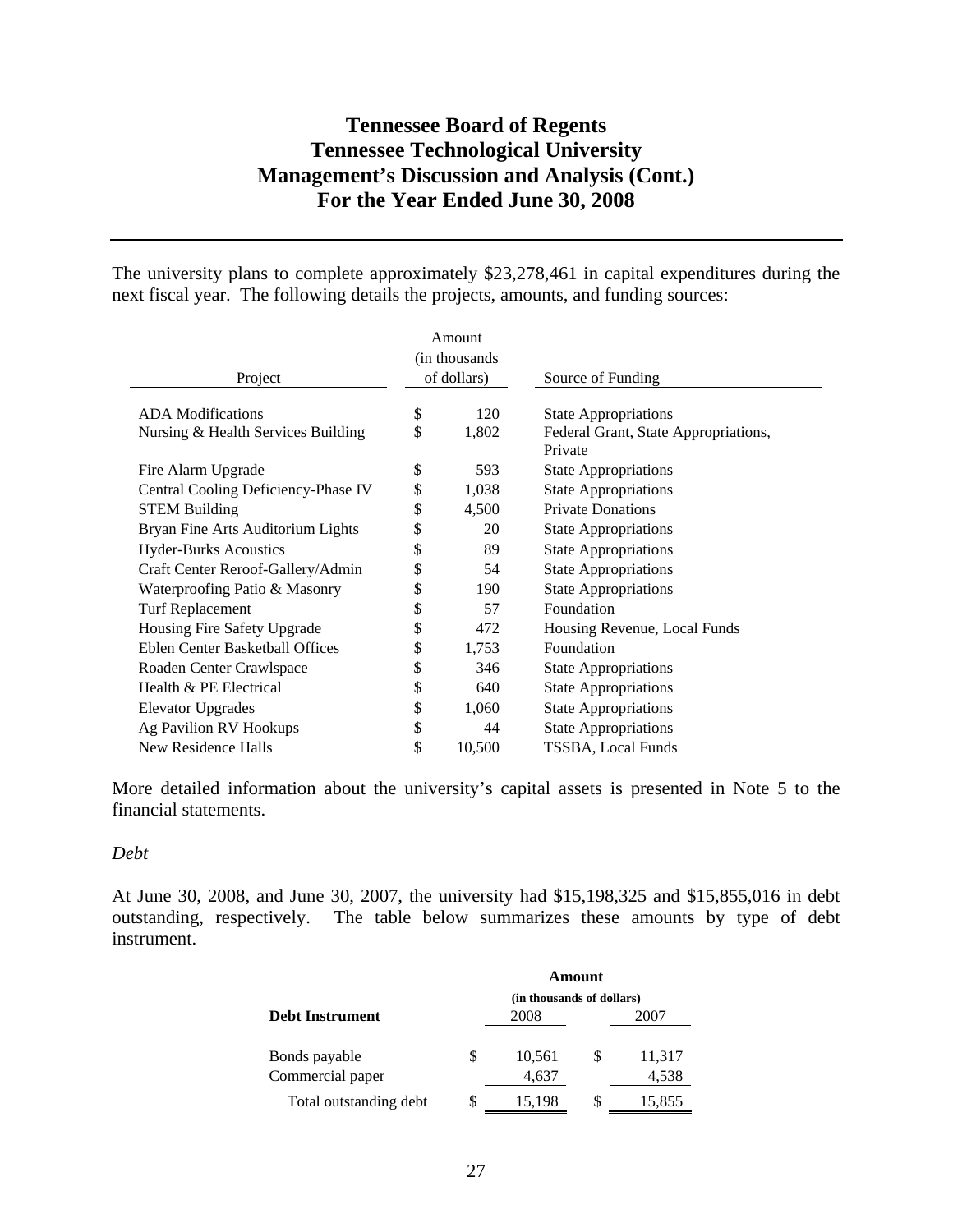The university plans to complete approximately \$23,278,461 in capital expenditures during the next fiscal year. The following details the projects, amounts, and funding sources:

|                                     |             | Amount |                                      |
|-------------------------------------|-------------|--------|--------------------------------------|
|                                     |             |        |                                      |
| Project                             | of dollars) |        | Source of Funding                    |
|                                     |             |        |                                      |
| <b>ADA</b> Modifications            | \$          | 120    | <b>State Appropriations</b>          |
| Nursing & Health Services Building  | \$          | 1,802  | Federal Grant, State Appropriations, |
|                                     |             |        | Private                              |
| Fire Alarm Upgrade                  | \$          | 593    | <b>State Appropriations</b>          |
| Central Cooling Deficiency-Phase IV | \$          | 1,038  | <b>State Appropriations</b>          |
| <b>STEM Building</b>                | \$          | 4,500  | <b>Private Donations</b>             |
| Bryan Fine Arts Auditorium Lights   | \$          | 20     | <b>State Appropriations</b>          |
| <b>Hyder-Burks Acoustics</b>        | \$          | 89     | <b>State Appropriations</b>          |
| Craft Center Reroof-Gallery/Admin   | \$          | 54     | <b>State Appropriations</b>          |
| Waterproofing Patio & Masonry       | \$          | 190    | <b>State Appropriations</b>          |
| <b>Turf Replacement</b>             | \$          | 57     | Foundation                           |
| Housing Fire Safety Upgrade         | \$          | 472    | Housing Revenue, Local Funds         |
| Eblen Center Basketball Offices     | \$          | 1,753  | Foundation                           |
| Roaden Center Crawlspace            | \$          | 346    | <b>State Appropriations</b>          |
| Health & PE Electrical              | \$          | 640    | <b>State Appropriations</b>          |
| <b>Elevator Upgrades</b>            | \$          | 1,060  | <b>State Appropriations</b>          |
| Ag Pavilion RV Hookups              | \$          | 44     | <b>State Appropriations</b>          |
| New Residence Halls                 | \$          | 10,500 | TSSBA, Local Funds                   |

More detailed information about the university's capital assets is presented in Note 5 to the financial statements.

#### *Debt*

At June 30, 2008, and June 30, 2007, the university had \$15,198,325 and \$15,855,016 in debt outstanding, respectively. The table below summarizes these amounts by type of debt instrument.

|                        |   | (in thousands of dollars) |   |        |
|------------------------|---|---------------------------|---|--------|
| <b>Debt Instrument</b> |   | 2008                      |   | 2007   |
|                        |   |                           |   |        |
| Bonds payable          | S | 10,561                    | S | 11,317 |
| Commercial paper       |   | 4,637                     |   | 4,538  |
| Total outstanding debt | S | 15,198                    | S | 15,855 |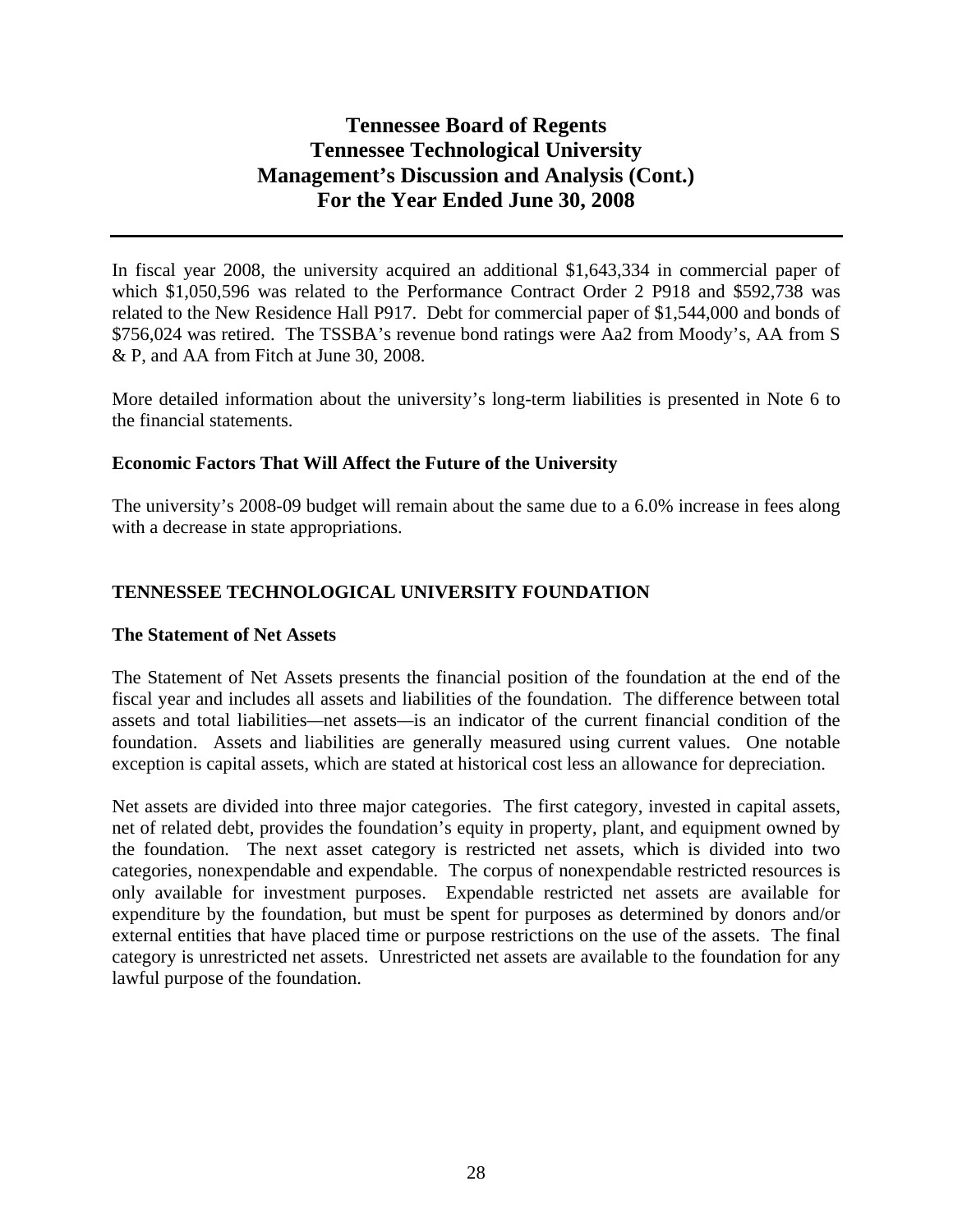In fiscal year 2008, the university acquired an additional \$1,643,334 in commercial paper of which \$1,050,596 was related to the Performance Contract Order 2 P918 and \$592,738 was related to the New Residence Hall P917. Debt for commercial paper of \$1,544,000 and bonds of \$756,024 was retired. The TSSBA's revenue bond ratings were Aa2 from Moody's, AA from S & P, and AA from Fitch at June 30, 2008.

More detailed information about the university's long-term liabilities is presented in Note 6 to the financial statements.

## **Economic Factors That Will Affect the Future of the University**

The university's 2008-09 budget will remain about the same due to a 6.0% increase in fees along with a decrease in state appropriations.

## **TENNESSEE TECHNOLOGICAL UNIVERSITY FOUNDATION**

## **The Statement of Net Assets**

The Statement of Net Assets presents the financial position of the foundation at the end of the fiscal year and includes all assets and liabilities of the foundation. The difference between total assets and total liabilities*—*net assets*—*is an indicator of the current financial condition of the foundation. Assets and liabilities are generally measured using current values. One notable exception is capital assets, which are stated at historical cost less an allowance for depreciation.

Net assets are divided into three major categories. The first category, invested in capital assets, net of related debt, provides the foundation's equity in property, plant, and equipment owned by the foundation. The next asset category is restricted net assets, which is divided into two categories, nonexpendable and expendable. The corpus of nonexpendable restricted resources is only available for investment purposes. Expendable restricted net assets are available for expenditure by the foundation, but must be spent for purposes as determined by donors and/or external entities that have placed time or purpose restrictions on the use of the assets. The final category is unrestricted net assets. Unrestricted net assets are available to the foundation for any lawful purpose of the foundation.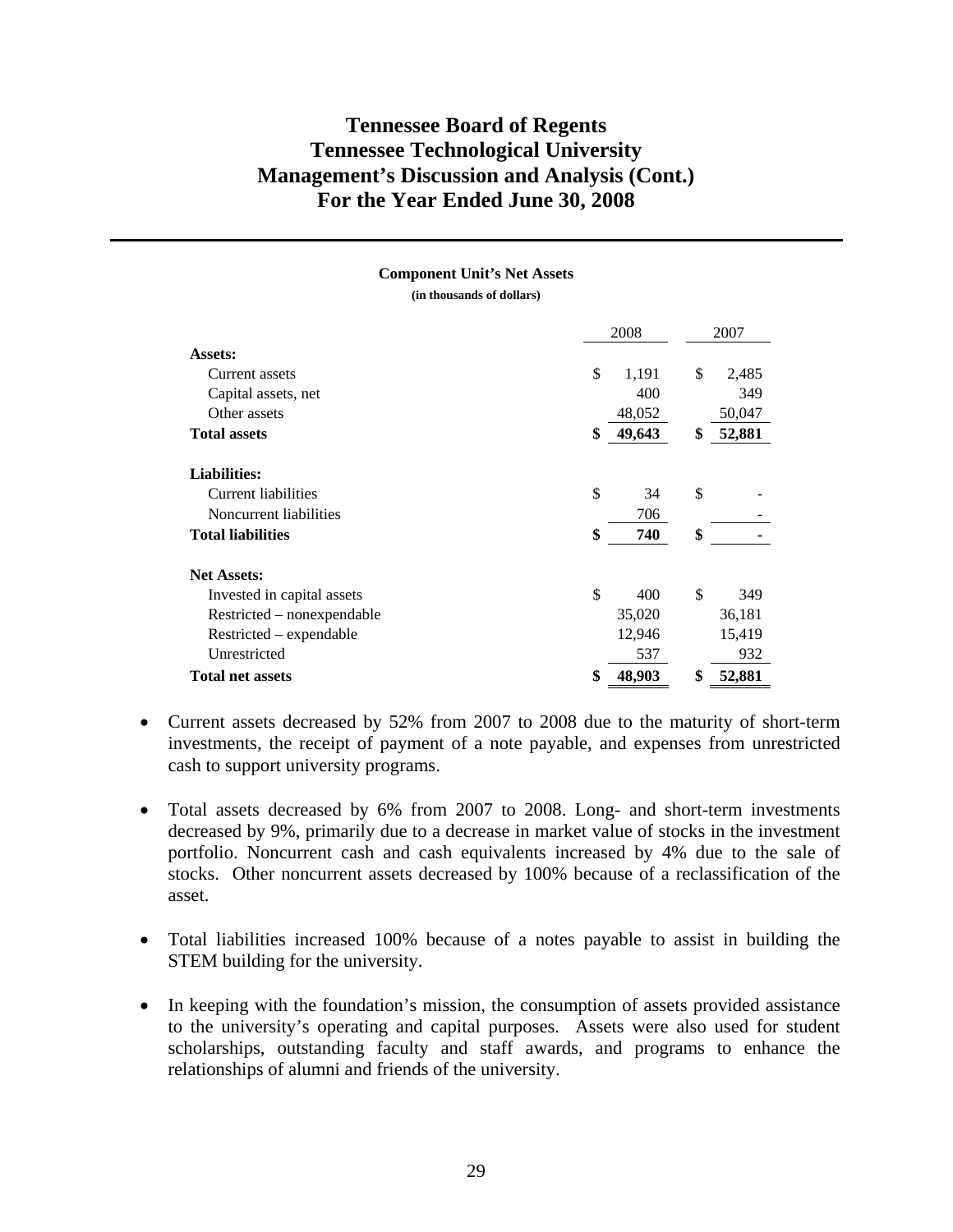#### **Component Unit's Net Assets**

**(in thousands of dollars)** 

|                            | 2008         |    | 2007   |  |
|----------------------------|--------------|----|--------|--|
| Assets:                    |              |    |        |  |
| Current assets             | \$<br>1,191  | \$ | 2,485  |  |
| Capital assets, net        | 400          |    | 349    |  |
| Other assets               | 48,052       |    | 50,047 |  |
| <b>Total assets</b>        | \$<br>49,643 | \$ | 52,881 |  |
| <b>Liabilities:</b>        |              |    |        |  |
| Current liabilities        | \$<br>34     | \$ |        |  |
| Noncurrent liabilities     | 706          |    |        |  |
| <b>Total liabilities</b>   | \$<br>740    | \$ |        |  |
| <b>Net Assets:</b>         |              |    |        |  |
| Invested in capital assets | \$<br>400    | \$ | 349    |  |
| Restricted – nonexpendable | 35,020       |    | 36,181 |  |
| Restricted – expendable    | 12,946       |    | 15,419 |  |
| Unrestricted               | 537          |    | 932    |  |
| <b>Total net assets</b>    | \$<br>48,903 | \$ | 52,881 |  |

- Current assets decreased by 52% from 2007 to 2008 due to the maturity of short-term investments, the receipt of payment of a note payable, and expenses from unrestricted cash to support university programs.
- Total assets decreased by 6% from 2007 to 2008. Long- and short-term investments decreased by 9%, primarily due to a decrease in market value of stocks in the investment portfolio. Noncurrent cash and cash equivalents increased by 4% due to the sale of stocks. Other noncurrent assets decreased by 100% because of a reclassification of the asset.
- Total liabilities increased 100% because of a notes payable to assist in building the STEM building for the university.
- In keeping with the foundation's mission, the consumption of assets provided assistance to the university's operating and capital purposes. Assets were also used for student scholarships, outstanding faculty and staff awards, and programs to enhance the relationships of alumni and friends of the university.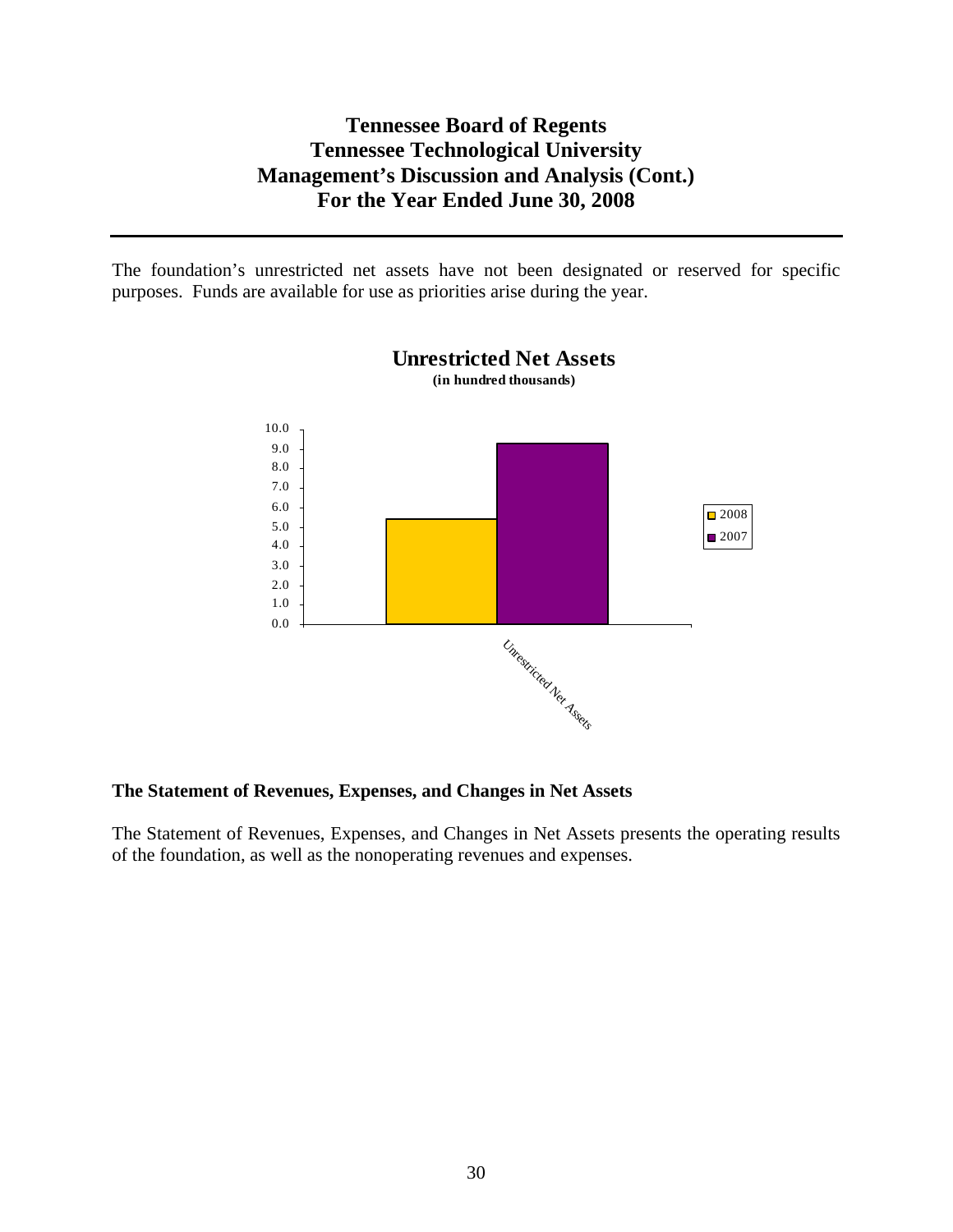The foundation's unrestricted net assets have not been designated or reserved for specific purposes. Funds are available for use as priorities arise during the year.



# **Unrestricted Net Assets**

## **The Statement of Revenues, Expenses, and Changes in Net Assets**

The Statement of Revenues, Expenses, and Changes in Net Assets presents the operating results of the foundation, as well as the nonoperating revenues and expenses.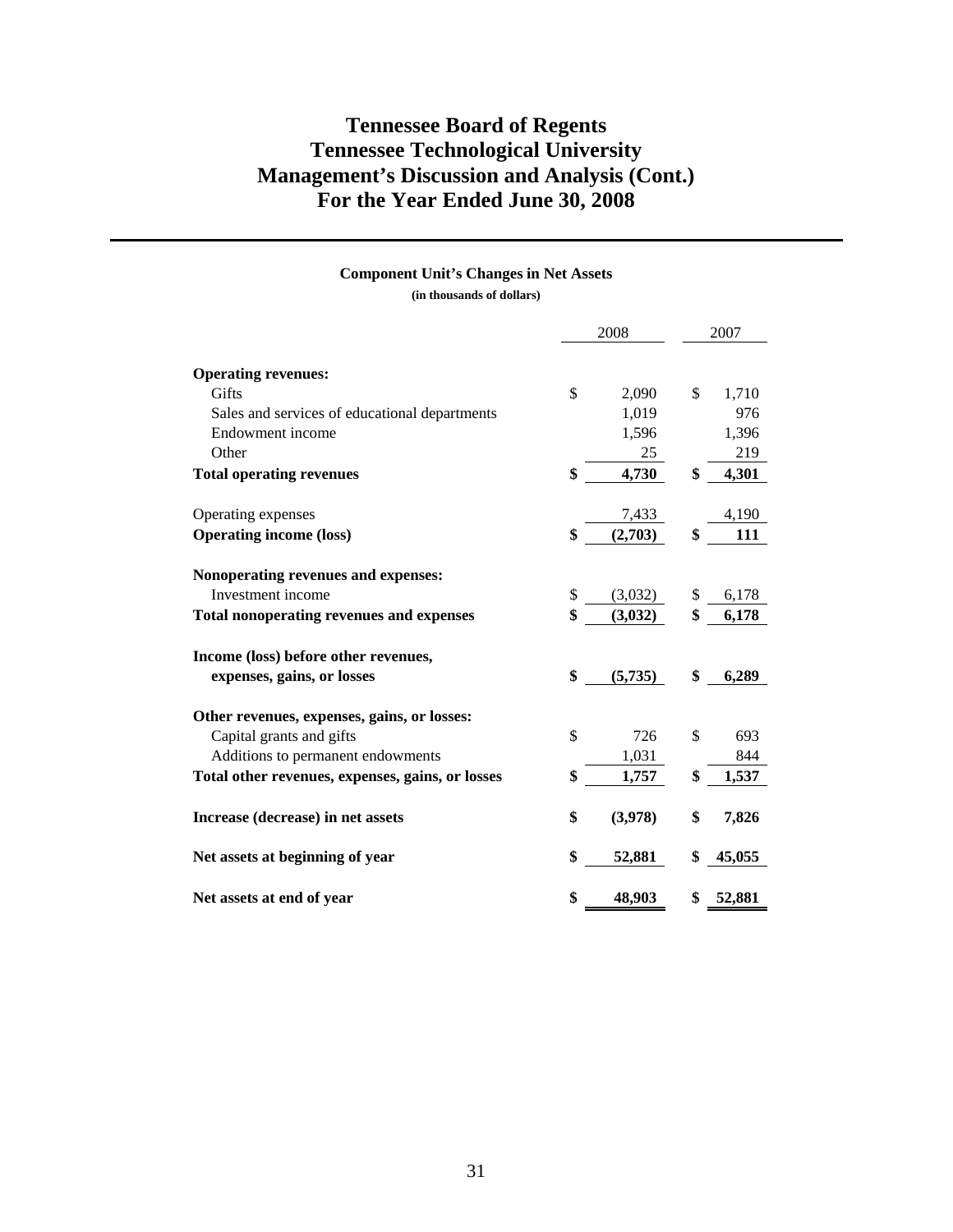#### **Component Unit's Changes in Net Assets**

**(in thousands of dollars)** 

|                                                  | 2008 |         | 2007         |  |
|--------------------------------------------------|------|---------|--------------|--|
|                                                  |      |         |              |  |
| <b>Operating revenues:</b>                       |      |         |              |  |
| Gifts                                            | \$   | 2,090   | \$<br>1,710  |  |
| Sales and services of educational departments    |      | 1,019   | 976          |  |
| Endowment income                                 |      | 1,596   | 1,396        |  |
| Other                                            |      | 25      | 219          |  |
| <b>Total operating revenues</b>                  | \$   | 4,730   | \$<br>4,301  |  |
| Operating expenses                               |      | 7,433   | 4,190        |  |
| <b>Operating income (loss)</b>                   | \$   | (2,703) | \$<br>111    |  |
|                                                  |      |         |              |  |
| Nonoperating revenues and expenses:              |      |         |              |  |
| Investment income                                | \$   | (3,032) | \$<br>6,178  |  |
| <b>Total nonoperating revenues and expenses</b>  | \$   | (3,032) | \$<br>6,178  |  |
| Income (loss) before other revenues,             |      |         |              |  |
| expenses, gains, or losses                       | \$   | (5,735) | \$<br>6,289  |  |
| Other revenues, expenses, gains, or losses:      |      |         |              |  |
| Capital grants and gifts                         | \$   | 726     | \$<br>693    |  |
| Additions to permanent endowments                |      | 1,031   | 844          |  |
| Total other revenues, expenses, gains, or losses | \$   | 1,757   | \$<br>1,537  |  |
| Increase (decrease) in net assets                | \$   | (3,978) | \$<br>7,826  |  |
| Net assets at beginning of year                  | \$   | 52,881  | \$<br>45,055 |  |
| Net assets at end of year                        | \$   | 48,903  | \$<br>52,881 |  |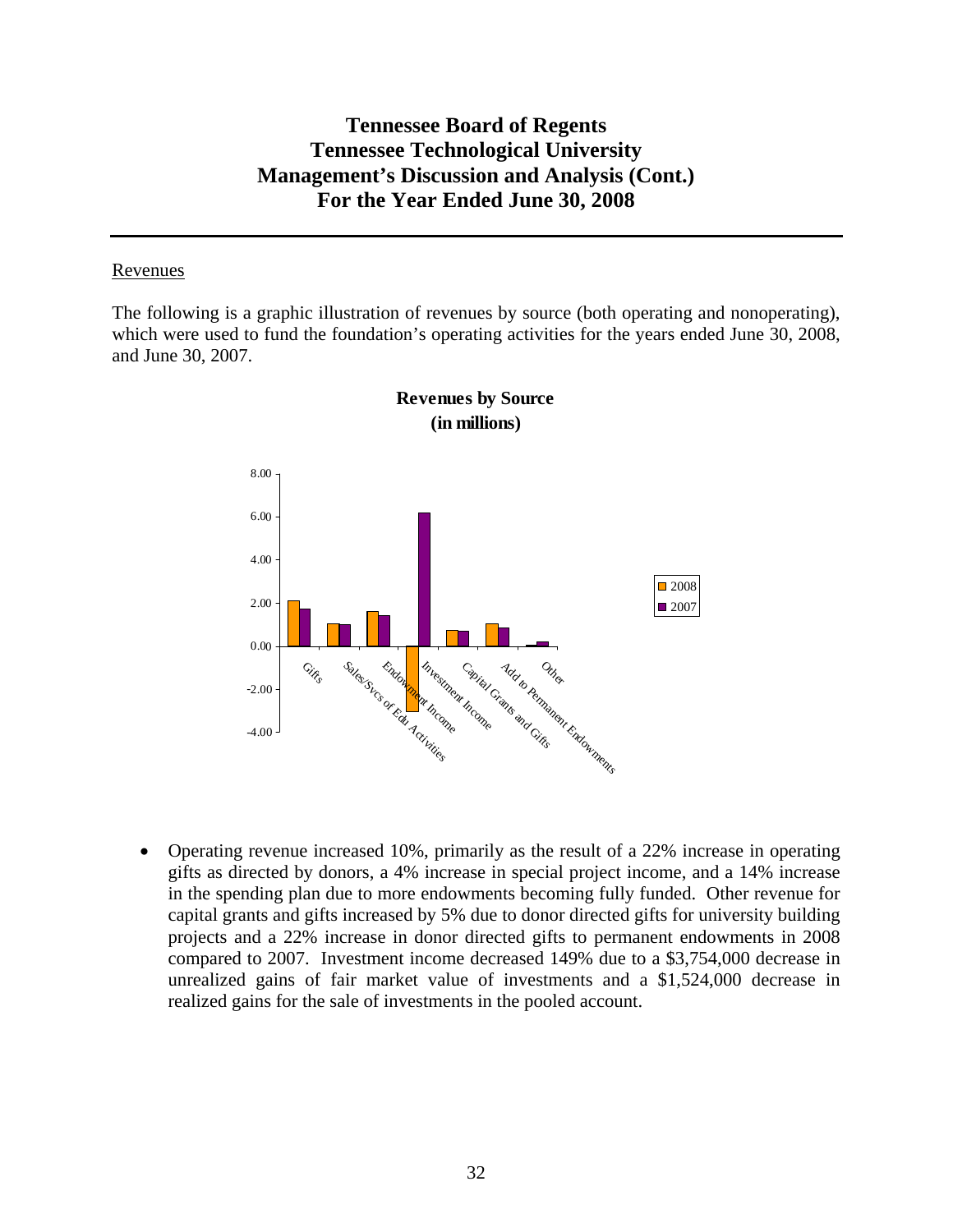### Revenues

The following is a graphic illustration of revenues by source (both operating and nonoperating), which were used to fund the foundation's operating activities for the years ended June 30, 2008, and June 30, 2007.





• Operating revenue increased 10%, primarily as the result of a 22% increase in operating gifts as directed by donors, a 4% increase in special project income, and a 14% increase in the spending plan due to more endowments becoming fully funded. Other revenue for capital grants and gifts increased by 5% due to donor directed gifts for university building projects and a 22% increase in donor directed gifts to permanent endowments in 2008 compared to 2007. Investment income decreased 149% due to a \$3,754,000 decrease in unrealized gains of fair market value of investments and a \$1,524,000 decrease in realized gains for the sale of investments in the pooled account.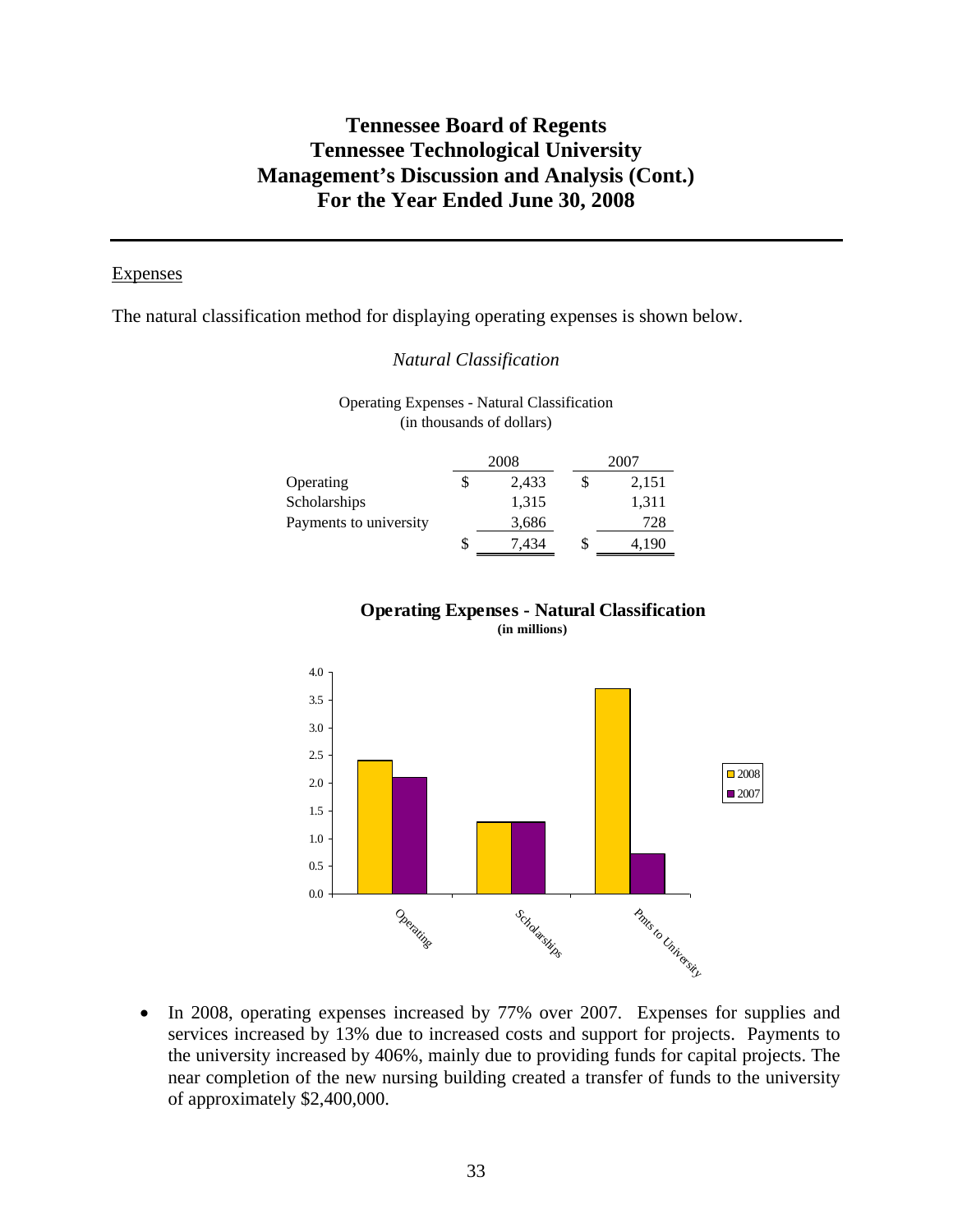#### **Expenses**

The natural classification method for displaying operating expenses is shown below.

### *Natural Classification*

Operating Expenses - Natural Classification (in thousands of dollars)

|                        | 2008  |   | 2007  |
|------------------------|-------|---|-------|
| Operating              | 2,433 | S | 2,151 |
| Scholarships           | 1,315 |   | 1,311 |
| Payments to university | 3,686 |   | 728   |
|                        | 7,434 | S | 4,190 |

# **Operating Expenses - Natural Classification**

**(in millions)**



• In 2008, operating expenses increased by 77% over 2007. Expenses for supplies and services increased by 13% due to increased costs and support for projects. Payments to the university increased by 406%, mainly due to providing funds for capital projects. The near completion of the new nursing building created a transfer of funds to the university of approximately \$2,400,000.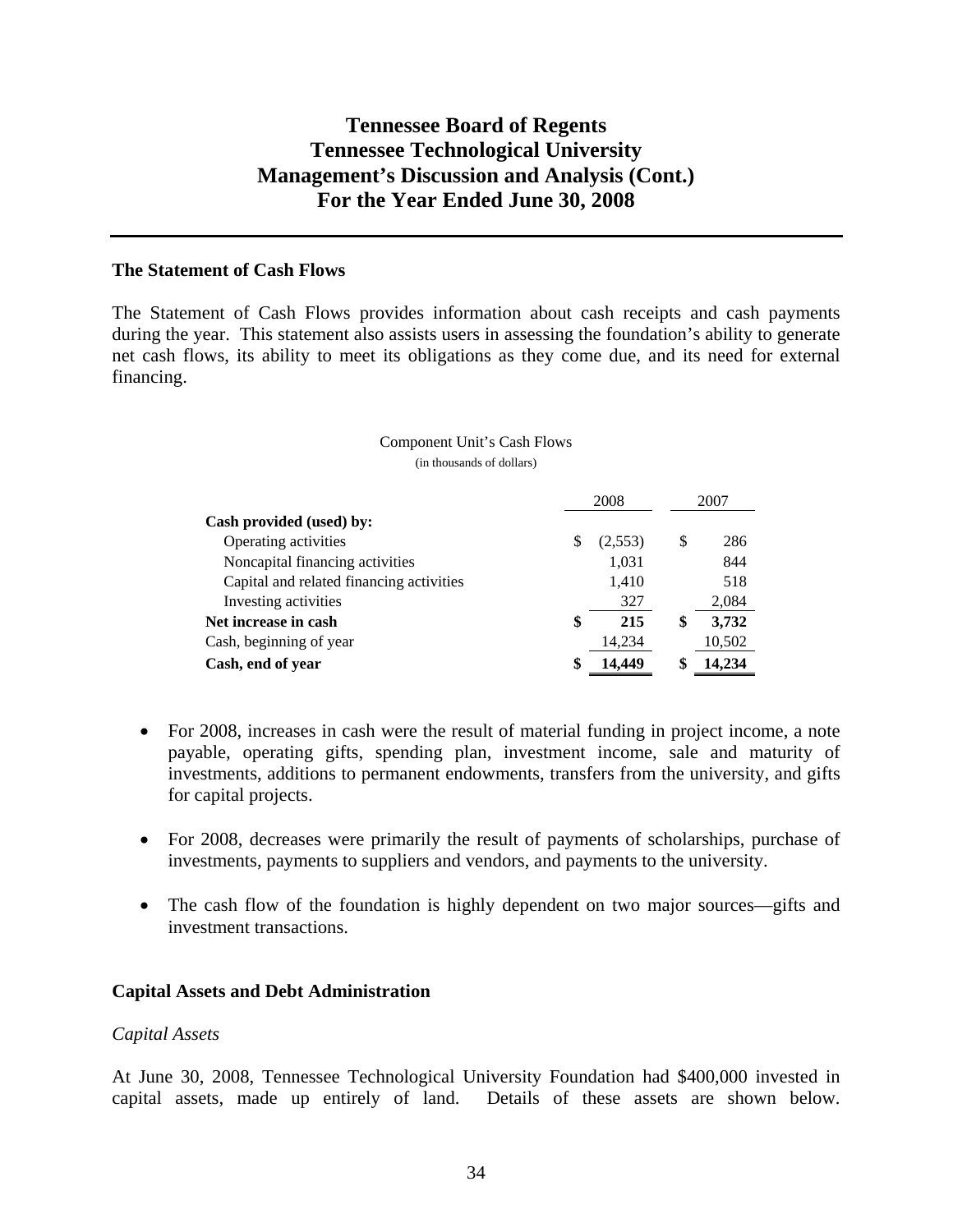### **The Statement of Cash Flows**

The Statement of Cash Flows provides information about cash receipts and cash payments during the year. This statement also assists users in assessing the foundation's ability to generate net cash flows, its ability to meet its obligations as they come due, and its need for external financing.

#### Component Unit's Cash Flows (in thousands of dollars)

|                                          | 2008          |    | 2007   |
|------------------------------------------|---------------|----|--------|
| Cash provided (used) by:                 |               |    |        |
| Operating activities                     | \$<br>(2,553) | S  | 286    |
| Noncapital financing activities          | 1,031         |    | 844    |
| Capital and related financing activities | 1,410         |    | 518    |
| Investing activities                     | 327           |    | 2,084  |
| Net increase in cash                     | \$<br>215     | \$ | 3,732  |
| Cash, beginning of year                  | 14,234        |    | 10,502 |
| Cash, end of year                        | \$<br>14.449  |    | 14,234 |

- For 2008, increases in cash were the result of material funding in project income, a note payable, operating gifts, spending plan, investment income, sale and maturity of investments, additions to permanent endowments, transfers from the university, and gifts for capital projects.
- For 2008, decreases were primarily the result of payments of scholarships, purchase of investments, payments to suppliers and vendors, and payments to the university.
- The cash flow of the foundation is highly dependent on two major sources—gifts and investment transactions.

### **Capital Assets and Debt Administration**

#### *Capital Assets*

At June 30, 2008, Tennessee Technological University Foundation had \$400,000 invested in capital assets, made up entirely of land. Details of these assets are shown below.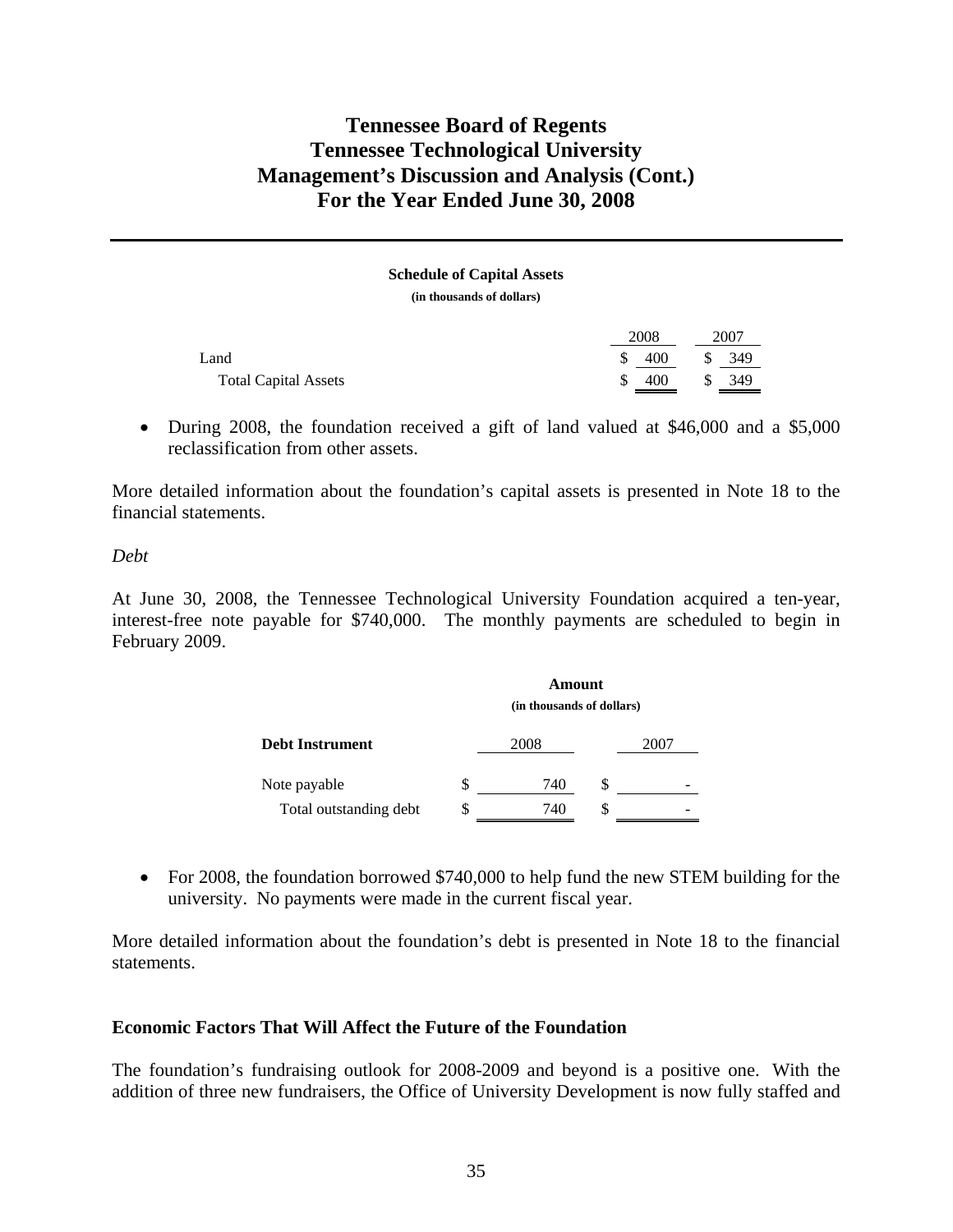**Schedule of Capital Assets (in thousands of dollars)** 

|                             | 2008      |              | 2007 |
|-----------------------------|-----------|--------------|------|
| Land                        | \$<br>400 | S.           | 349  |
| <b>Total Capital Assets</b> | \$<br>400 | $\mathbb{S}$ | 349  |

• During 2008, the foundation received a gift of land valued at \$46,000 and a \$5,000 reclassification from other assets.

More detailed information about the foundation's capital assets is presented in Note 18 to the financial statements.

*Debt* 

At June 30, 2008, the Tennessee Technological University Foundation acquired a ten-year, interest-free note payable for \$740,000. The monthly payments are scheduled to begin in February 2009.

|                        |   | Amount<br>(in thousands of dollars) |   |      |
|------------------------|---|-------------------------------------|---|------|
| <b>Debt Instrument</b> |   | 2008                                |   | 2007 |
| Note payable           | S | 740                                 | S |      |
| Total outstanding debt |   | 740                                 |   |      |

• For 2008, the foundation borrowed \$740,000 to help fund the new STEM building for the university. No payments were made in the current fiscal year.

More detailed information about the foundation's debt is presented in Note 18 to the financial statements.

### **Economic Factors That Will Affect the Future of the Foundation**

The foundation's fundraising outlook for 2008-2009 and beyond is a positive one. With the addition of three new fundraisers, the Office of University Development is now fully staffed and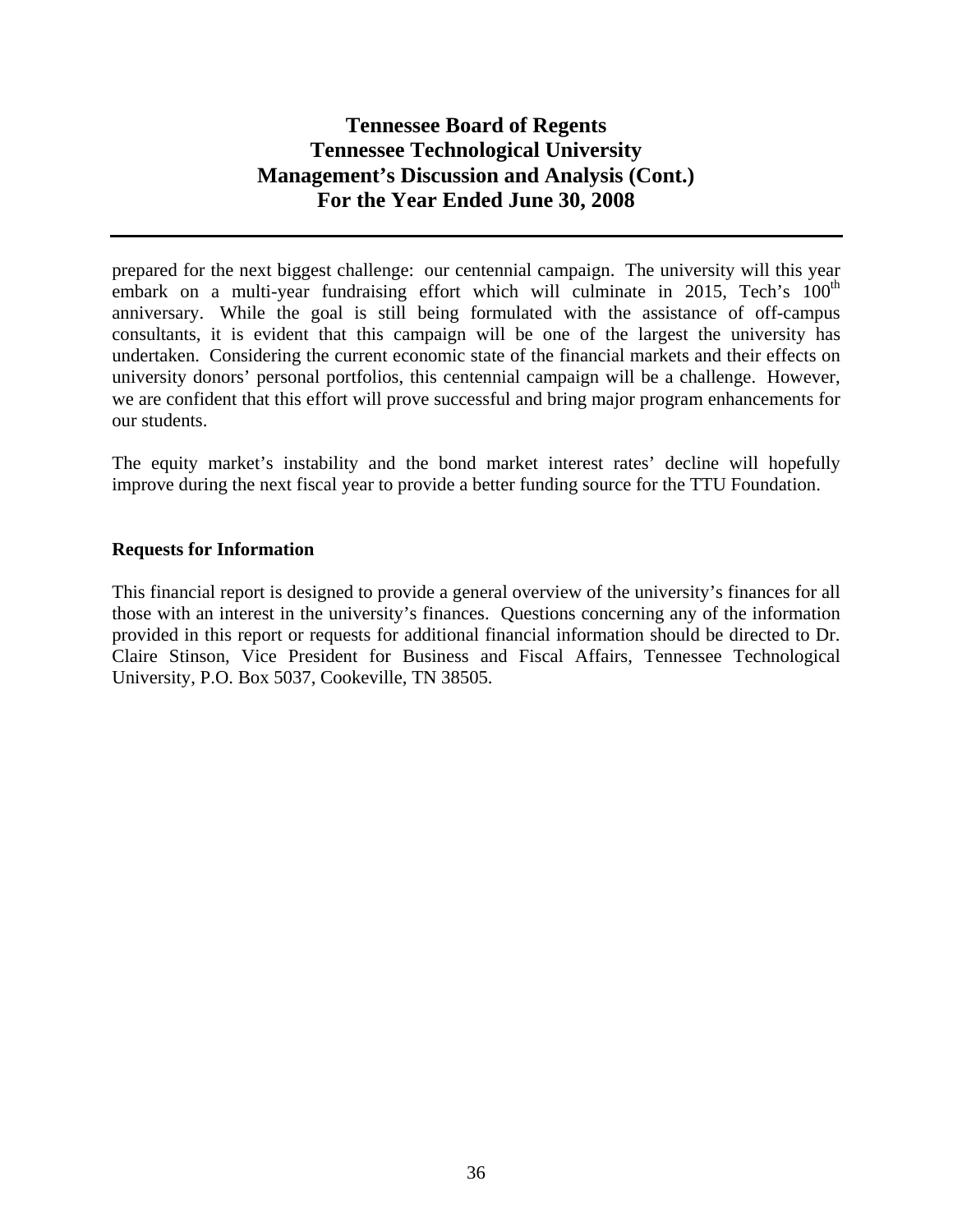prepared for the next biggest challenge: our centennial campaign. The university will this year embark on a multi-year fundraising effort which will culminate in 2015, Tech's  $100<sup>th</sup>$ anniversary. While the goal is still being formulated with the assistance of off-campus consultants, it is evident that this campaign will be one of the largest the university has undertaken. Considering the current economic state of the financial markets and their effects on university donors' personal portfolios, this centennial campaign will be a challenge. However, we are confident that this effort will prove successful and bring major program enhancements for our students.

The equity market's instability and the bond market interest rates' decline will hopefully improve during the next fiscal year to provide a better funding source for the TTU Foundation.

### **Requests for Information**

This financial report is designed to provide a general overview of the university's finances for all those with an interest in the university's finances. Questions concerning any of the information provided in this report or requests for additional financial information should be directed to Dr. Claire Stinson, Vice President for Business and Fiscal Affairs, Tennessee Technological University, P.O. Box 5037, Cookeville, TN 38505.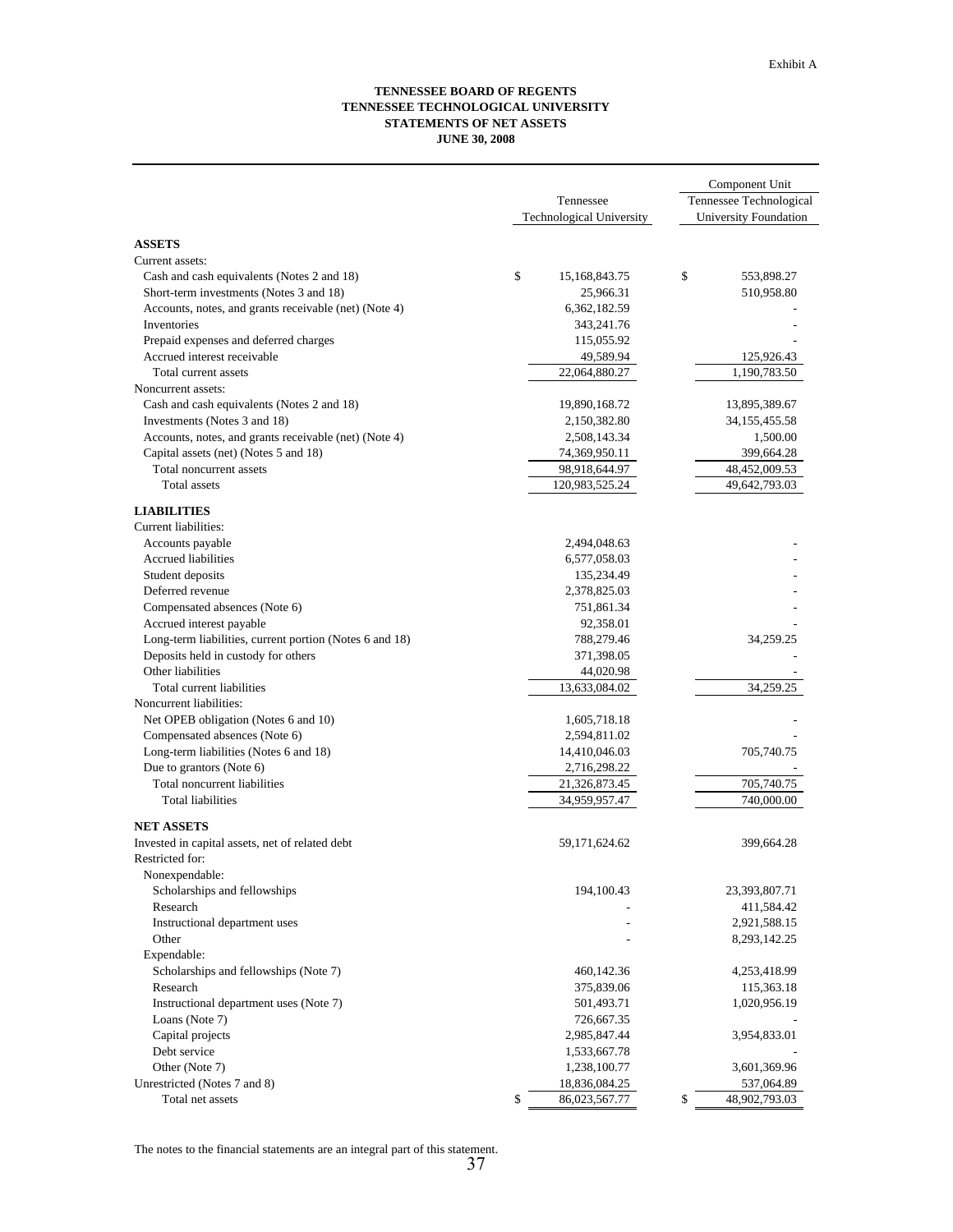#### **TENNESSEE BOARD OF REGENTS TENNESSEE TECHNOLOGICAL UNIVERSITY STATEMENTS OF NET ASSETS JUNE 30, 2008**

|                                                         |                                 | Component Unit          |
|---------------------------------------------------------|---------------------------------|-------------------------|
|                                                         | Tennessee                       | Tennessee Technological |
|                                                         | <b>Technological University</b> | University Foundation   |
|                                                         |                                 |                         |
| <b>ASSETS</b>                                           |                                 |                         |
| Current assets:                                         |                                 |                         |
| Cash and cash equivalents (Notes 2 and 18)              | \$<br>15,168,843.75             | \$<br>553,898.27        |
| Short-term investments (Notes 3 and 18)                 | 25,966.31                       | 510,958.80              |
| Accounts, notes, and grants receivable (net) (Note 4)   | 6,362,182.59                    |                         |
| Inventories                                             | 343,241.76                      |                         |
| Prepaid expenses and deferred charges                   | 115,055.92                      |                         |
| Accrued interest receivable                             | 49,589.94                       | 125,926.43              |
| Total current assets                                    | 22,064,880.27                   | 1,190,783.50            |
| Noncurrent assets:                                      |                                 |                         |
| Cash and cash equivalents (Notes 2 and 18)              | 19,890,168.72                   | 13,895,389.67           |
| Investments (Notes 3 and 18)                            | 2,150,382.80                    | 34, 155, 455.58         |
| Accounts, notes, and grants receivable (net) (Note 4)   | 2,508,143.34                    | 1,500.00                |
| Capital assets (net) (Notes 5 and 18)                   | 74,369,950.11                   | 399,664.28              |
| Total noncurrent assets                                 | 98,918,644.97                   | 48,452,009.53           |
| Total assets                                            | 120,983,525.24                  | 49,642,793.03           |
|                                                         |                                 |                         |
| <b>LIABILITIES</b>                                      |                                 |                         |
| Current liabilities:                                    |                                 |                         |
| Accounts payable                                        | 2,494,048.63                    |                         |
| Accrued liabilities                                     | 6,577,058.03                    |                         |
| Student deposits                                        | 135,234.49                      |                         |
| Deferred revenue                                        | 2,378,825.03                    |                         |
| Compensated absences (Note 6)                           | 751,861.34                      |                         |
| Accrued interest payable                                | 92,358.01                       |                         |
| Long-term liabilities, current portion (Notes 6 and 18) | 788,279.46                      | 34,259.25               |
| Deposits held in custody for others                     |                                 |                         |
| Other liabilities                                       | 371,398.05                      |                         |
|                                                         | 44,020.98                       |                         |
| Total current liabilities                               | 13,633,084.02                   | 34,259.25               |
| Noncurrent liabilities:                                 |                                 |                         |
| Net OPEB obligation (Notes 6 and 10)                    | 1,605,718.18                    |                         |
| Compensated absences (Note 6)                           | 2,594,811.02                    |                         |
| Long-term liabilities (Notes 6 and 18)                  | 14,410,046.03                   | 705,740.75              |
| Due to grantors (Note 6)                                | 2,716,298.22                    |                         |
| Total noncurrent liabilities                            | 21,326,873.45                   | 705,740.75              |
| <b>Total liabilities</b>                                | 34,959,957.47                   | 740,000.00              |
| <b>NET ASSETS</b>                                       |                                 |                         |
|                                                         |                                 |                         |
| Invested in capital assets, net of related debt         | 59,171,624.62                   | 399,664.28              |
| Restricted for:                                         |                                 |                         |
| Nonexpendable:                                          |                                 |                         |
| Scholarships and fellowships                            | 194,100.43                      | 23,393,807.71           |
| Research                                                |                                 | 411,584.42              |
| Instructional department uses                           |                                 | 2,921,588.15            |
| Other                                                   |                                 | 8, 293, 142. 25         |
| Expendable:                                             |                                 |                         |
| Scholarships and fellowships (Note 7)                   | 460,142.36                      | 4,253,418.99            |
| Research                                                | 375,839.06                      | 115,363.18              |
| Instructional department uses (Note 7)                  | 501,493.71                      | 1,020,956.19            |
| Loans (Note 7)                                          | 726,667.35                      |                         |
| Capital projects                                        | 2,985,847.44                    | 3,954,833.01            |
| Debt service                                            | 1,533,667.78                    |                         |
| Other (Note 7)                                          | 1,238,100.77                    | 3,601,369.96            |
| Unrestricted (Notes 7 and 8)                            | 18,836,084.25                   | 537,064.89              |
| Total net assets                                        | \$<br>86,023,567.77             | \$<br>48,902,793.03     |

The notes to the financial statements are an integral part of this statement.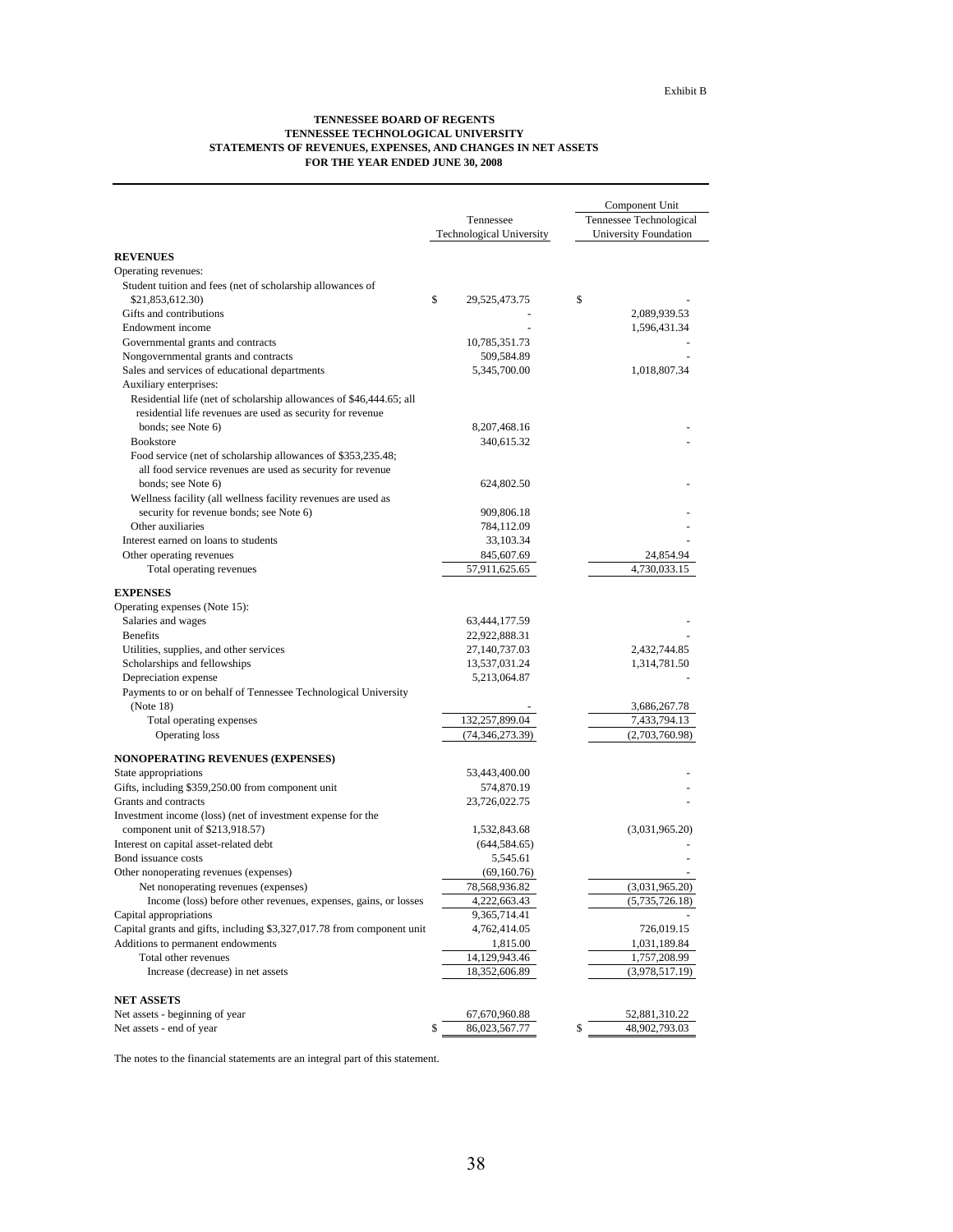#### **TENNESSEE BOARD OF REGENTS TENNESSEE TECHNOLOGICAL UNIVERSITY STATEMENTS OF REVENUES, EXPENSES, AND CHANGES IN NET ASSETS FOR THE YEAR ENDED JUNE 30, 2008**

|                                                                        |                          | Component Unit          |
|------------------------------------------------------------------------|--------------------------|-------------------------|
|                                                                        | Tennessee                | Tennessee Technological |
|                                                                        | Technological University | University Foundation   |
| <b>REVENUES</b>                                                        |                          |                         |
| Operating revenues:                                                    |                          |                         |
| Student tuition and fees (net of scholarship allowances of             |                          |                         |
| \$21,853,612.30)                                                       | \$<br>29,525,473.75      | \$                      |
| Gifts and contributions                                                |                          | 2,089,939.53            |
| Endowment income                                                       |                          | 1,596,431.34            |
| Governmental grants and contracts                                      | 10,785,351.73            |                         |
| Nongovernmental grants and contracts                                   | 509,584.89               |                         |
| Sales and services of educational departments                          | 5,345,700.00             | 1,018,807.34            |
| Auxiliary enterprises:                                                 |                          |                         |
| Residential life (net of scholarship allowances of \$46,444.65; all    |                          |                         |
| residential life revenues are used as security for revenue             |                          |                         |
| bonds; see Note 6)                                                     | 8, 207, 468. 16          |                         |
| <b>Bookstore</b>                                                       | 340,615.32               |                         |
| Food service (net of scholarship allowances of \$353,235.48;           |                          |                         |
| all food service revenues are used as security for revenue             |                          |                         |
| bonds; see Note 6)                                                     | 624,802.50               |                         |
| Wellness facility (all wellness facility revenues are used as          |                          |                         |
| security for revenue bonds; see Note 6)                                | 909,806.18               |                         |
| Other auxiliaries                                                      | 784,112.09               |                         |
| Interest earned on loans to students                                   | 33,103.34                |                         |
| Other operating revenues                                               | 845,607.69               | 24,854.94               |
| Total operating revenues                                               | 57,911,625.65            | 4,730,033.15            |
|                                                                        |                          |                         |
| <b>EXPENSES</b>                                                        |                          |                         |
| Operating expenses (Note 15):                                          |                          |                         |
| Salaries and wages                                                     | 63,444,177.59            |                         |
| <b>Benefits</b>                                                        | 22,922,888.31            |                         |
| Utilities, supplies, and other services                                | 27,140,737.03            | 2,432,744.85            |
| Scholarships and fellowships                                           | 13,537,031.24            | 1,314,781.50            |
| Depreciation expense                                                   | 5,213,064.87             |                         |
| Payments to or on behalf of Tennessee Technological University         |                          |                         |
| (Note 18)                                                              |                          | 3,686,267.78            |
| Total operating expenses                                               | 132,257,899.04           | 7,433,794.13            |
| Operating loss                                                         | (74, 346, 273.39)        | (2,703,760.98)          |
| <b>NONOPERATING REVENUES (EXPENSES)</b>                                |                          |                         |
| State appropriations                                                   | 53,443,400.00            |                         |
| Gifts, including \$359,250.00 from component unit                      | 574,870.19               |                         |
| Grants and contracts                                                   | 23,726,022.75            |                         |
| Investment income (loss) (net of investment expense for the            |                          |                         |
| component unit of \$213,918.57)                                        | 1,532,843.68             | (3,031,965.20)          |
| Interest on capital asset-related debt                                 | (644, 584.65)            |                         |
| Bond issuance costs                                                    | 5,545.61                 |                         |
| Other nonoperating revenues (expenses)                                 | (69,160.76)              |                         |
| Net nonoperating revenues (expenses)                                   | 78,568,936.82            | (3,031,965.20)          |
| Income (loss) before other revenues, expenses, gains, or losses        | 4,222,663.43             | (5,735,726.18)          |
| Capital appropriations                                                 | 9,365,714.41             |                         |
| Capital grants and gifts, including \$3,327,017.78 from component unit | 4,762,414.05             | 726,019.15              |
| Additions to permanent endowments                                      | 1,815.00                 | 1,031,189.84            |
| Total other revenues                                                   | 14,129,943.46            | 1,757,208.99            |
| Increase (decrease) in net assets                                      | 18,352,606.89            | (3,978,517.19)          |
|                                                                        |                          |                         |
| <b>NET ASSETS</b>                                                      |                          |                         |
| Net assets - beginning of year                                         | 67,670,960.88            | 52,881,310.22           |
| Net assets - end of year                                               | \$<br>86,023,567.77      | 48,902,793.03<br>\$     |

The notes to the financial statements are an integral part of this statement.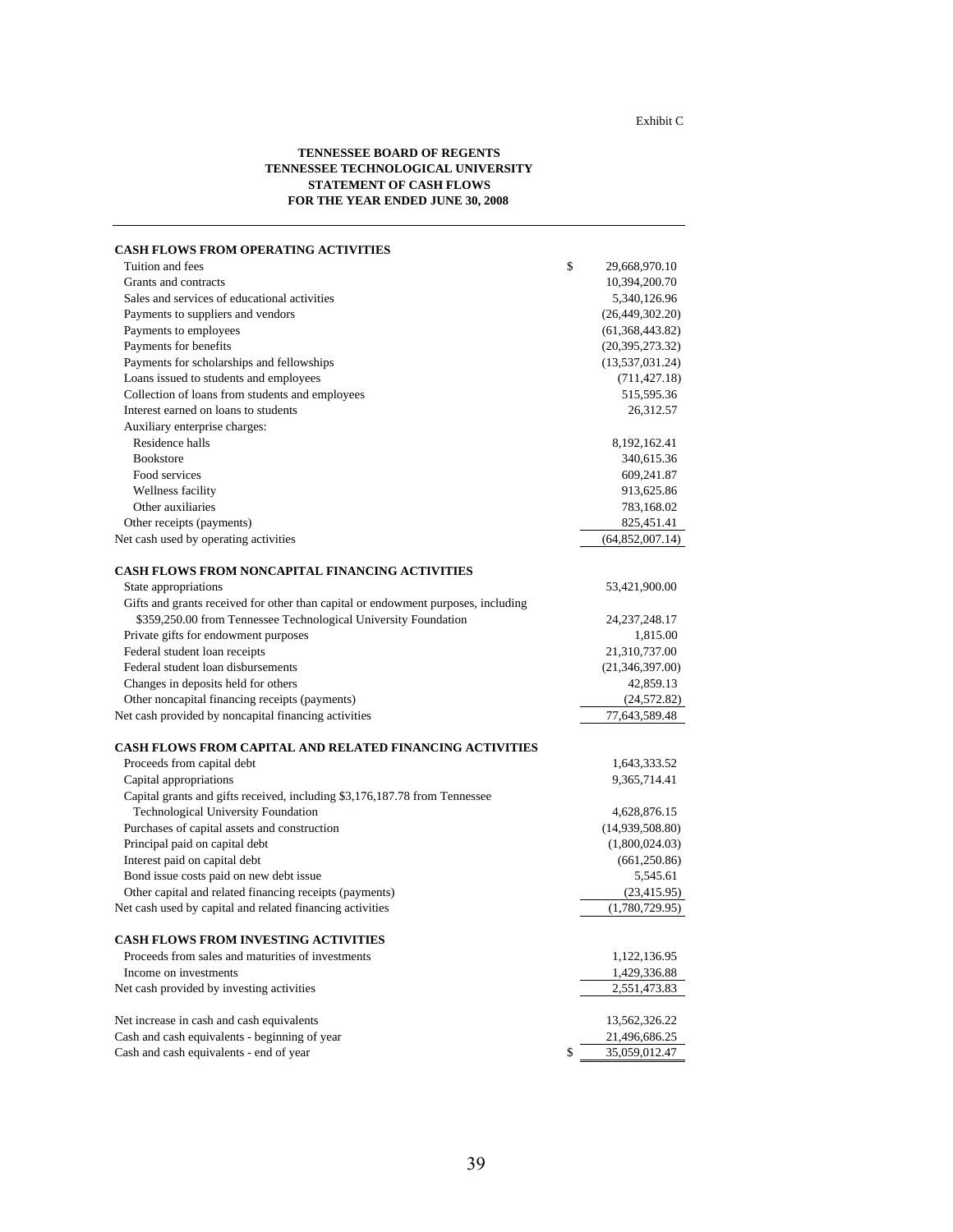#### Exhibit C

#### **TENNESSEE BOARD OF REGENTS TENNESSEE TECHNOLOGICAL UNIVERSITY STATEMENT OF CASH FLOWS FOR THE YEAR ENDED JUNE 30, 2008**

| <b>CASH FLOWS FROM OPERATING ACTIVITIES</b>                                       |                     |
|-----------------------------------------------------------------------------------|---------------------|
| Tuition and fees                                                                  | \$<br>29,668,970.10 |
| Grants and contracts                                                              | 10,394,200.70       |
| Sales and services of educational activities                                      | 5,340,126.96        |
| Payments to suppliers and vendors                                                 | (26, 449, 302.20)   |
| Payments to employees                                                             | (61, 368, 443.82)   |
| Payments for benefits                                                             | (20, 395, 273.32)   |
| Payments for scholarships and fellowships                                         | (13, 537, 031.24)   |
| Loans issued to students and employees                                            | (711, 427.18)       |
| Collection of loans from students and employees                                   | 515,595.36          |
| Interest earned on loans to students                                              | 26,312.57           |
| Auxiliary enterprise charges:                                                     |                     |
| Residence halls                                                                   | 8,192,162.41        |
| <b>Bookstore</b>                                                                  | 340,615.36          |
| Food services                                                                     | 609,241.87          |
| Wellness facility                                                                 | 913,625.86          |
| Other auxiliaries                                                                 | 783,168.02          |
| Other receipts (payments)                                                         | 825,451.41          |
| Net cash used by operating activities                                             | (64, 852, 007.14)   |
| <b>CASH FLOWS FROM NONCAPITAL FINANCING ACTIVITIES</b>                            |                     |
| State appropriations                                                              | 53,421,900.00       |
| Gifts and grants received for other than capital or endowment purposes, including |                     |
| \$359,250.00 from Tennessee Technological University Foundation                   | 24, 237, 248. 17    |
| Private gifts for endowment purposes                                              | 1,815.00            |
| Federal student loan receipts                                                     | 21,310,737.00       |
| Federal student loan disbursements                                                | (21, 346, 397.00)   |
| Changes in deposits held for others                                               | 42,859.13           |
| Other noncapital financing receipts (payments)                                    | (24, 572.82)        |
| Net cash provided by noncapital financing activities                              | 77,643,589.48       |
| <b>CASH FLOWS FROM CAPITAL AND RELATED FINANCING ACTIVITIES</b>                   |                     |
| Proceeds from capital debt                                                        | 1,643,333.52        |
| Capital appropriations                                                            | 9,365,714.41        |
| Capital grants and gifts received, including \$3,176,187.78 from Tennessee        |                     |
| Technological University Foundation                                               | 4,628,876.15        |
| Purchases of capital assets and construction                                      | (14,939,508.80)     |
| Principal paid on capital debt                                                    | (1,800,024.03)      |
| Interest paid on capital debt                                                     | (661, 250.86)       |
| Bond issue costs paid on new debt issue                                           | 5,545.61            |
| Other capital and related financing receipts (payments)                           | (23, 415.95)        |
| Net cash used by capital and related financing activities                         | (1,780,729.95)      |
|                                                                                   |                     |
| <b>CASH FLOWS FROM INVESTING ACTIVITIES</b>                                       |                     |
| Proceeds from sales and maturities of investments                                 | 1,122,136.95        |
| Income on investments                                                             | 1,429,336.88        |
| Net cash provided by investing activities                                         | 2,551,473.83        |
| Net increase in cash and cash equivalents                                         | 13,562,326.22       |
| Cash and cash equivalents - beginning of year                                     | 21,496,686.25       |
| Cash and cash equivalents - end of year                                           | \$<br>35,059,012.47 |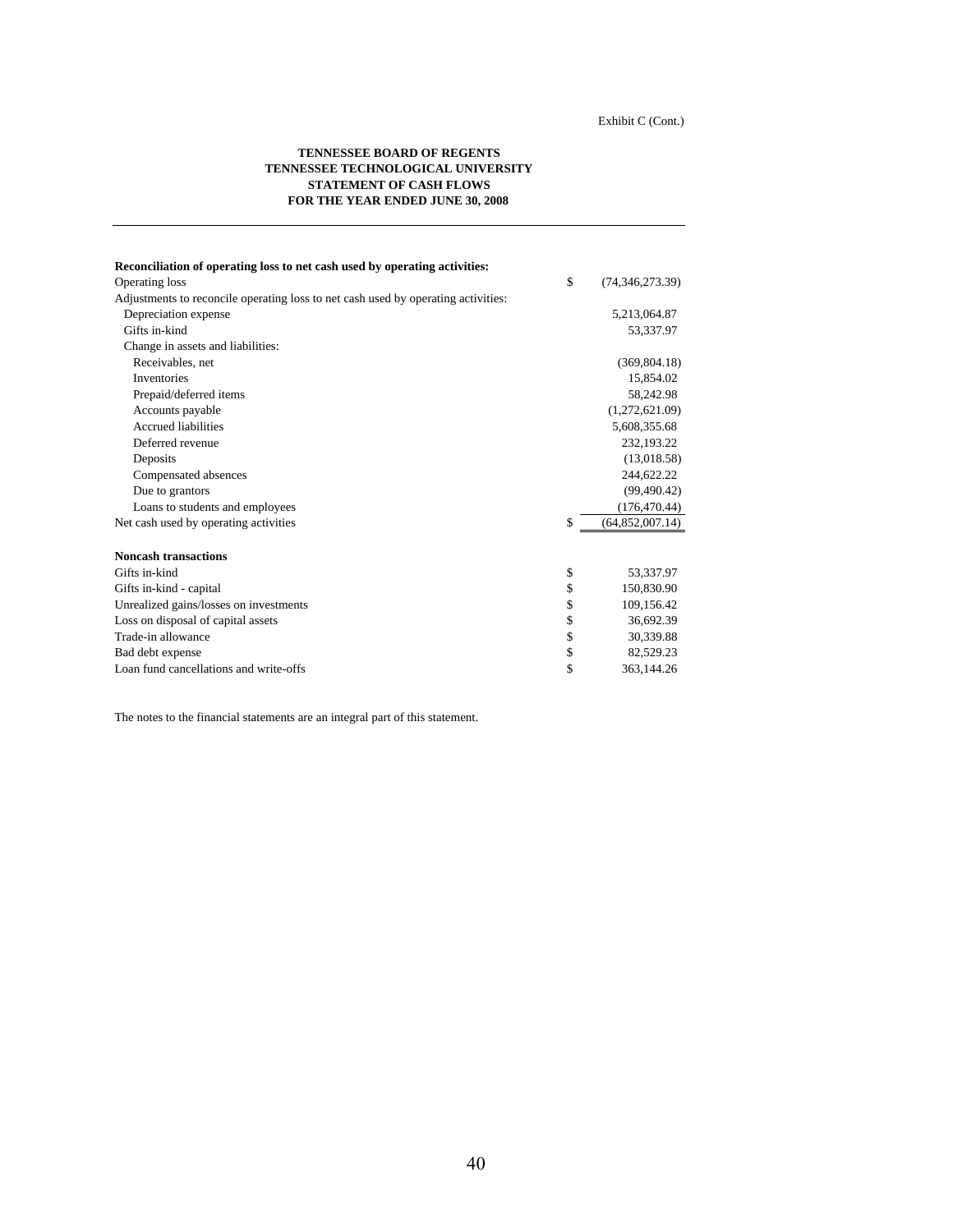#### **TENNESSEE BOARD OF REGENTS TENNESSEE TECHNOLOGICAL UNIVERSITY STATEMENT OF CASH FLOWS FOR THE YEAR ENDED JUNE 30, 2008**

| Reconciliation of operating loss to net cash used by operating activities:        |                         |
|-----------------------------------------------------------------------------------|-------------------------|
| Operating loss                                                                    | \$<br>(74, 346, 273.39) |
| Adjustments to reconcile operating loss to net cash used by operating activities: |                         |
| Depreciation expense                                                              | 5,213,064.87            |
| Gifts in-kind                                                                     | 53,337.97               |
| Change in assets and liabilities:                                                 |                         |
| Receivables, net                                                                  | (369, 804.18)           |
| <b>Inventories</b>                                                                | 15,854.02               |
| Prepaid/deferred items                                                            | 58,242.98               |
| Accounts payable                                                                  | (1,272,621.09)          |
| <b>Accrued liabilities</b>                                                        | 5,608,355.68            |
| Deferred revenue                                                                  | 232,193.22              |
| Deposits                                                                          | (13,018.58)             |
| Compensated absences                                                              | 244,622.22              |
| Due to grantors                                                                   | (99, 490.42)            |
| Loans to students and employees                                                   | (176, 470.44)           |
| Net cash used by operating activities                                             | \$<br>(64, 852, 007.14) |
|                                                                                   |                         |
| <b>Noncash transactions</b>                                                       |                         |
| Gifts in-kind                                                                     | \$<br>53,337.97         |
| Gifts in-kind - capital                                                           | \$<br>150,830.90        |
| Unrealized gains/losses on investments                                            | \$<br>109,156.42        |
| Loss on disposal of capital assets                                                | \$<br>36,692.39         |
| Trade-in allowance                                                                | \$<br>30,339.88         |
| Bad debt expense                                                                  | \$<br>82,529.23         |
| Loan fund cancellations and write-offs                                            | \$<br>363,144.26        |

The notes to the financial statements are an integral part of this statement.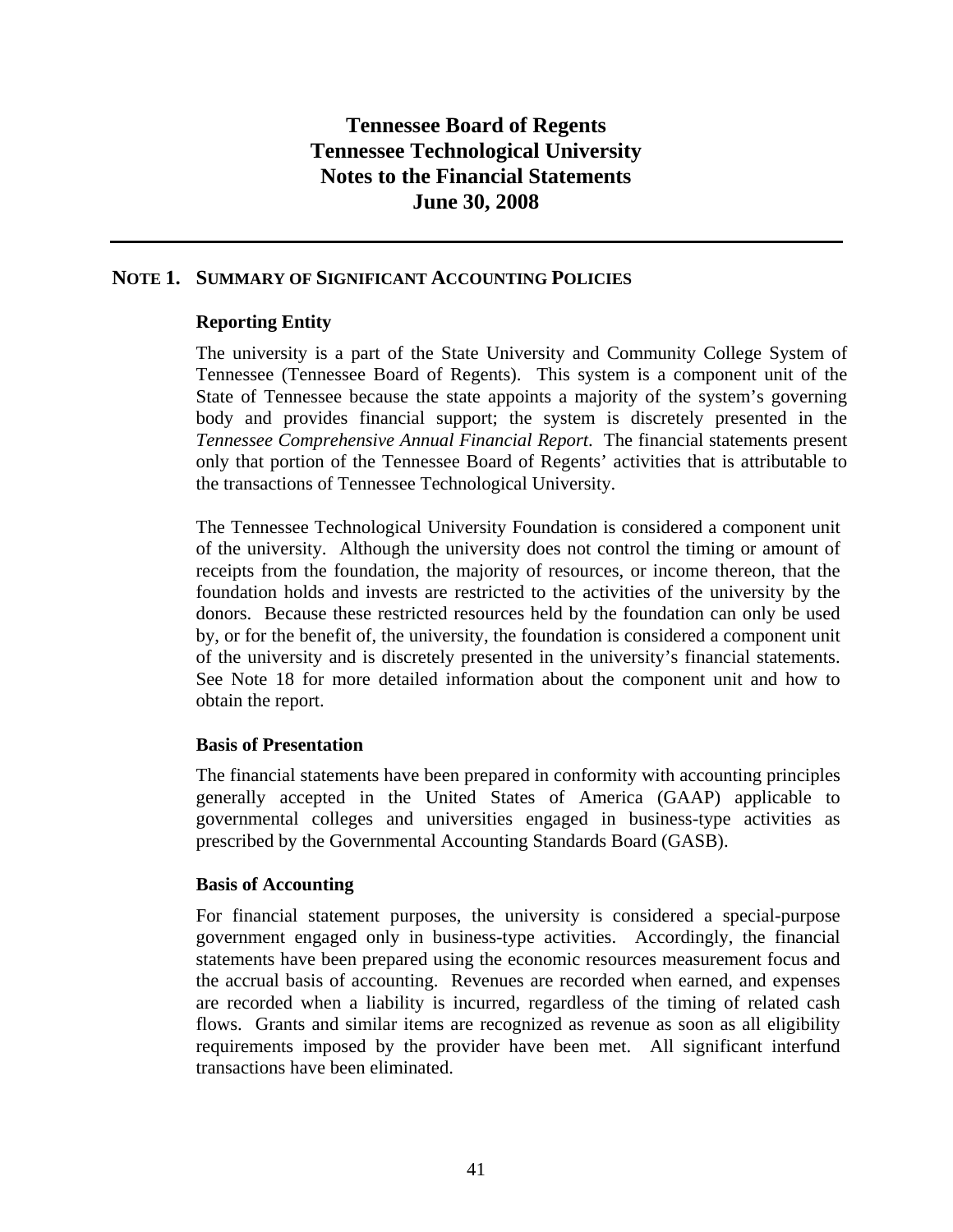### **NOTE 1. SUMMARY OF SIGNIFICANT ACCOUNTING POLICIES**

### **Reporting Entity**

The university is a part of the State University and Community College System of Tennessee (Tennessee Board of Regents). This system is a component unit of the State of Tennessee because the state appoints a majority of the system's governing body and provides financial support; the system is discretely presented in the *Tennessee Comprehensive Annual Financial Report*. The financial statements present only that portion of the Tennessee Board of Regents' activities that is attributable to the transactions of Tennessee Technological University.

The Tennessee Technological University Foundation is considered a component unit of the university. Although the university does not control the timing or amount of receipts from the foundation, the majority of resources, or income thereon, that the foundation holds and invests are restricted to the activities of the university by the donors. Because these restricted resources held by the foundation can only be used by, or for the benefit of, the university, the foundation is considered a component unit of the university and is discretely presented in the university's financial statements. See Note 18 for more detailed information about the component unit and how to obtain the report.

### **Basis of Presentation**

The financial statements have been prepared in conformity with accounting principles generally accepted in the United States of America (GAAP) applicable to governmental colleges and universities engaged in business-type activities as prescribed by the Governmental Accounting Standards Board (GASB).

### **Basis of Accounting**

For financial statement purposes, the university is considered a special-purpose government engaged only in business-type activities. Accordingly, the financial statements have been prepared using the economic resources measurement focus and the accrual basis of accounting. Revenues are recorded when earned, and expenses are recorded when a liability is incurred, regardless of the timing of related cash flows. Grants and similar items are recognized as revenue as soon as all eligibility requirements imposed by the provider have been met. All significant interfund transactions have been eliminated.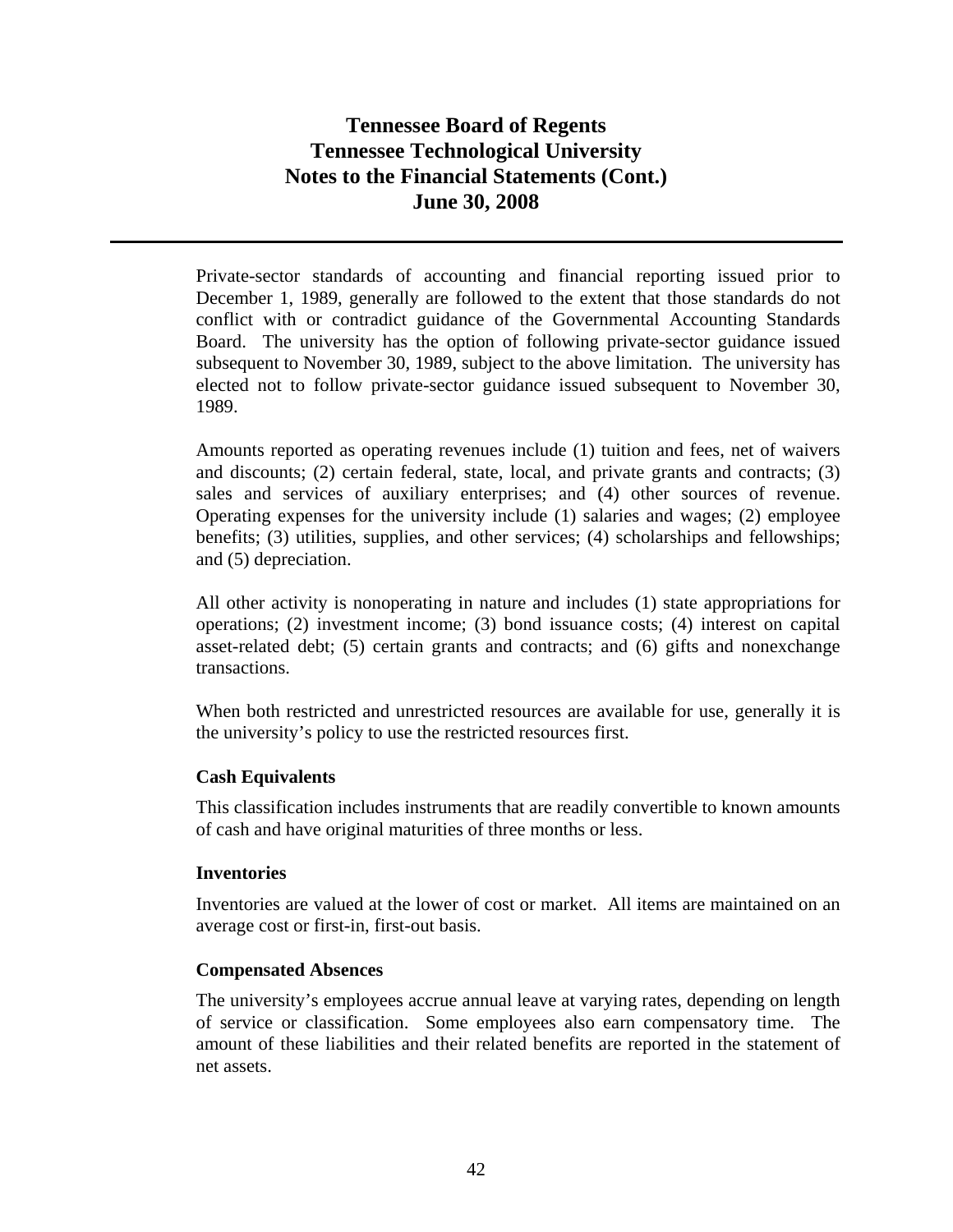Private-sector standards of accounting and financial reporting issued prior to December 1, 1989, generally are followed to the extent that those standards do not conflict with or contradict guidance of the Governmental Accounting Standards Board. The university has the option of following private-sector guidance issued subsequent to November 30, 1989, subject to the above limitation. The university has elected not to follow private-sector guidance issued subsequent to November 30, 1989.

Amounts reported as operating revenues include (1) tuition and fees, net of waivers and discounts; (2) certain federal, state, local, and private grants and contracts; (3) sales and services of auxiliary enterprises; and (4) other sources of revenue. Operating expenses for the university include (1) salaries and wages; (2) employee benefits; (3) utilities, supplies, and other services; (4) scholarships and fellowships; and (5) depreciation.

All other activity is nonoperating in nature and includes (1) state appropriations for operations; (2) investment income; (3) bond issuance costs; (4) interest on capital asset-related debt; (5) certain grants and contracts; and (6) gifts and nonexchange transactions.

When both restricted and unrestricted resources are available for use, generally it is the university's policy to use the restricted resources first.

### **Cash Equivalents**

This classification includes instruments that are readily convertible to known amounts of cash and have original maturities of three months or less.

### **Inventories**

Inventories are valued at the lower of cost or market. All items are maintained on an average cost or first-in, first-out basis.

#### **Compensated Absences**

The university's employees accrue annual leave at varying rates, depending on length of service or classification. Some employees also earn compensatory time. The amount of these liabilities and their related benefits are reported in the statement of net assets.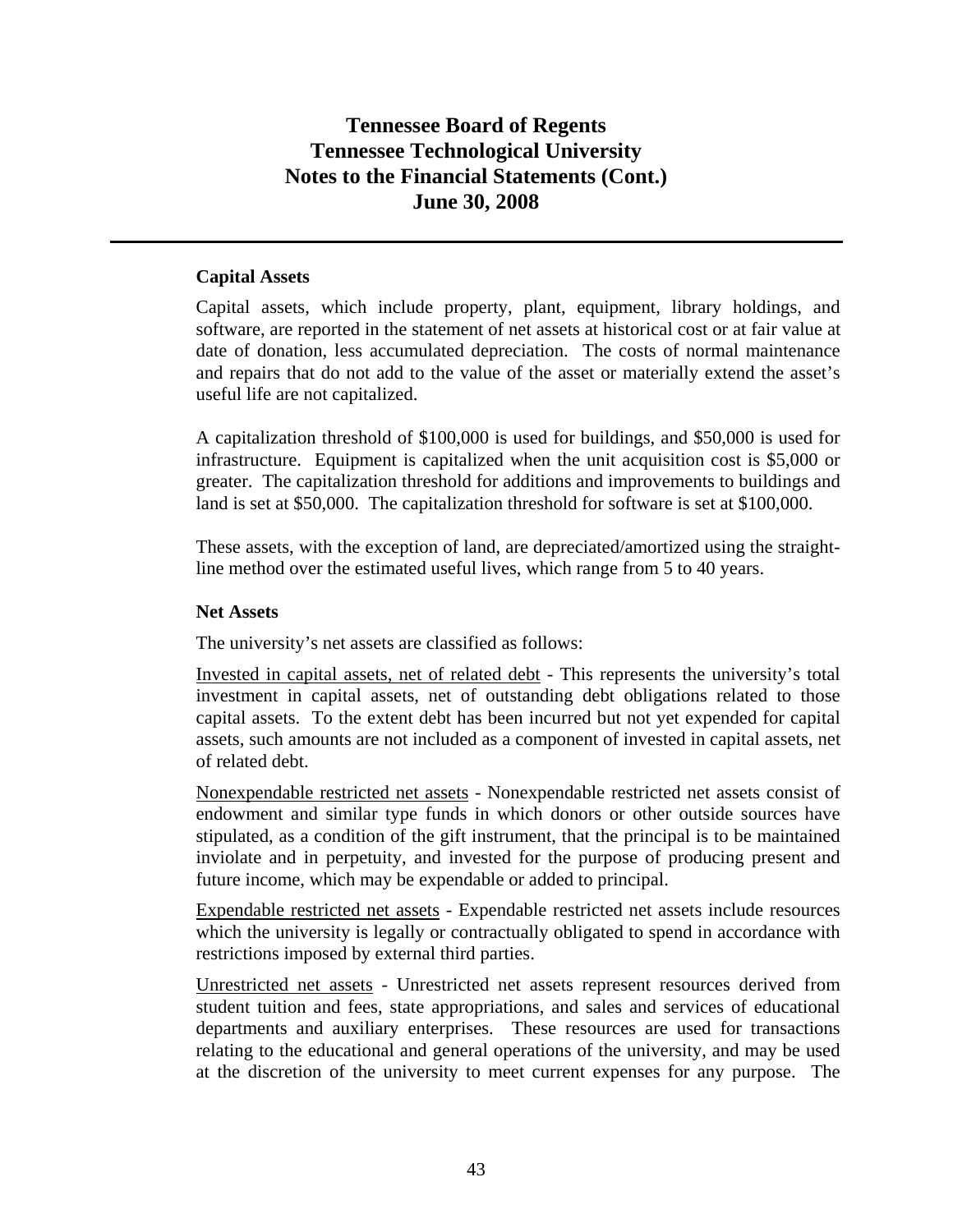### **Capital Assets**

Capital assets, which include property, plant, equipment, library holdings, and software, are reported in the statement of net assets at historical cost or at fair value at date of donation, less accumulated depreciation. The costs of normal maintenance and repairs that do not add to the value of the asset or materially extend the asset's useful life are not capitalized.

A capitalization threshold of \$100,000 is used for buildings, and \$50,000 is used for infrastructure. Equipment is capitalized when the unit acquisition cost is \$5,000 or greater. The capitalization threshold for additions and improvements to buildings and land is set at \$50,000. The capitalization threshold for software is set at \$100,000.

These assets, with the exception of land, are depreciated/amortized using the straightline method over the estimated useful lives, which range from 5 to 40 years.

### **Net Assets**

The university's net assets are classified as follows:

Invested in capital assets, net of related debt - This represents the university's total investment in capital assets, net of outstanding debt obligations related to those capital assets. To the extent debt has been incurred but not yet expended for capital assets, such amounts are not included as a component of invested in capital assets, net of related debt.

Nonexpendable restricted net assets - Nonexpendable restricted net assets consist of endowment and similar type funds in which donors or other outside sources have stipulated, as a condition of the gift instrument, that the principal is to be maintained inviolate and in perpetuity, and invested for the purpose of producing present and future income, which may be expendable or added to principal.

Expendable restricted net assets - Expendable restricted net assets include resources which the university is legally or contractually obligated to spend in accordance with restrictions imposed by external third parties.

Unrestricted net assets - Unrestricted net assets represent resources derived from student tuition and fees, state appropriations, and sales and services of educational departments and auxiliary enterprises. These resources are used for transactions relating to the educational and general operations of the university, and may be used at the discretion of the university to meet current expenses for any purpose. The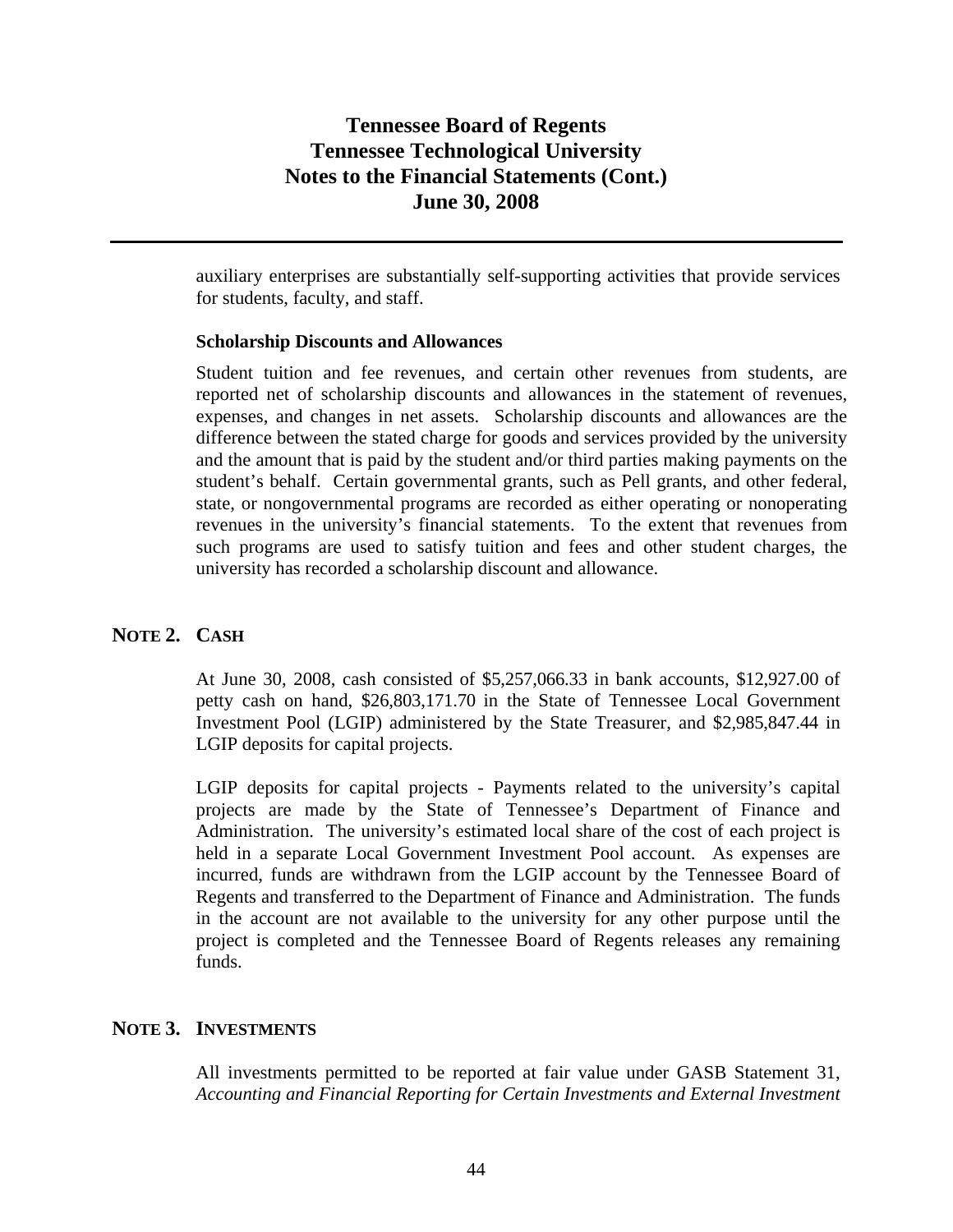auxiliary enterprises are substantially self-supporting activities that provide services for students, faculty, and staff.

#### **Scholarship Discounts and Allowances**

Student tuition and fee revenues, and certain other revenues from students, are reported net of scholarship discounts and allowances in the statement of revenues, expenses, and changes in net assets. Scholarship discounts and allowances are the difference between the stated charge for goods and services provided by the university and the amount that is paid by the student and/or third parties making payments on the student's behalf. Certain governmental grants, such as Pell grants, and other federal, state, or nongovernmental programs are recorded as either operating or nonoperating revenues in the university's financial statements. To the extent that revenues from such programs are used to satisfy tuition and fees and other student charges, the university has recorded a scholarship discount and allowance.

#### **NOTE 2. CASH**

At June 30, 2008, cash consisted of \$5,257,066.33 in bank accounts, \$12,927.00 of petty cash on hand, \$26,803,171.70 in the State of Tennessee Local Government Investment Pool (LGIP) administered by the State Treasurer, and \$2,985,847.44 in LGIP deposits for capital projects.

LGIP deposits for capital projects - Payments related to the university's capital projects are made by the State of Tennessee's Department of Finance and Administration. The university's estimated local share of the cost of each project is held in a separate Local Government Investment Pool account. As expenses are incurred, funds are withdrawn from the LGIP account by the Tennessee Board of Regents and transferred to the Department of Finance and Administration. The funds in the account are not available to the university for any other purpose until the project is completed and the Tennessee Board of Regents releases any remaining funds.

### **NOTE 3. INVESTMENTS**

All investments permitted to be reported at fair value under GASB Statement 31, *Accounting and Financial Reporting for Certain Investments and External Investment*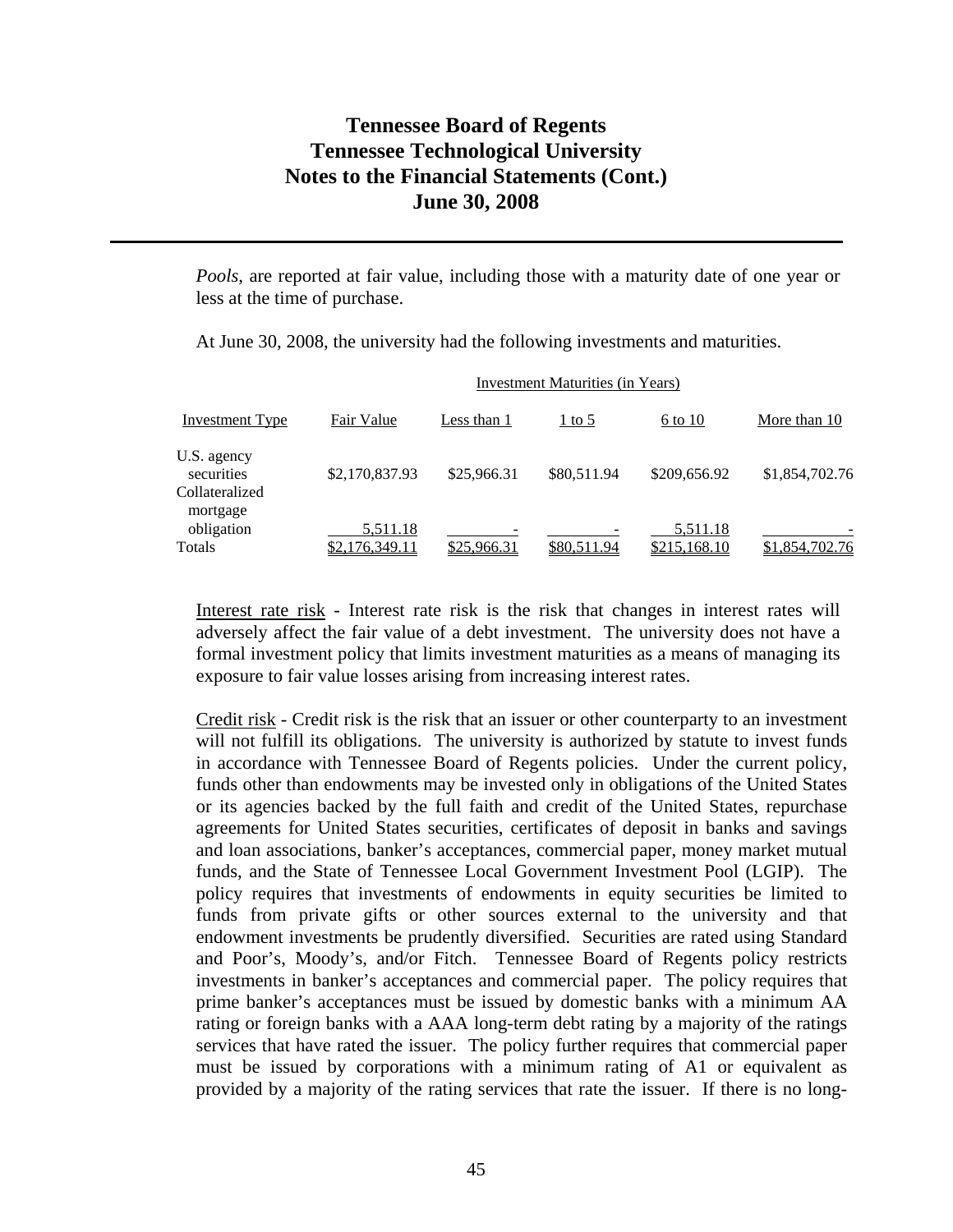*Pools,* are reported at fair value, including those with a maturity date of one year or less at the time of purchase.

At June 30, 2008, the university had the following investments and maturities.

|                                                         |                            |             | Investment Maturities (in Years) |                          |                |
|---------------------------------------------------------|----------------------------|-------------|----------------------------------|--------------------------|----------------|
| Investment Type                                         | Fair Value                 | Less than 1 | $1$ to 5                         | 6 to 10                  | More than 10   |
| U.S. agency<br>securities<br>Collateralized<br>mortgage | \$2,170,837.93             | \$25,966.31 | \$80,511.94                      | \$209,656.92             | \$1,854,702.76 |
| obligation<br>Totals                                    | 5,511.18<br>\$2.176.349.11 | \$25,966.31 | \$80,511.94                      | 5,511.18<br>\$215,168.10 | \$1,854,702.76 |

Interest rate risk - Interest rate risk is the risk that changes in interest rates will adversely affect the fair value of a debt investment. The university does not have a formal investment policy that limits investment maturities as a means of managing its exposure to fair value losses arising from increasing interest rates.

Credit risk - Credit risk is the risk that an issuer or other counterparty to an investment will not fulfill its obligations. The university is authorized by statute to invest funds in accordance with Tennessee Board of Regents policies. Under the current policy, funds other than endowments may be invested only in obligations of the United States or its agencies backed by the full faith and credit of the United States, repurchase agreements for United States securities, certificates of deposit in banks and savings and loan associations, banker's acceptances, commercial paper, money market mutual funds, and the State of Tennessee Local Government Investment Pool (LGIP). The policy requires that investments of endowments in equity securities be limited to funds from private gifts or other sources external to the university and that endowment investments be prudently diversified. Securities are rated using Standard and Poor's, Moody's, and/or Fitch. Tennessee Board of Regents policy restricts investments in banker's acceptances and commercial paper. The policy requires that prime banker's acceptances must be issued by domestic banks with a minimum AA rating or foreign banks with a AAA long-term debt rating by a majority of the ratings services that have rated the issuer. The policy further requires that commercial paper must be issued by corporations with a minimum rating of A1 or equivalent as provided by a majority of the rating services that rate the issuer. If there is no long-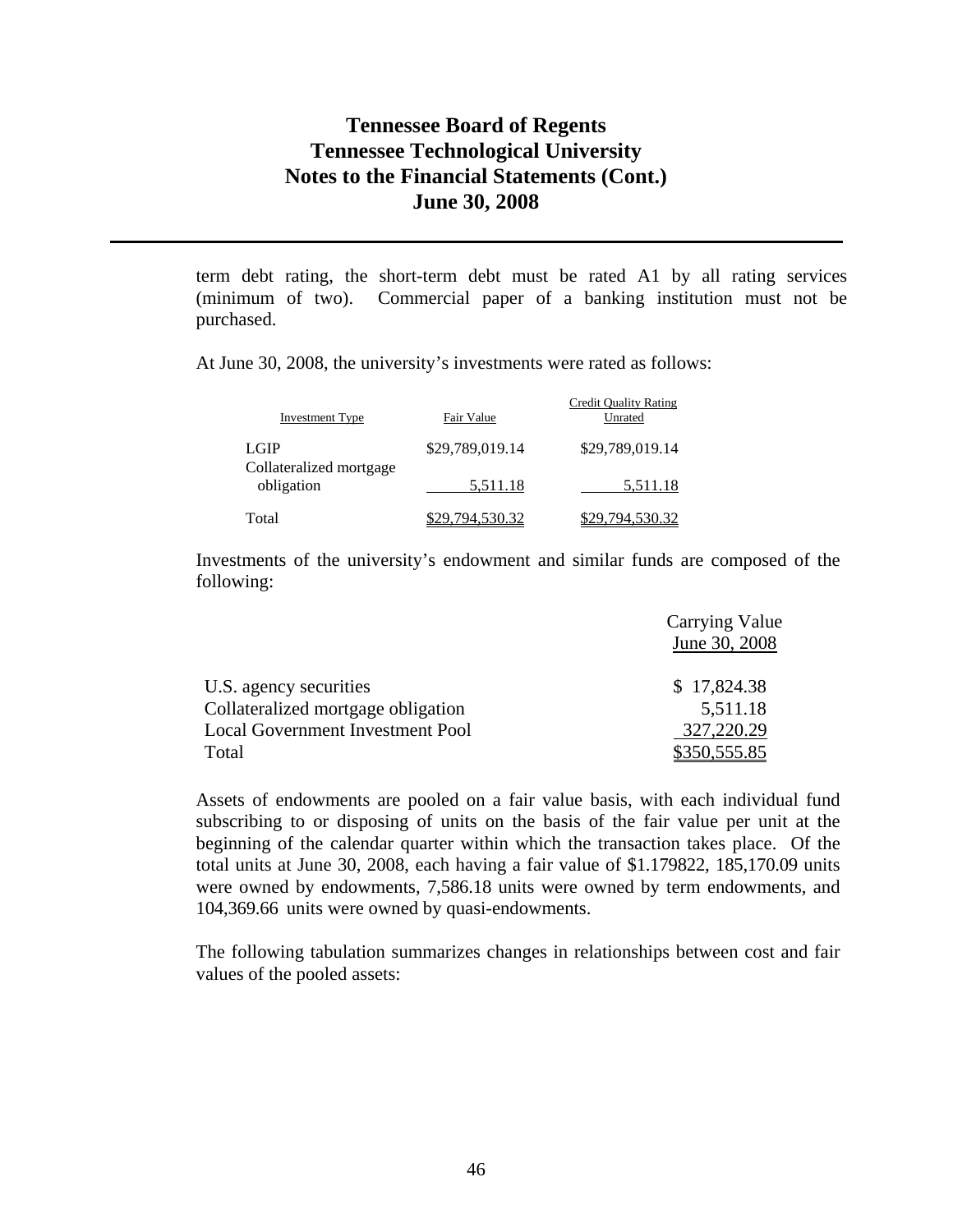term debt rating, the short-term debt must be rated A1 by all rating services (minimum of two). Commercial paper of a banking institution must not be purchased.

At June 30, 2008, the university's investments were rated as follows:

| Investment Type                        | Fair Value      | <b>Credit Quality Rating</b><br>Unrated |
|----------------------------------------|-----------------|-----------------------------------------|
| <b>LGIP</b><br>Collateralized mortgage | \$29,789,019.14 | \$29,789,019.14                         |
| obligation                             | 5,511.18        | 5,511.18                                |
| Total                                  | 829,794,530.32  | \$29,794,530.32                         |

Investments of the university's endowment and similar funds are composed of the following:

|                                         | <b>Carrying Value</b> |
|-----------------------------------------|-----------------------|
|                                         | June 30, 2008         |
| U.S. agency securities                  | \$17,824.38           |
| Collateralized mortgage obligation      | 5,511.18              |
| <b>Local Government Investment Pool</b> | 327,220.29            |
| Total                                   | \$350,555.85          |

Assets of endowments are pooled on a fair value basis, with each individual fund subscribing to or disposing of units on the basis of the fair value per unit at the beginning of the calendar quarter within which the transaction takes place. Of the total units at June 30, 2008, each having a fair value of \$1.179822, 185,170.09 units were owned by endowments, 7,586.18 units were owned by term endowments, and 104,369.66 units were owned by quasi-endowments.

The following tabulation summarizes changes in relationships between cost and fair values of the pooled assets: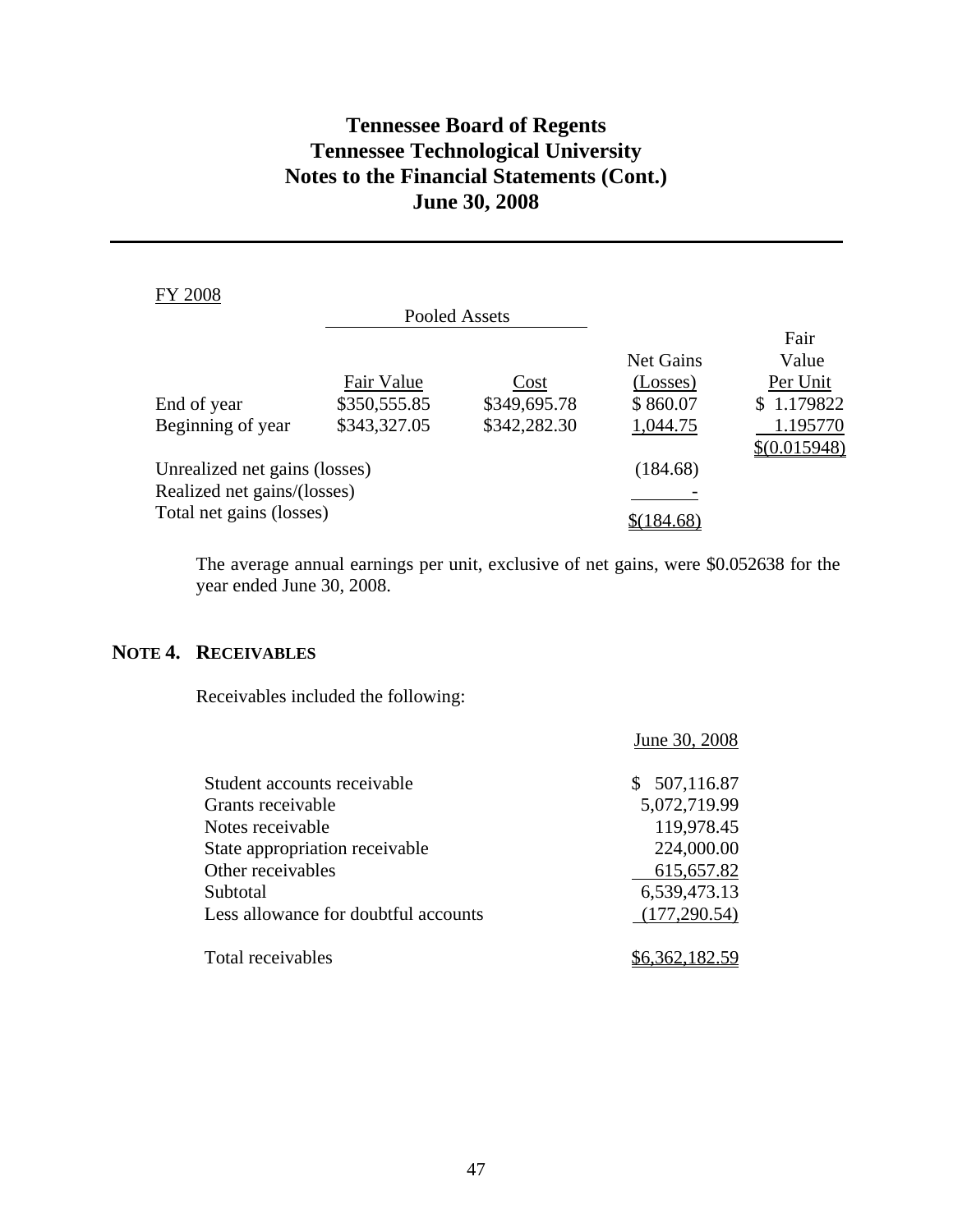| <b>FY 2008</b>                |              |               |           |              |
|-------------------------------|--------------|---------------|-----------|--------------|
|                               |              | Pooled Assets |           |              |
|                               |              |               |           | Fair         |
|                               |              |               | Net Gains | Value        |
|                               | Fair Value   | Cost          | (Losses)  | Per Unit     |
| End of year                   | \$350,555.85 | \$349,695.78  | \$860.07  | \$1.179822   |
| Beginning of year             | \$343,327.05 | \$342,282.30  | 1,044.75  | 1.195770     |
|                               |              |               |           | \$(0.015948) |
| Unrealized net gains (losses) |              |               | (184.68)  |              |
| Realized net gains/(losses)   |              |               |           |              |
| Total net gains (losses)      |              |               | 184.68    |              |

The average annual earnings per unit, exclusive of net gains, were \$0.052638 for the year ended June 30, 2008.

### **NOTE 4. RECEIVABLES**

Receivables included the following:

|                                      | June 30, 2008 |
|--------------------------------------|---------------|
| Student accounts receivable          | \$507,116.87  |
| Grants receivable                    | 5,072,719.99  |
| Notes receivable                     | 119,978.45    |
| State appropriation receivable       | 224,000.00    |
| Other receivables                    | 615, 657.82   |
| Subtotal                             | 6,539,473.13  |
| Less allowance for doubtful accounts | (177, 290.54) |
| Total receivables                    |               |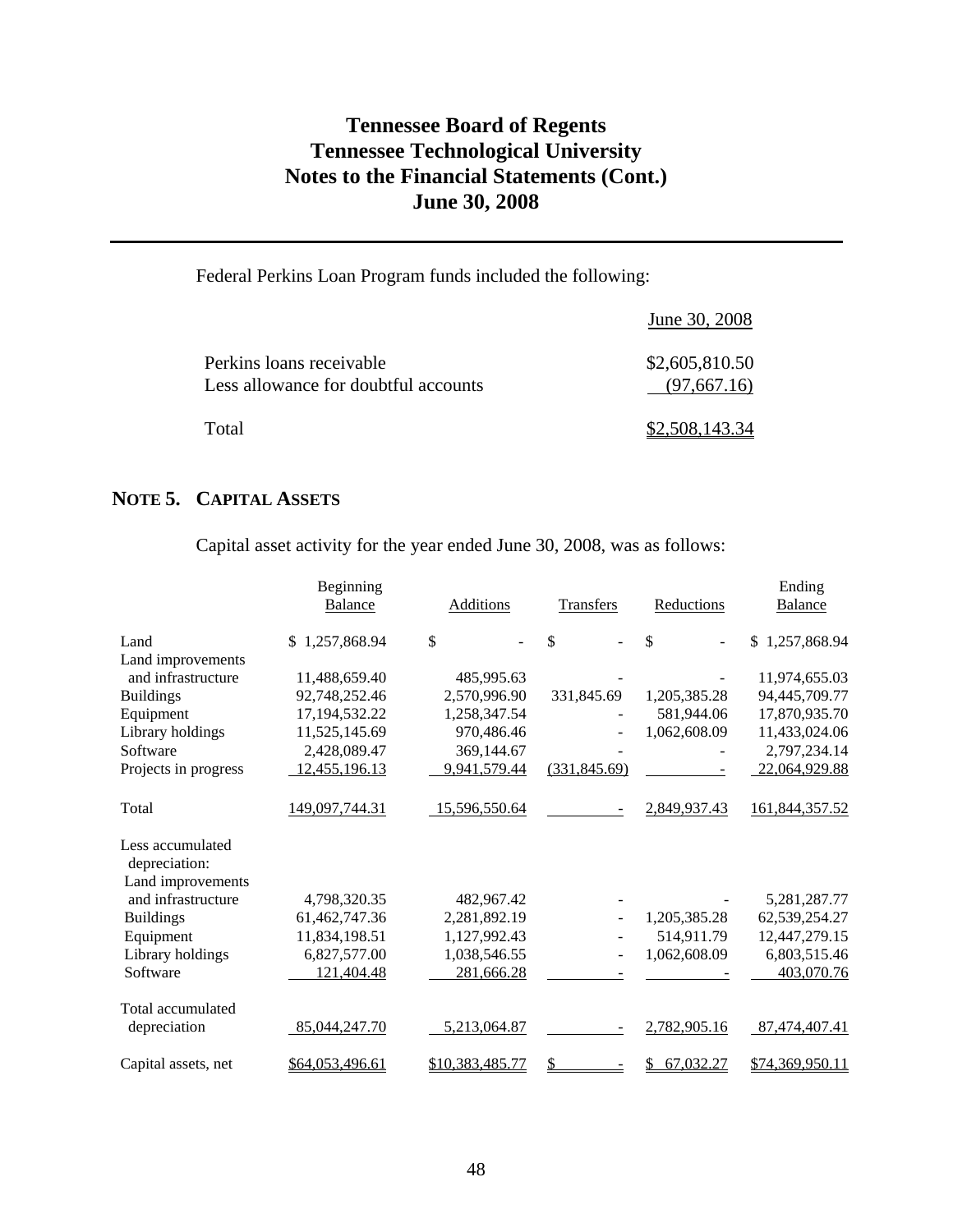### Federal Perkins Loan Program funds included the following:

|                                                                  | June 30, 2008                 |
|------------------------------------------------------------------|-------------------------------|
| Perkins loans receivable<br>Less allowance for doubtful accounts | \$2,605,810.50<br>(97,667.16) |
| Total                                                            | \$2,508,143.34                |

### **NOTE 5. CAPITAL ASSETS**

Capital asset activity for the year ended June 30, 2008, was as follows:

|                                   | Beginning<br><b>Balance</b> | Additions       | Transfers     | Reductions     | Ending<br><b>Balance</b> |
|-----------------------------------|-----------------------------|-----------------|---------------|----------------|--------------------------|
| Land                              | 1,257,868.94<br>\$          | \$              | \$            | \$             | 1,257,868.94<br>\$.      |
| Land improvements                 |                             |                 |               |                |                          |
| and infrastructure                | 11,488,659.40               | 485,995.63      |               |                | 11,974,655.03            |
| <b>Buildings</b>                  | 92,748,252.46               | 2,570,996.90    | 331,845.69    | 1,205,385.28   | 94,445,709.77            |
| Equipment                         | 17,194,532.22               | 1,258,347.54    |               | 581,944.06     | 17,870,935.70            |
| Library holdings                  | 11,525,145.69               | 970,486.46      |               | 1,062,608.09   | 11,433,024.06            |
| Software                          | 2,428,089.47                | 369,144.67      |               |                | 2,797,234.14             |
| Projects in progress              | 12,455,196.13               | 9,941,579.44    | (331, 845.69) |                | 22,064,929.88            |
| Total                             | 149,097,744.31              | 15,596,550.64   |               | 2,849,937.43   | 161,844,357.52           |
| Less accumulated<br>depreciation: |                             |                 |               |                |                          |
| Land improvements                 |                             |                 |               |                |                          |
| and infrastructure                | 4,798,320.35                | 482,967.42      |               |                | 5,281,287.77             |
| <b>Buildings</b>                  | 61,462,747.36               | 2,281,892.19    |               | 1,205,385.28   | 62,539,254.27            |
| Equipment                         | 11,834,198.51               | 1,127,992.43    |               | 514,911.79     | 12,447,279.15            |
| Library holdings                  | 6,827,577.00                | 1,038,546.55    | ÷.            | 1,062,608.09   | 6,803,515.46             |
| Software                          | 121,404.48                  | 281,666.28      |               |                | 403,070.76               |
| Total accumulated                 |                             |                 |               |                |                          |
| depreciation                      | 85,044,247.70               | 5,213,064.87    |               | 2,782,905.16   | 87,474,407.41            |
| Capital assets, net               | \$64,053,496.61             | \$10,383,485.77 | \$            | 67,032.27<br>S | \$74,369,950.11          |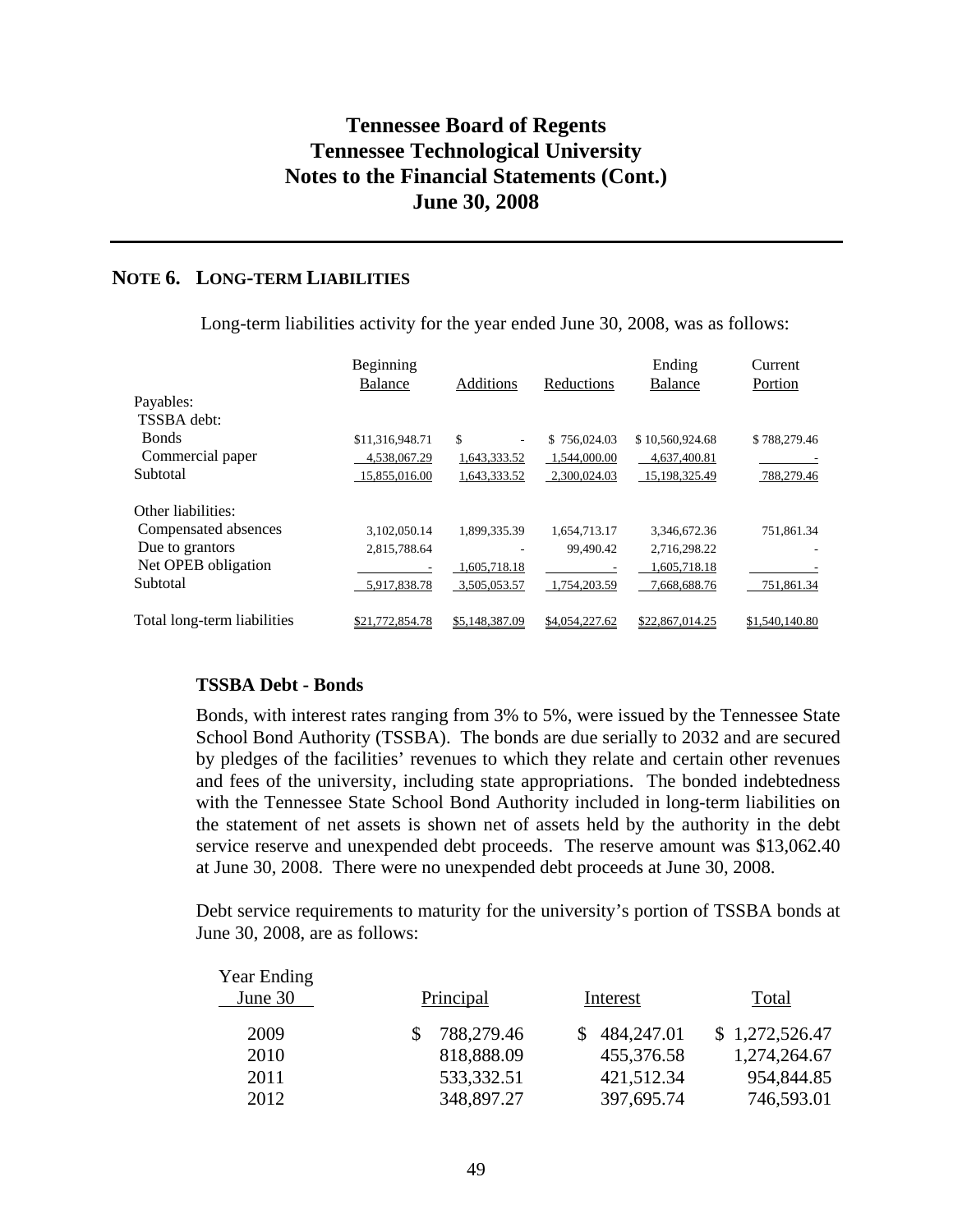### **NOTE 6. LONG-TERM LIABILITIES**

|                             | Beginning<br>Balance | Additions      | Reductions               | Ending<br>Balance | Current<br>Portion |
|-----------------------------|----------------------|----------------|--------------------------|-------------------|--------------------|
| Payables:                   |                      |                |                          |                   |                    |
| TSSBA debt:                 |                      |                |                          |                   |                    |
| <b>Bonds</b>                | \$11,316,948.71      | \$<br>-        | \$756,024.03             | \$10,560,924.68   | \$788,279.46       |
| Commercial paper            | 4,538,067.29         | 1,643,333.52   | 1,544,000.00             | 4,637,400.81      |                    |
| Subtotal                    | 15,855,016.00        | 1,643,333.52   | 2,300,024.03             | 15,198,325.49     | 788,279.46         |
| Other liabilities:          |                      |                |                          |                   |                    |
| Compensated absences        | 3,102,050.14         | 1,899,335.39   | 1,654,713.17             | 3,346,672.36      | 751,861.34         |
| Due to grantors             | 2,815,788.64         |                | 99,490.42                | 2,716,298.22      |                    |
| Net OPEB obligation         | ۰                    | 1,605,718.18   | $\overline{\phantom{0}}$ | 1,605,718.18      |                    |
| Subtotal                    | 5,917,838.78         | 3,505,053.57   | 1,754,203.59             | 7,668,688.76      | 751,861.34         |
| Total long-term liabilities | \$21,772,854.78      | \$5,148,387.09 | \$4,054,227.62           | \$22,867,014.25   | \$1,540,140.80     |

Long-term liabilities activity for the year ended June 30, 2008, was as follows:

#### **TSSBA Debt - Bonds**

Bonds, with interest rates ranging from 3% to 5%, were issued by the Tennessee State School Bond Authority (TSSBA). The bonds are due serially to 2032 and are secured by pledges of the facilities' revenues to which they relate and certain other revenues and fees of the university, including state appropriations. The bonded indebtedness with the Tennessee State School Bond Authority included in long-term liabilities on the statement of net assets is shown net of assets held by the authority in the debt service reserve and unexpended debt proceeds. The reserve amount was \$13,062.40 at June 30, 2008. There were no unexpended debt proceeds at June 30, 2008.

Debt service requirements to maturity for the university's portion of TSSBA bonds at June 30, 2008, are as follows:

| <b>Year Ending</b> |            |              |                |
|--------------------|------------|--------------|----------------|
| June 30            | Principal  | Interest     | Total          |
| 2009               | 788,279.46 | \$484,247.01 | \$1,272,526.47 |
| 2010               | 818,888.09 | 455,376.58   | 1,274,264.67   |
| 2011               | 533,332.51 | 421,512.34   | 954,844.85     |
| 2012               | 348,897.27 | 397,695.74   | 746,593.01     |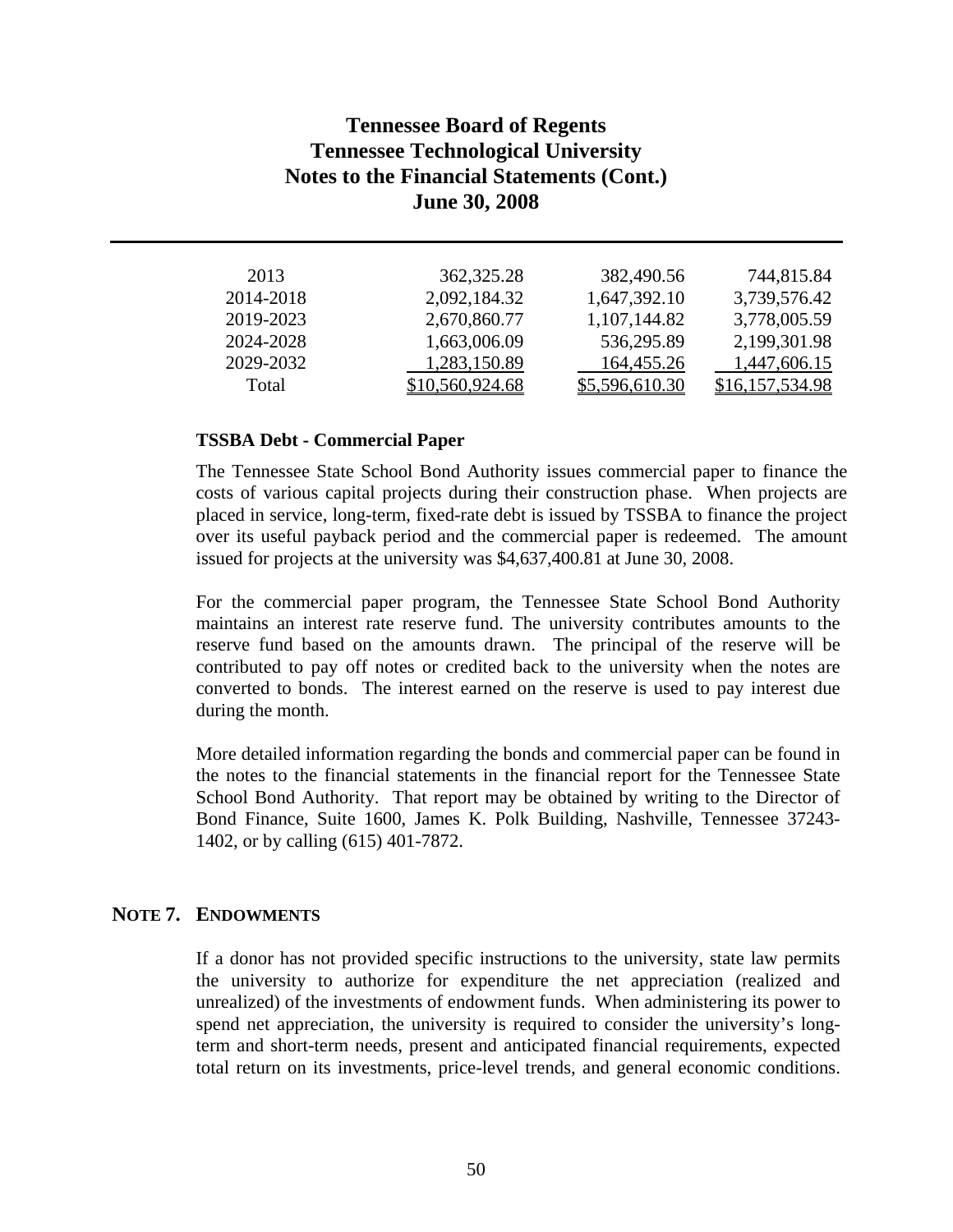| 744,815.84      |
|-----------------|
| 3,739,576.42    |
| 3,778,005.59    |
| 2,199,301.98    |
| 1,447,606.15    |
| \$16,157,534.98 |
|                 |

#### **TSSBA Debt - Commercial Paper**

The Tennessee State School Bond Authority issues commercial paper to finance the costs of various capital projects during their construction phase. When projects are placed in service, long-term, fixed-rate debt is issued by TSSBA to finance the project over its useful payback period and the commercial paper is redeemed. The amount issued for projects at the university was \$4,637,400.81 at June 30, 2008.

For the commercial paper program, the Tennessee State School Bond Authority maintains an interest rate reserve fund. The university contributes amounts to the reserve fund based on the amounts drawn. The principal of the reserve will be contributed to pay off notes or credited back to the university when the notes are converted to bonds. The interest earned on the reserve is used to pay interest due during the month.

More detailed information regarding the bonds and commercial paper can be found in the notes to the financial statements in the financial report for the Tennessee State School Bond Authority. That report may be obtained by writing to the Director of Bond Finance, Suite 1600, James K. Polk Building, Nashville, Tennessee 37243- 1402, or by calling (615) 401-7872.

### **NOTE 7. ENDOWMENTS**

If a donor has not provided specific instructions to the university, state law permits the university to authorize for expenditure the net appreciation (realized and unrealized) of the investments of endowment funds. When administering its power to spend net appreciation, the university is required to consider the university's longterm and short-term needs, present and anticipated financial requirements, expected total return on its investments, price-level trends, and general economic conditions.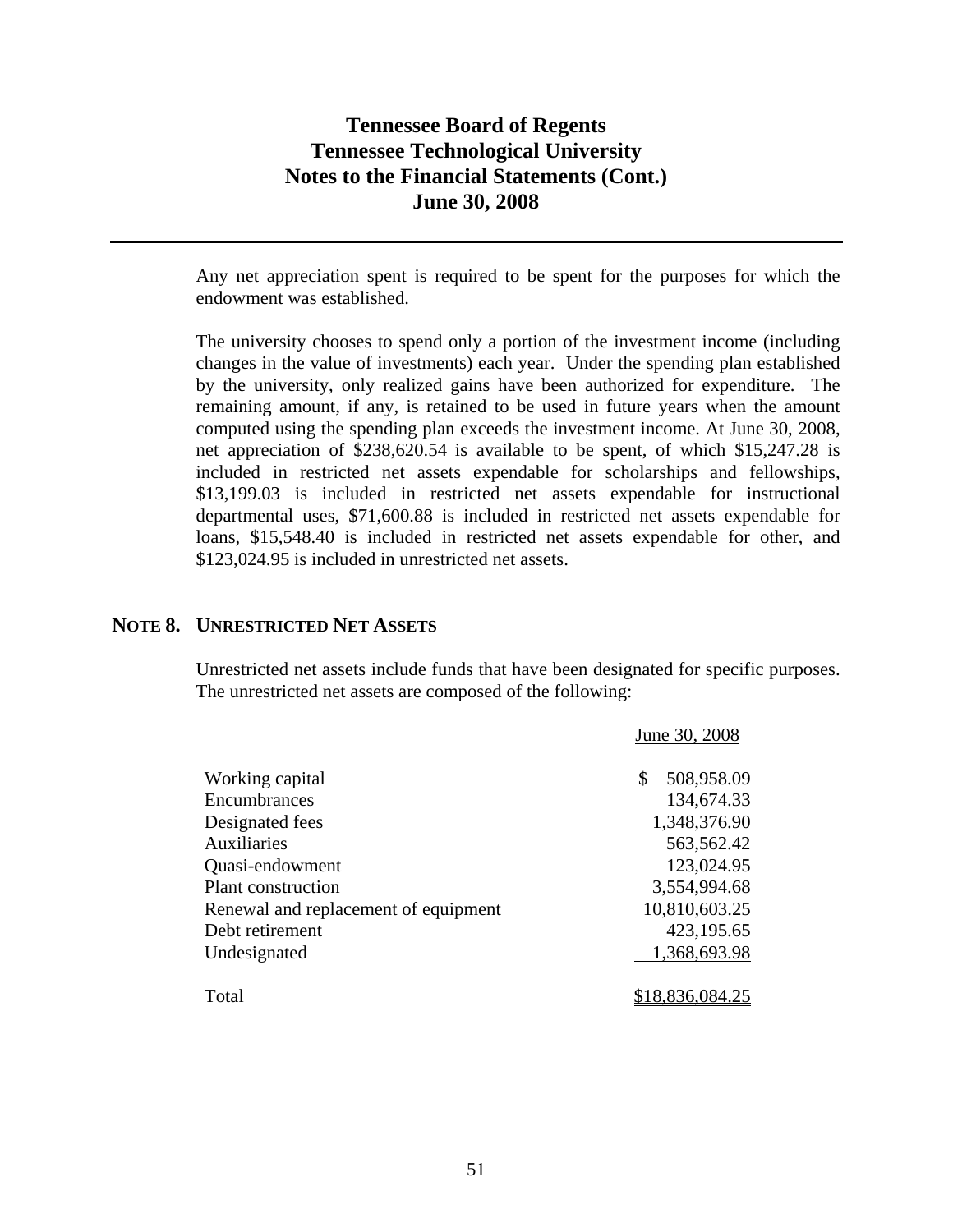Any net appreciation spent is required to be spent for the purposes for which the endowment was established.

The university chooses to spend only a portion of the investment income (including changes in the value of investments) each year. Under the spending plan established by the university, only realized gains have been authorized for expenditure. The remaining amount, if any, is retained to be used in future years when the amount computed using the spending plan exceeds the investment income. At June 30, 2008, net appreciation of \$238,620.54 is available to be spent, of which \$15,247.28 is included in restricted net assets expendable for scholarships and fellowships, \$13,199.03 is included in restricted net assets expendable for instructional departmental uses, \$71,600.88 is included in restricted net assets expendable for loans, \$15,548.40 is included in restricted net assets expendable for other, and \$123,024.95 is included in unrestricted net assets.

### **NOTE 8. UNRESTRICTED NET ASSETS**

Unrestricted net assets include funds that have been designated for specific purposes. The unrestricted net assets are composed of the following:

|                                      | June 30, 2008    |
|--------------------------------------|------------------|
| Working capital                      | 508,958.09<br>\$ |
| Encumbrances                         | 134,674.33       |
| Designated fees                      | 1,348,376.90     |
| Auxiliaries                          | 563,562.42       |
| Quasi-endowment                      | 123,024.95       |
| Plant construction                   | 3,554,994.68     |
| Renewal and replacement of equipment | 10,810,603.25    |
| Debt retirement                      | 423,195.65       |
| Undesignated                         | 1,368,693.98     |
| Total                                | \$18,836,084.25  |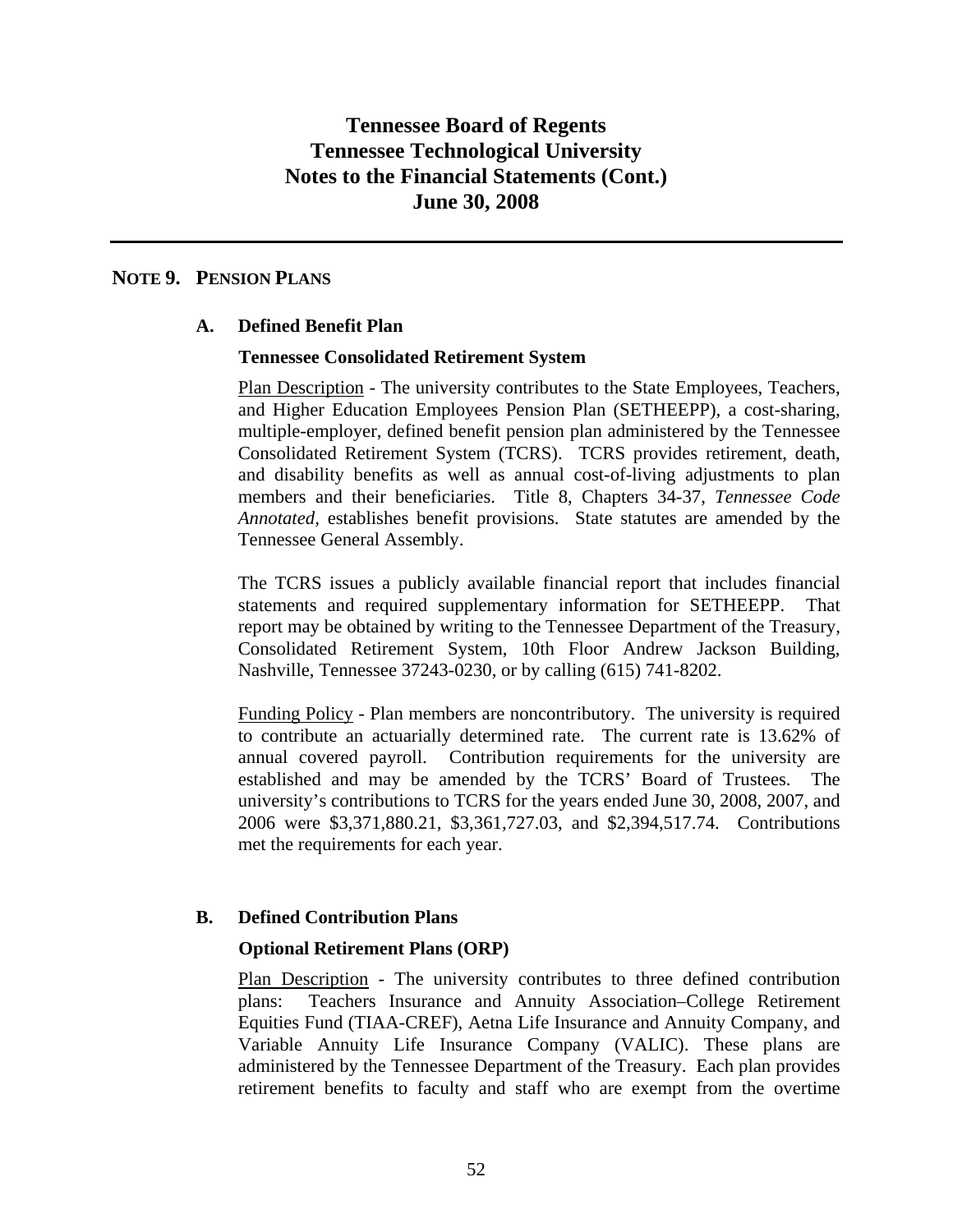### **NOTE 9. PENSION PLANS**

### **A. Defined Benefit Plan**

### **Tennessee Consolidated Retirement System**

Plan Description - The university contributes to the State Employees, Teachers, and Higher Education Employees Pension Plan (SETHEEPP), a cost-sharing, multiple-employer, defined benefit pension plan administered by the Tennessee Consolidated Retirement System (TCRS). TCRS provides retirement, death, and disability benefits as well as annual cost-of-living adjustments to plan members and their beneficiaries. Title 8, Chapters 34-37, *Tennessee Code Annotated,* establishes benefit provisions. State statutes are amended by the Tennessee General Assembly.

The TCRS issues a publicly available financial report that includes financial statements and required supplementary information for SETHEEPP. That report may be obtained by writing to the Tennessee Department of the Treasury, Consolidated Retirement System, 10th Floor Andrew Jackson Building, Nashville, Tennessee 37243-0230, or by calling (615) 741-8202.

Funding Policy - Plan members are noncontributory. The university is required to contribute an actuarially determined rate. The current rate is 13.62% of annual covered payroll. Contribution requirements for the university are established and may be amended by the TCRS' Board of Trustees. The university's contributions to TCRS for the years ended June 30, 2008, 2007, and 2006 were \$3,371,880.21, \$3,361,727.03, and \$2,394,517.74. Contributions met the requirements for each year.

### **B. Defined Contribution Plans**

### **Optional Retirement Plans (ORP)**

Plan Description - The university contributes to three defined contribution plans: Teachers Insurance and Annuity Association–College Retirement Equities Fund (TIAA-CREF), Aetna Life Insurance and Annuity Company, and Variable Annuity Life Insurance Company (VALIC). These plans are administered by the Tennessee Department of the Treasury. Each plan provides retirement benefits to faculty and staff who are exempt from the overtime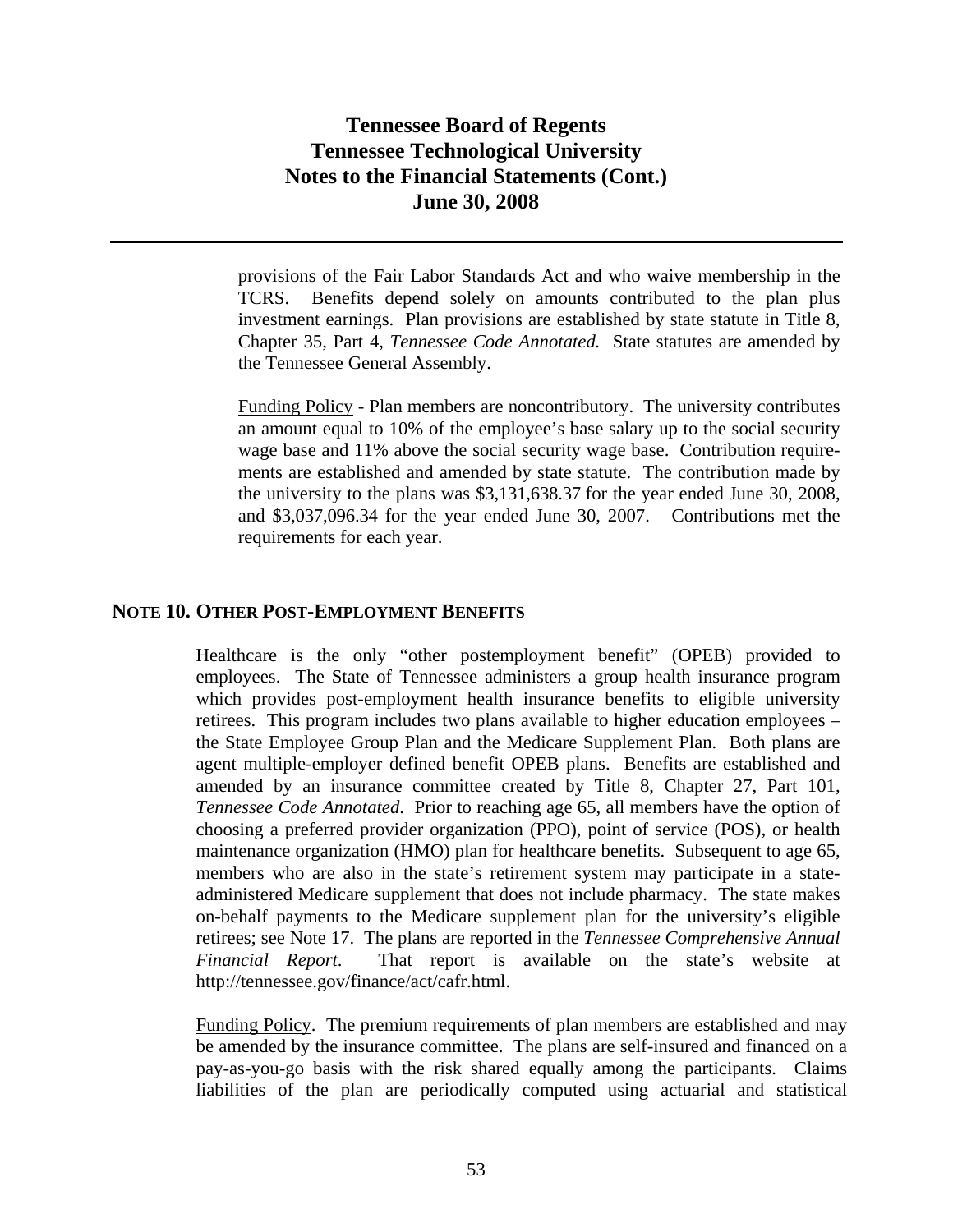provisions of the Fair Labor Standards Act and who waive membership in the TCRS. Benefits depend solely on amounts contributed to the plan plus investment earnings. Plan provisions are established by state statute in Title 8, Chapter 35, Part 4, *Tennessee Code Annotated.* State statutes are amended by the Tennessee General Assembly.

Funding Policy - Plan members are noncontributory. The university contributes an amount equal to 10% of the employee's base salary up to the social security wage base and 11% above the social security wage base. Contribution requirements are established and amended by state statute. The contribution made by the university to the plans was \$3,131,638.37 for the year ended June 30, 2008, and \$3,037,096.34 for the year ended June 30, 2007. Contributions met the requirements for each year.

### **NOTE 10. OTHER POST-EMPLOYMENT BENEFITS**

Healthcare is the only "other postemployment benefit" (OPEB) provided to employees. The State of Tennessee administers a group health insurance program which provides post-employment health insurance benefits to eligible university retirees. This program includes two plans available to higher education employees – the State Employee Group Plan and the Medicare Supplement Plan. Both plans are agent multiple-employer defined benefit OPEB plans. Benefits are established and amended by an insurance committee created by Title 8, Chapter 27, Part 101, *Tennessee Code Annotated*. Prior to reaching age 65, all members have the option of choosing a preferred provider organization (PPO), point of service (POS), or health maintenance organization (HMO) plan for healthcare benefits. Subsequent to age 65, members who are also in the state's retirement system may participate in a stateadministered Medicare supplement that does not include pharmacy. The state makes on-behalf payments to the Medicare supplement plan for the university's eligible retirees; see Note 17. The plans are reported in the *Tennessee Comprehensive Annual Financial Report*. That report is available on the state's website at http://tennessee.gov/finance/act/cafr.html.

Funding Policy. The premium requirements of plan members are established and may be amended by the insurance committee. The plans are self-insured and financed on a pay-as-you-go basis with the risk shared equally among the participants. Claims liabilities of the plan are periodically computed using actuarial and statistical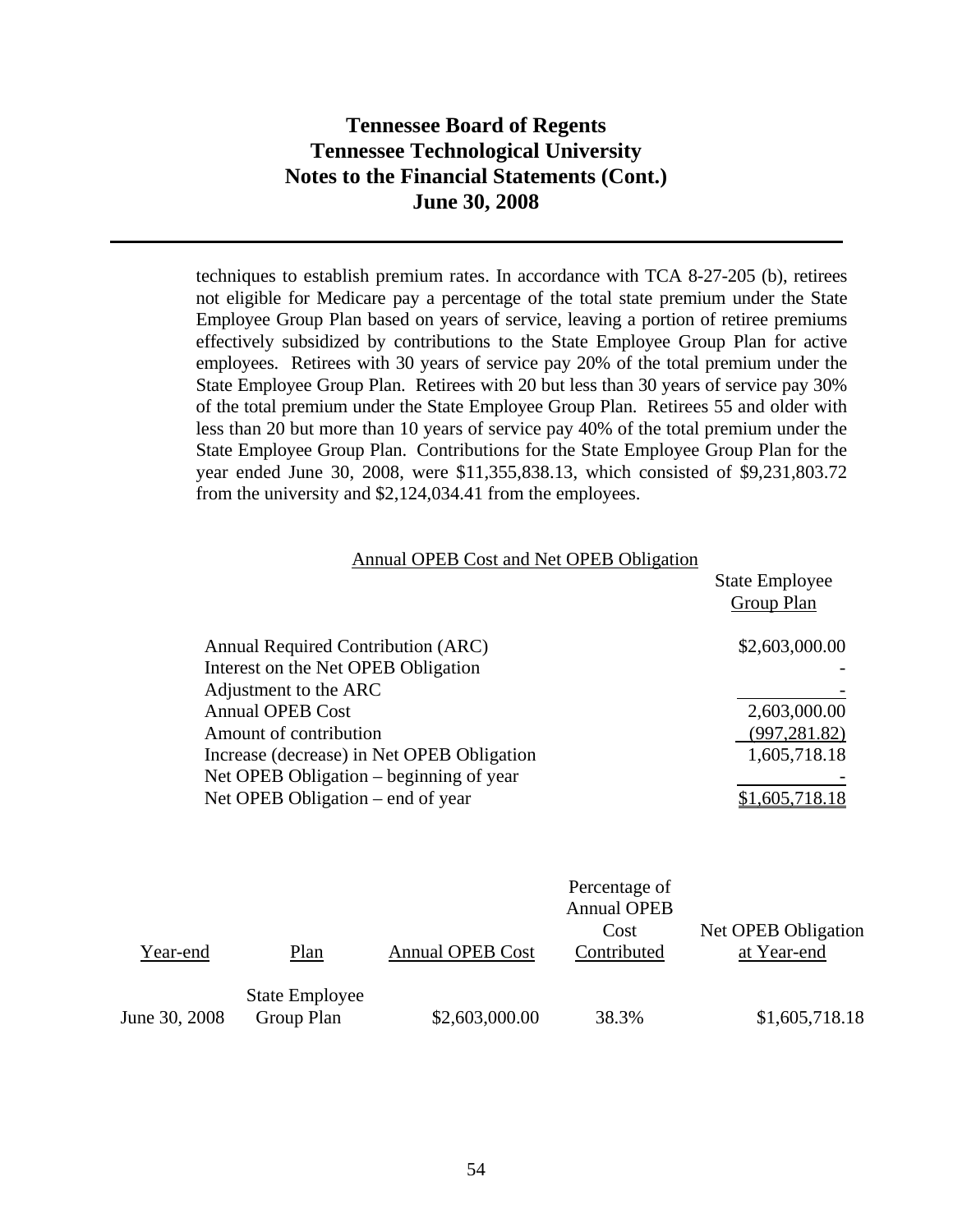techniques to establish premium rates. In accordance with TCA 8-27-205 (b), retirees not eligible for Medicare pay a percentage of the total state premium under the State Employee Group Plan based on years of service, leaving a portion of retiree premiums effectively subsidized by contributions to the State Employee Group Plan for active employees. Retirees with 30 years of service pay 20% of the total premium under the State Employee Group Plan. Retirees with 20 but less than 30 years of service pay 30% of the total premium under the State Employee Group Plan. Retirees 55 and older with less than 20 but more than 10 years of service pay 40% of the total premium under the State Employee Group Plan. Contributions for the State Employee Group Plan for the year ended June 30, 2008, were \$11,355,838.13, which consisted of \$9,231,803.72 from the university and \$2,124,034.41 from the employees.

| Annual OPEB Cost and Net OPEB Obligation   |                       |
|--------------------------------------------|-----------------------|
|                                            | <b>State Employee</b> |
|                                            | Group Plan            |
| Annual Required Contribution (ARC)         | \$2,603,000.00        |
| Interest on the Net OPEB Obligation        |                       |
| Adjustment to the ARC                      |                       |
| <b>Annual OPEB Cost</b>                    | 2,603,000.00          |
| Amount of contribution                     | (997, 281.82)         |
| Increase (decrease) in Net OPEB Obligation | 1,605,718.18          |
| Net OPEB Obligation – beginning of year    |                       |
| Net OPEB Obligation – end of year          | \$1,605,718.18        |

|               |                                     |                         | Percentage of<br><b>Annual OPEB</b> |                                    |
|---------------|-------------------------------------|-------------------------|-------------------------------------|------------------------------------|
| Year-end      | Plan                                | <b>Annual OPEB Cost</b> | Cost<br>Contributed                 | Net OPEB Obligation<br>at Year-end |
|               |                                     |                         |                                     |                                    |
| June 30, 2008 | <b>State Employee</b><br>Group Plan | \$2,603,000.00          | 38.3%                               | \$1,605,718.18                     |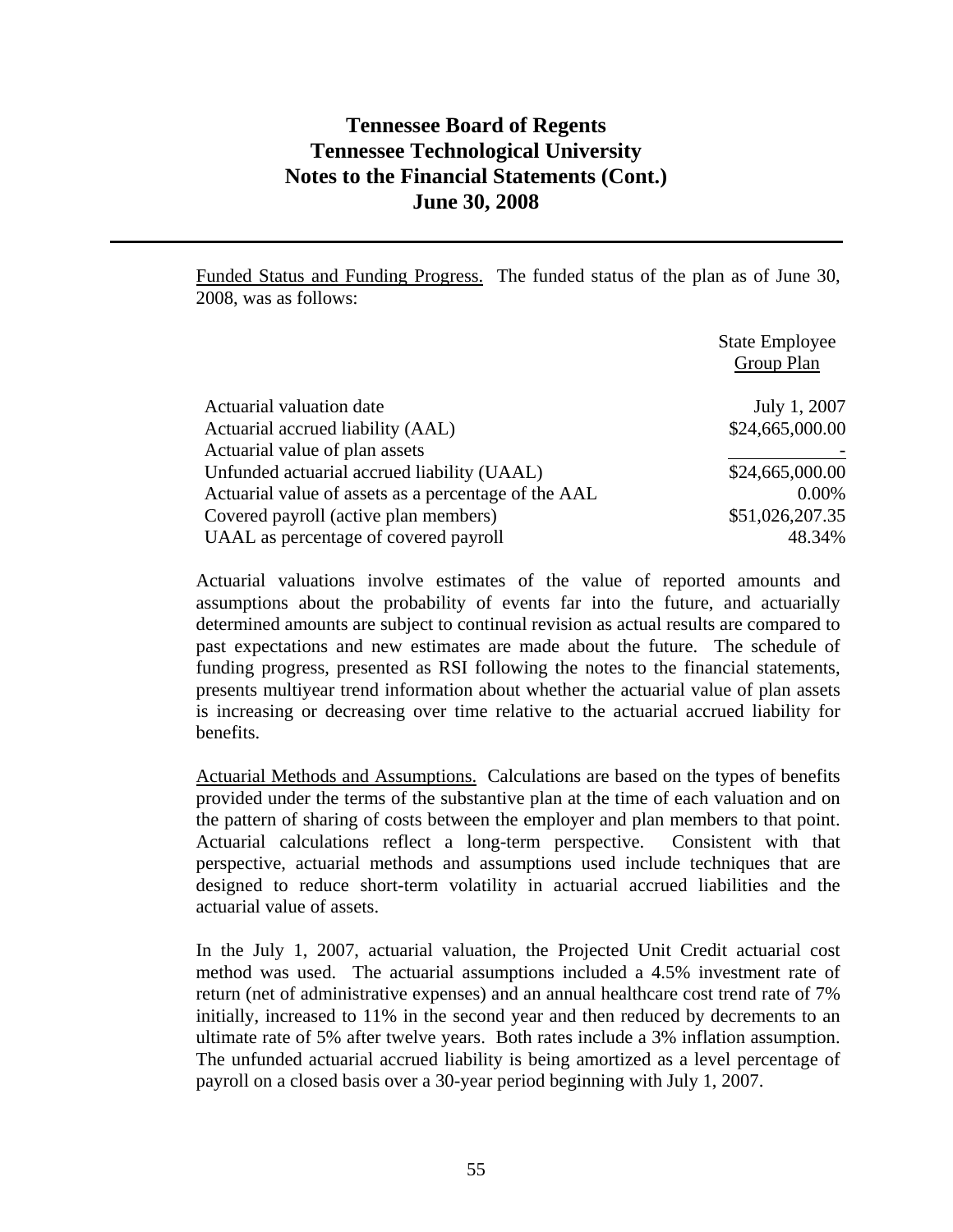Funded Status and Funding Progress. The funded status of the plan as of June 30, 2008, was as follows:

|                                                      | <b>State Employee</b><br>Group Plan |
|------------------------------------------------------|-------------------------------------|
| Actuarial valuation date                             | July 1, 2007                        |
| Actuarial accrued liability (AAL)                    | \$24,665,000.00                     |
| Actuarial value of plan assets                       |                                     |
| Unfunded actuarial accrued liability (UAAL)          | \$24,665,000.00                     |
| Actuarial value of assets as a percentage of the AAL | $0.00\%$                            |
| Covered payroll (active plan members)                | \$51,026,207.35                     |
| UAAL as percentage of covered payroll                | 48.34%                              |

Actuarial valuations involve estimates of the value of reported amounts and assumptions about the probability of events far into the future, and actuarially determined amounts are subject to continual revision as actual results are compared to past expectations and new estimates are made about the future. The schedule of funding progress, presented as RSI following the notes to the financial statements, presents multiyear trend information about whether the actuarial value of plan assets is increasing or decreasing over time relative to the actuarial accrued liability for benefits.

Actuarial Methods and Assumptions. Calculations are based on the types of benefits provided under the terms of the substantive plan at the time of each valuation and on the pattern of sharing of costs between the employer and plan members to that point. Actuarial calculations reflect a long-term perspective. Consistent with that perspective, actuarial methods and assumptions used include techniques that are designed to reduce short-term volatility in actuarial accrued liabilities and the actuarial value of assets.

In the July 1, 2007, actuarial valuation, the Projected Unit Credit actuarial cost method was used. The actuarial assumptions included a 4.5% investment rate of return (net of administrative expenses) and an annual healthcare cost trend rate of 7% initially, increased to 11% in the second year and then reduced by decrements to an ultimate rate of 5% after twelve years. Both rates include a 3% inflation assumption. The unfunded actuarial accrued liability is being amortized as a level percentage of payroll on a closed basis over a 30-year period beginning with July 1, 2007.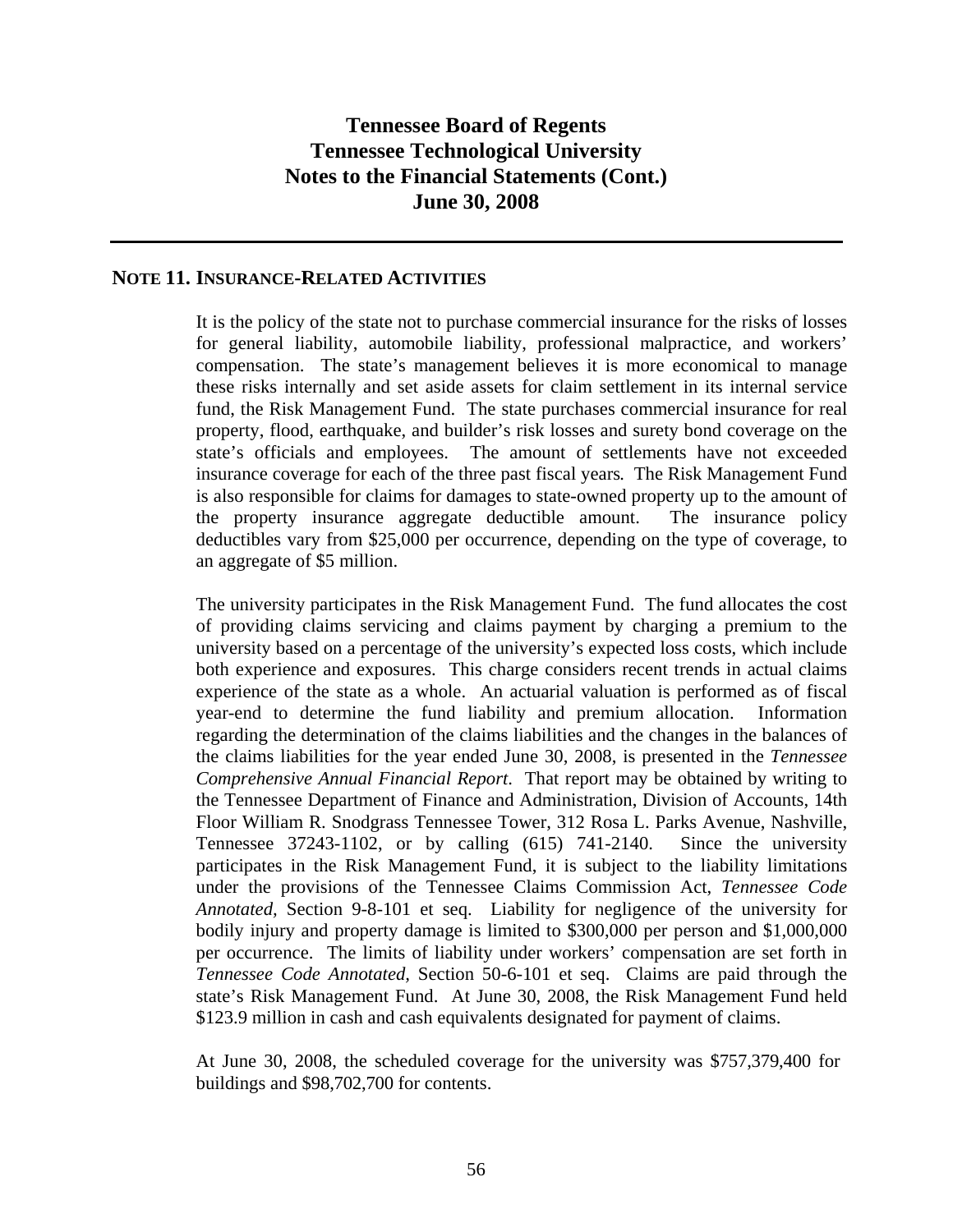### **NOTE 11. INSURANCE-RELATED ACTIVITIES**

It is the policy of the state not to purchase commercial insurance for the risks of losses for general liability, automobile liability, professional malpractice, and workers' compensation. The state's management believes it is more economical to manage these risks internally and set aside assets for claim settlement in its internal service fund, the Risk Management Fund. The state purchases commercial insurance for real property, flood, earthquake, and builder's risk losses and surety bond coverage on the state's officials and employees. The amount of settlements have not exceeded insurance coverage for each of the three past fiscal years*.* The Risk Management Fund is also responsible for claims for damages to state-owned property up to the amount of the property insurance aggregate deductible amount. The insurance policy deductibles vary from \$25,000 per occurrence, depending on the type of coverage, to an aggregate of \$5 million.

The university participates in the Risk Management Fund. The fund allocates the cost of providing claims servicing and claims payment by charging a premium to the university based on a percentage of the university's expected loss costs, which include both experience and exposures. This charge considers recent trends in actual claims experience of the state as a whole. An actuarial valuation is performed as of fiscal year-end to determine the fund liability and premium allocation. Information regarding the determination of the claims liabilities and the changes in the balances of the claims liabilities for the year ended June 30, 2008, is presented in the *Tennessee Comprehensive Annual Financial Report*. That report may be obtained by writing to the Tennessee Department of Finance and Administration, Division of Accounts, 14th Floor William R. Snodgrass Tennessee Tower, 312 Rosa L. Parks Avenue, Nashville, Tennessee 37243-1102, or by calling (615) 741-2140. Since the university participates in the Risk Management Fund, it is subject to the liability limitations under the provisions of the Tennessee Claims Commission Act, *Tennessee Code Annotated,* Section 9-8-101 et seq. Liability for negligence of the university for bodily injury and property damage is limited to \$300,000 per person and \$1,000,000 per occurrence. The limits of liability under workers' compensation are set forth in *Tennessee Code Annotated,* Section 50-6-101 et seq. Claims are paid through the state's Risk Management Fund. At June 30, 2008, the Risk Management Fund held \$123.9 million in cash and cash equivalents designated for payment of claims.

At June 30, 2008, the scheduled coverage for the university was \$757,379,400 for buildings and \$98,702,700 for contents.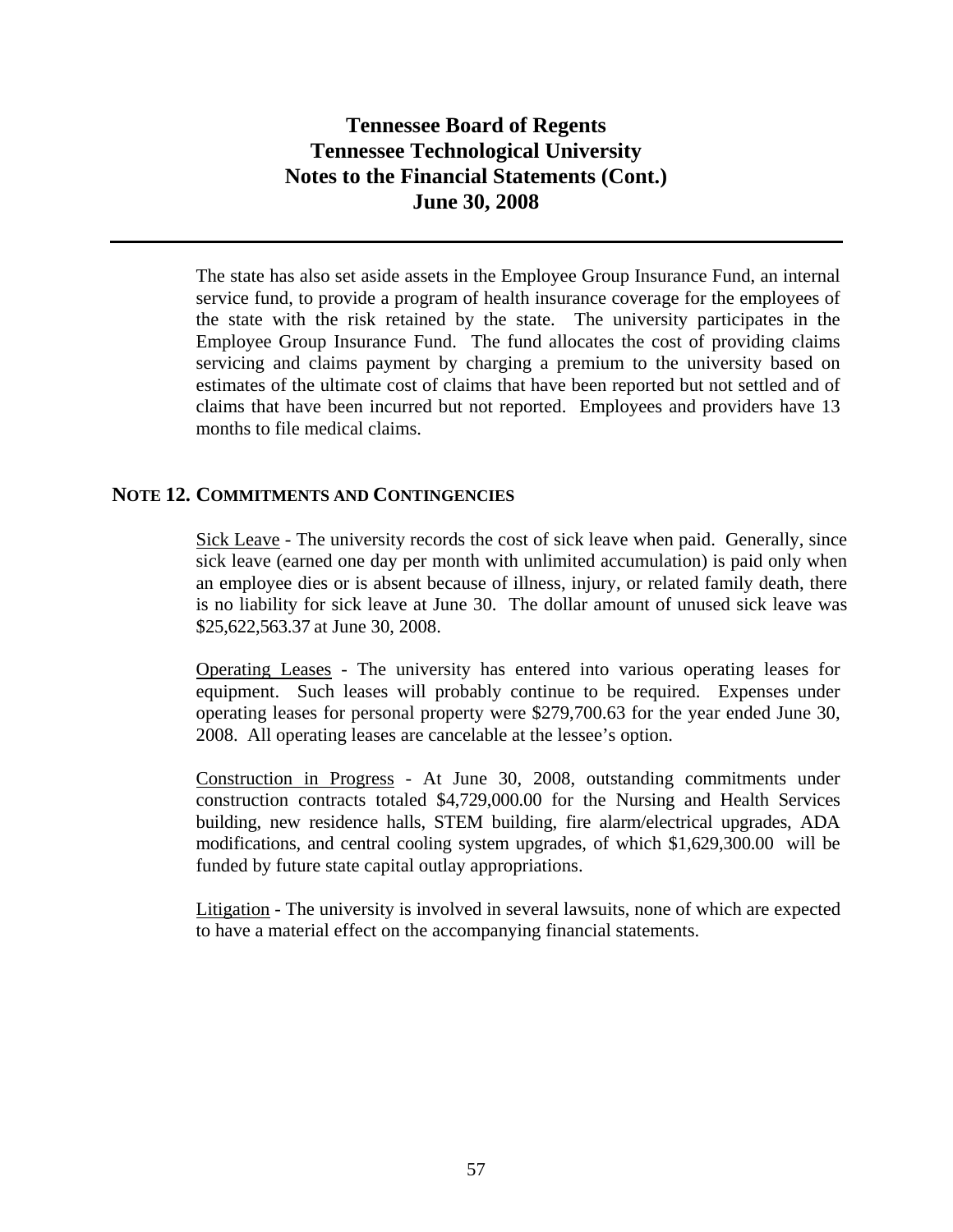The state has also set aside assets in the Employee Group Insurance Fund, an internal service fund, to provide a program of health insurance coverage for the employees of the state with the risk retained by the state. The university participates in the Employee Group Insurance Fund. The fund allocates the cost of providing claims servicing and claims payment by charging a premium to the university based on estimates of the ultimate cost of claims that have been reported but not settled and of claims that have been incurred but not reported. Employees and providers have 13 months to file medical claims.

### **NOTE 12. COMMITMENTS AND CONTINGENCIES**

Sick Leave - The university records the cost of sick leave when paid. Generally, since sick leave (earned one day per month with unlimited accumulation) is paid only when an employee dies or is absent because of illness, injury, or related family death, there is no liability for sick leave at June 30. The dollar amount of unused sick leave was \$25,622,563.37 at June 30, 2008.

Operating Leases - The university has entered into various operating leases for equipment. Such leases will probably continue to be required. Expenses under operating leases for personal property were \$279,700.63 for the year ended June 30, 2008. All operating leases are cancelable at the lessee's option.

 Construction in Progress - At June 30, 2008, outstanding commitments under construction contracts totaled \$4,729,000.00 for the Nursing and Health Services building, new residence halls, STEM building, fire alarm/electrical upgrades, ADA modifications, and central cooling system upgrades, of which \$1,629,300.00 will be funded by future state capital outlay appropriations.

Litigation - The university is involved in several lawsuits, none of which are expected to have a material effect on the accompanying financial statements.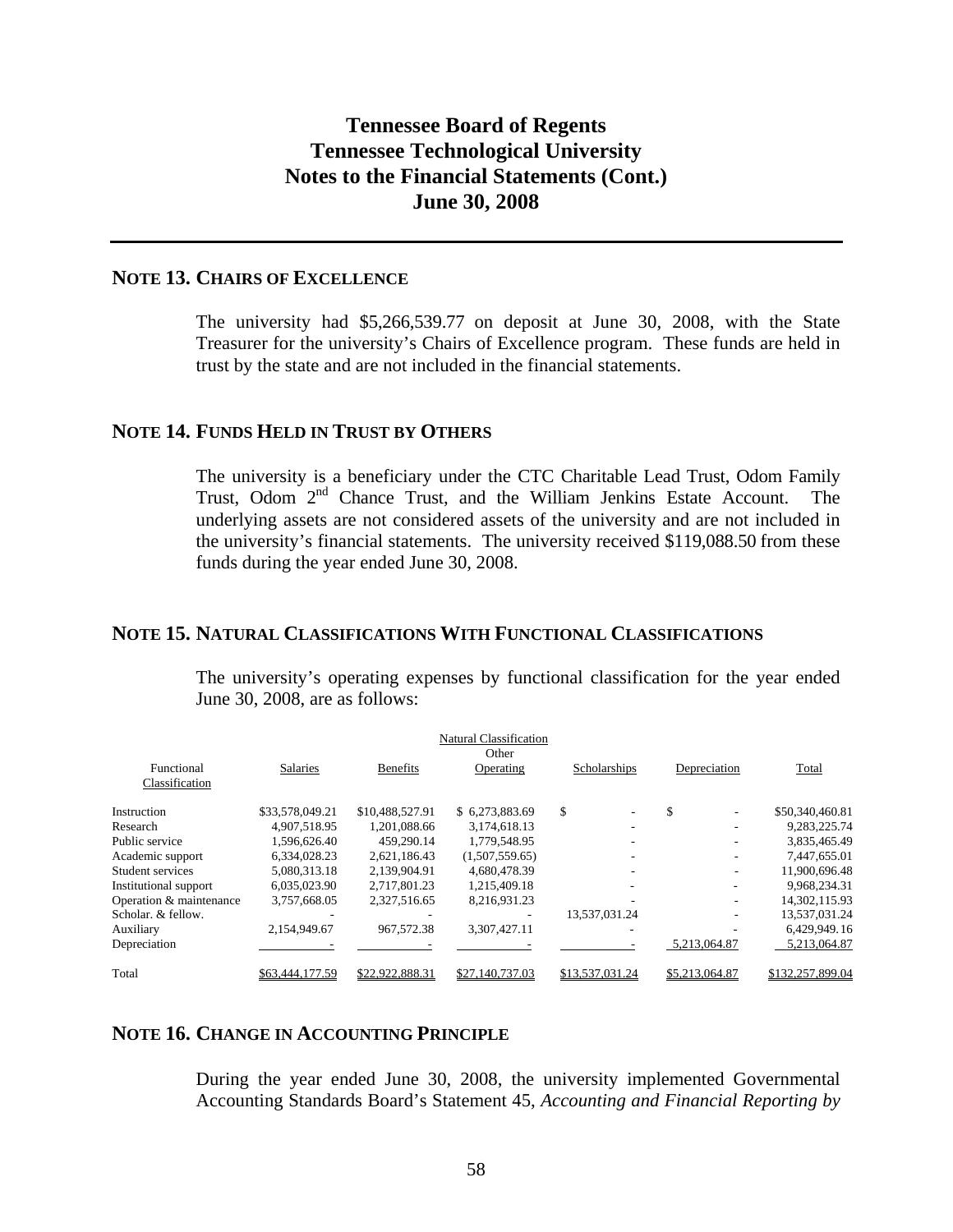### **NOTE 13. CHAIRS OF EXCELLENCE**

The university had \$5,266,539.77 on deposit at June 30, 2008, with the State Treasurer for the university's Chairs of Excellence program. These funds are held in trust by the state and are not included in the financial statements.

### **NOTE 14. FUNDS HELD IN TRUST BY OTHERS**

The university is a beneficiary under the CTC Charitable Lead Trust, Odom Family Trust, Odom 2<sup>nd</sup> Chance Trust, and the William Jenkins Estate Account. The underlying assets are not considered assets of the university and are not included in the university's financial statements. The university received \$119,088.50 from these funds during the year ended June 30, 2008.

#### **NOTE 15. NATURAL CLASSIFICATIONS WITH FUNCTIONAL CLASSIFICATIONS**

The university's operating expenses by functional classification for the year ended June 30, 2008, are as follows:

|                              |                 |                 | <b>Natural Classification</b><br>Other |                 |                |                  |
|------------------------------|-----------------|-----------------|----------------------------------------|-----------------|----------------|------------------|
| Functional<br>Classification | <b>Salaries</b> | <b>Benefits</b> | Operating                              | Scholarships    | Depreciation   | Total            |
|                              |                 |                 |                                        |                 |                |                  |
| Instruction                  | \$33,578,049.21 | \$10,488,527.91 | \$ 6.273,883.69                        | \$.<br>۰        | \$             | \$50,340,460.81  |
| Research                     | 4.907.518.95    | 1.201.088.66    | 3,174,618.13                           | -               |                | 9,283,225.74     |
| Public service               | 1.596.626.40    | 459,290.14      | 1,779,548.95                           |                 |                | 3,835,465.49     |
| Academic support             | 6.334.028.23    | 2,621,186.43    | (1,507,559.65)                         | ۰               |                | 7,447,655.01     |
| Student services             | 5,080,313.18    | 2,139,904.91    | 4,680,478.39                           | ۰               |                | 11,900,696.48    |
| Institutional support        | 6.035.023.90    | 2,717,801.23    | 1.215.409.18                           |                 |                | 9,968,234.31     |
| Operation & maintenance      | 3,757,668.05    | 2,327,516.65    | 8.216.931.23                           |                 |                | 14,302,115.93    |
| Scholar, & fellow.           |                 |                 |                                        | 13,537,031.24   |                | 13,537,031.24    |
| Auxiliary                    | 2,154,949.67    | 967,572.38      | 3,307,427.11                           |                 |                | 6,429,949.16     |
| Depreciation                 |                 |                 |                                        |                 | 5,213,064.87   | 5.213.064.87     |
| Total                        | \$63,444,177.59 | \$22,922,888.31 | \$27,140,737.03                        | \$13,537,031.24 | \$5,213,064.87 | \$132,257,899.04 |

#### **NOTE 16. CHANGE IN ACCOUNTING PRINCIPLE**

During the year ended June 30, 2008, the university implemented Governmental Accounting Standards Board's Statement 45, *Accounting and Financial Reporting by*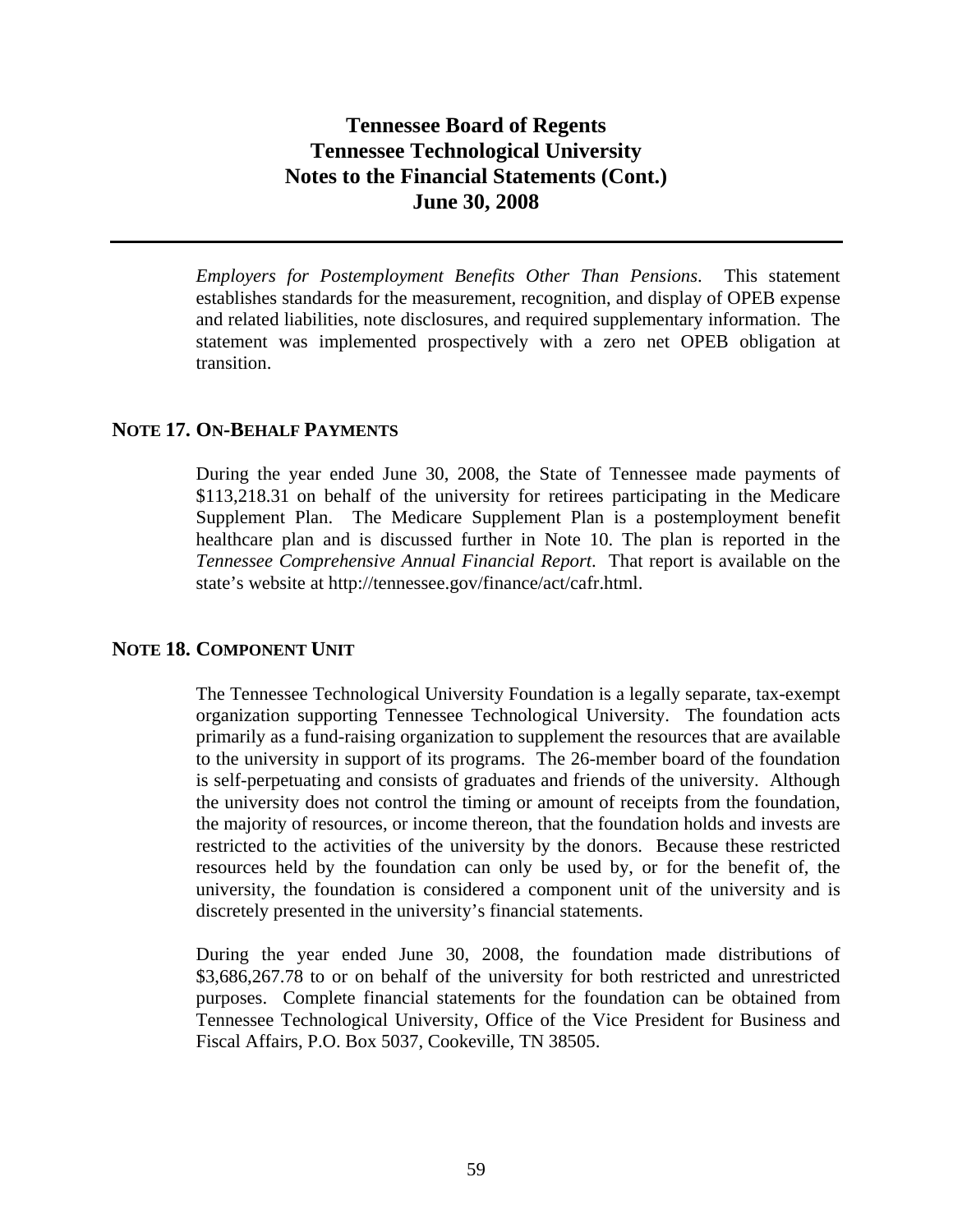*Employers for Postemployment Benefits Other Than Pensions*. This statement establishes standards for the measurement, recognition, and display of OPEB expense and related liabilities, note disclosures, and required supplementary information. The statement was implemented prospectively with a zero net OPEB obligation at transition.

### **NOTE 17. ON-BEHALF PAYMENTS**

During the year ended June 30, 2008, the State of Tennessee made payments of \$113,218.31 on behalf of the university for retirees participating in the Medicare Supplement Plan. The Medicare Supplement Plan is a postemployment benefit healthcare plan and is discussed further in Note 10. The plan is reported in the *Tennessee Comprehensive Annual Financial Report*. That report is available on the state's website at http://tennessee.gov/finance/act/cafr.html.

### **NOTE 18. COMPONENT UNIT**

The Tennessee Technological University Foundation is a legally separate, tax-exempt organization supporting Tennessee Technological University. The foundation acts primarily as a fund-raising organization to supplement the resources that are available to the university in support of its programs. The 26-member board of the foundation is self-perpetuating and consists of graduates and friends of the university. Although the university does not control the timing or amount of receipts from the foundation, the majority of resources, or income thereon, that the foundation holds and invests are restricted to the activities of the university by the donors. Because these restricted resources held by the foundation can only be used by, or for the benefit of, the university, the foundation is considered a component unit of the university and is discretely presented in the university's financial statements.

During the year ended June 30, 2008, the foundation made distributions of \$3,686,267.78 to or on behalf of the university for both restricted and unrestricted purposes. Complete financial statements for the foundation can be obtained from Tennessee Technological University, Office of the Vice President for Business and Fiscal Affairs, P.O. Box 5037, Cookeville, TN 38505.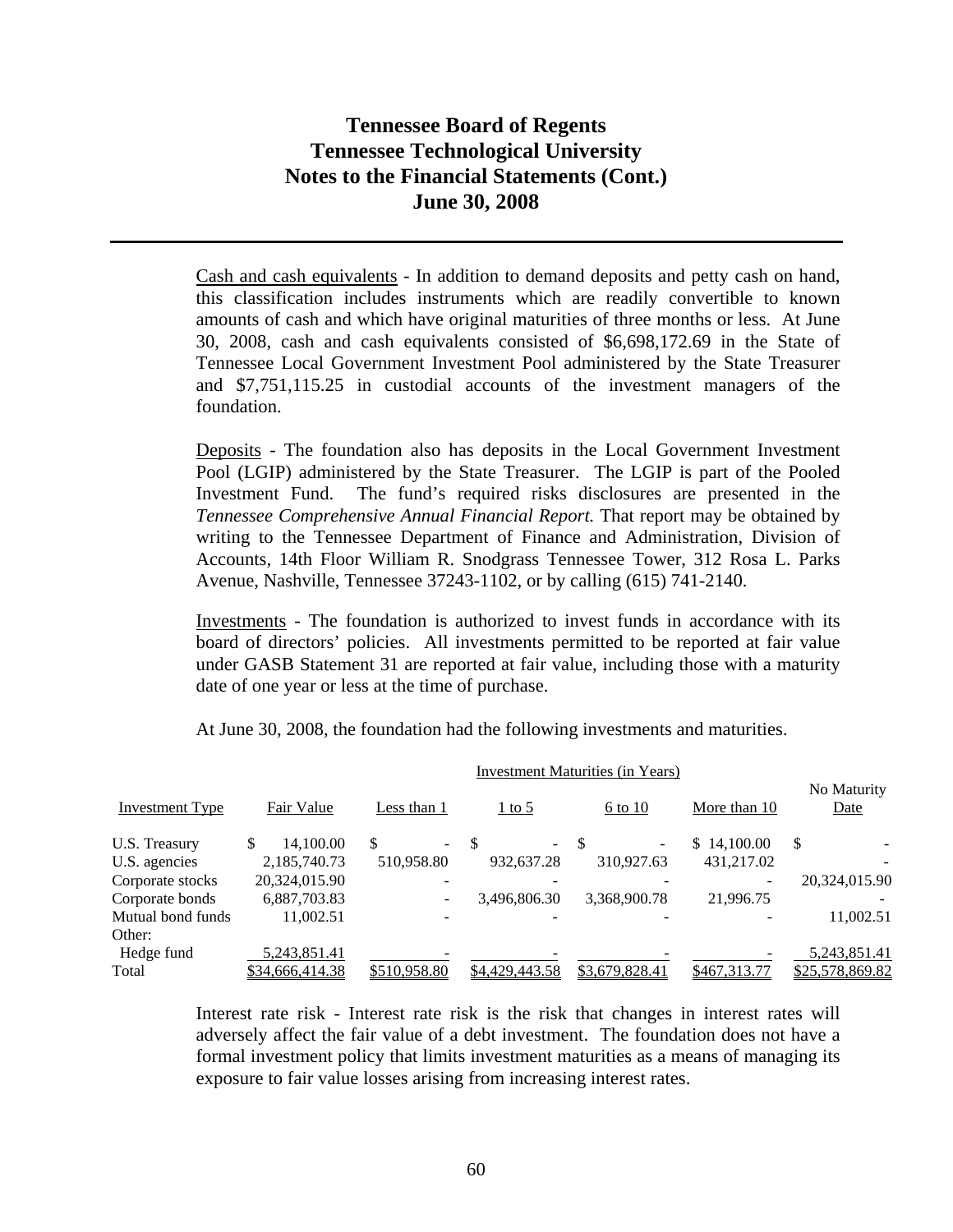Cash and cash equivalents - In addition to demand deposits and petty cash on hand, this classification includes instruments which are readily convertible to known amounts of cash and which have original maturities of three months or less. At June 30, 2008, cash and cash equivalents consisted of \$6,698,172.69 in the State of Tennessee Local Government Investment Pool administered by the State Treasurer and \$7,751,115.25 in custodial accounts of the investment managers of the foundation.

Deposits - The foundation also has deposits in the Local Government Investment Pool (LGIP) administered by the State Treasurer. The LGIP is part of the Pooled Investment Fund. The fund's required risks disclosures are presented in the *Tennessee Comprehensive Annual Financial Report.* That report may be obtained by writing to the Tennessee Department of Finance and Administration, Division of Accounts, 14th Floor William R. Snodgrass Tennessee Tower, 312 Rosa L. Parks Avenue, Nashville, Tennessee 37243-1102, or by calling (615) 741-2140.

Investments - The foundation is authorized to invest funds in accordance with its board of directors' policies. All investments permitted to be reported at fair value under GASB Statement 31 are reported at fair value, including those with a maturity date of one year or less at the time of purchase.

|                        | <b>Investment Maturities (in Years)</b> |                 |              |                  |    |                             |  |                          |              |    |                            |
|------------------------|-----------------------------------------|-----------------|--------------|------------------|----|-----------------------------|--|--------------------------|--------------|----|----------------------------|
| <b>Investment Type</b> |                                         | Fair Value      | Less than 1  |                  |    | $\frac{1 \text{ to } 5}{2}$ |  | 6 to 10                  | More than 10 |    | No Maturity<br><b>Date</b> |
| U.S. Treasury          |                                         | 14,100.00       | \$.          | $\sim$ 100 $\mu$ | -S | $\sim$                      |  | $\overline{\phantom{a}}$ | \$14,100.00  | \$ |                            |
| U.S. agencies          |                                         | 2,185,740.73    | 510,958.80   |                  |    | 932,637.28                  |  | 310.927.63               | 431,217.02   |    |                            |
| Corporate stocks       |                                         | 20,324,015.90   |              |                  |    |                             |  |                          |              |    | 20,324,015.90              |
| Corporate bonds        |                                         | 6,887,703.83    |              |                  |    | 3,496,806.30                |  | 3.368.900.78             | 21,996.75    |    |                            |
| Mutual bond funds      |                                         | 11,002.51       |              |                  |    |                             |  |                          |              |    | 11,002.51                  |
| Other:                 |                                         |                 |              |                  |    |                             |  |                          |              |    |                            |
| Hedge fund             |                                         | 5,243,851.41    |              |                  |    |                             |  |                          |              |    | 5,243,851.41               |
| Total                  |                                         | \$34,666,414.38 | \$510,958.80 |                  |    | \$4,429,443.58              |  | \$3,679,828.41           | \$467,313.77 |    | \$25,578,869.82            |

At June 30, 2008, the foundation had the following investments and maturities.

Interest rate risk - Interest rate risk is the risk that changes in interest rates will adversely affect the fair value of a debt investment. The foundation does not have a formal investment policy that limits investment maturities as a means of managing its exposure to fair value losses arising from increasing interest rates.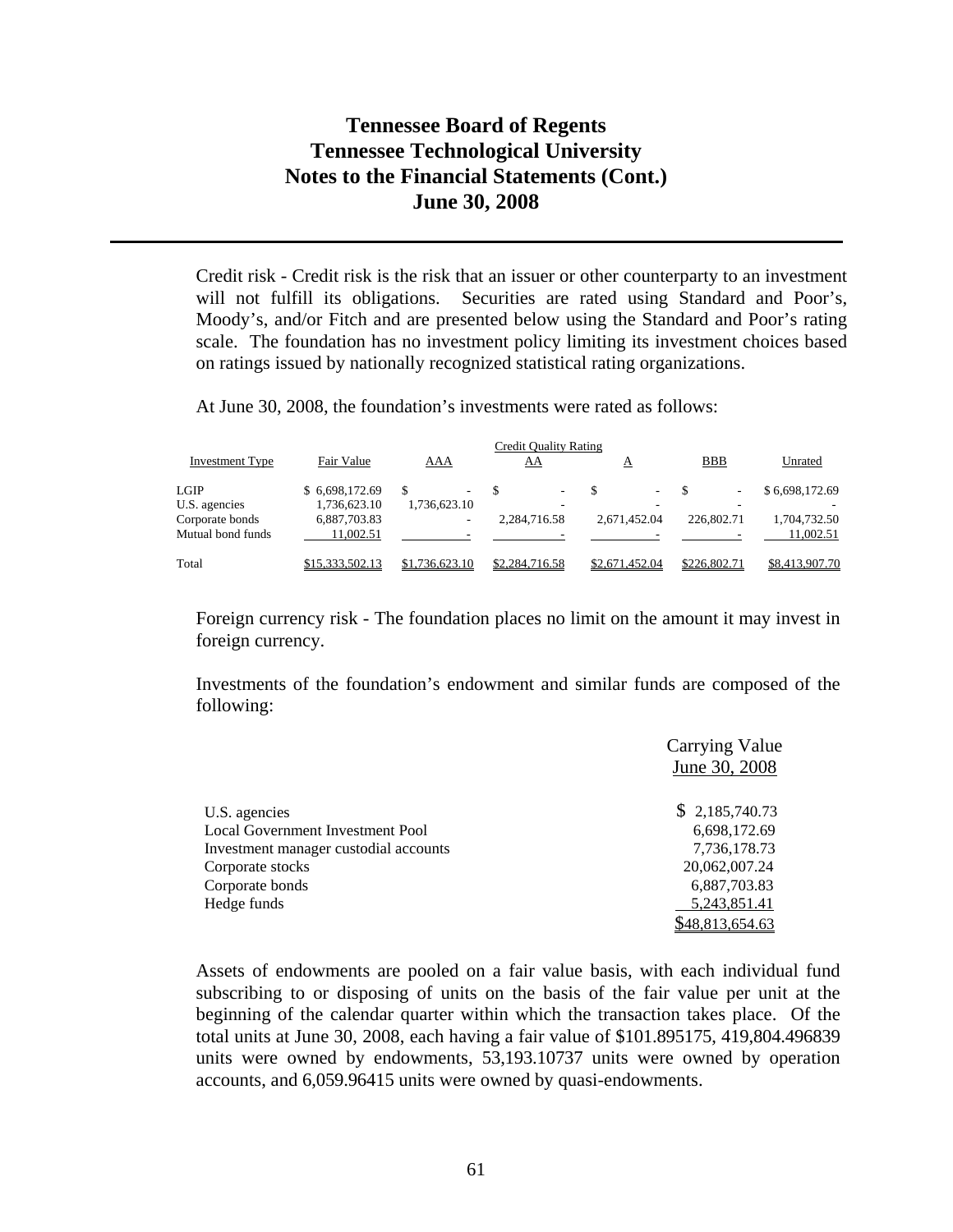Credit risk - Credit risk is the risk that an issuer or other counterparty to an investment will not fulfill its obligations. Securities are rated using Standard and Poor's, Moody's, and/or Fitch and are presented below using the Standard and Poor's rating scale. The foundation has no investment policy limiting its investment choices based on ratings issued by nationally recognized statistical rating organizations.

At June 30, 2008, the foundation's investments were rated as follows:

| Credit Quality Rating  |                 |                |                          |                |              |                |  |
|------------------------|-----------------|----------------|--------------------------|----------------|--------------|----------------|--|
| <b>Investment Type</b> | Fair Value      | AAA            | AA                       | A              | <b>BBB</b>   | Unrated        |  |
| LGIP                   | \$ 6,698,172.69 |                | $\overline{\phantom{a}}$ | ۰.             | ۰            | \$6,698,172.69 |  |
| U.S. agencies          | 1,736,623.10    | 1,736,623.10   | ۰                        |                |              |                |  |
| Corporate bonds        | 6,887,703.83    | ۰              | 2.284.716.58             | 2.671.452.04   | 226,802.71   | 1,704,732.50   |  |
| Mutual bond funds      | 11.002.51       |                |                          |                |              | 11.002.51      |  |
| Total                  | \$15,333,502.13 | \$1,736,623.10 | \$2,284,716.58           | \$2,671,452.04 | \$226,802.71 | \$8,413,907.70 |  |

Foreign currency risk - The foundation places no limit on the amount it may invest in foreign currency.

Investments of the foundation's endowment and similar funds are composed of the following:

|                                         | <b>Carrying Value</b> |
|-----------------------------------------|-----------------------|
|                                         | June 30, 2008         |
| U.S. agencies                           | \$2,185,740.73        |
| <b>Local Government Investment Pool</b> | 6,698,172.69          |
| Investment manager custodial accounts   | 7,736,178.73          |
| Corporate stocks                        | 20,062,007.24         |
| Corporate bonds                         | 6,887,703.83          |
| Hedge funds                             | 5,243,851.41          |
|                                         | 348,813,654.63        |

Assets of endowments are pooled on a fair value basis, with each individual fund subscribing to or disposing of units on the basis of the fair value per unit at the beginning of the calendar quarter within which the transaction takes place. Of the total units at June 30, 2008, each having a fair value of \$101.895175, 419,804.496839 units were owned by endowments, 53,193.10737 units were owned by operation accounts, and 6,059.96415 units were owned by quasi-endowments.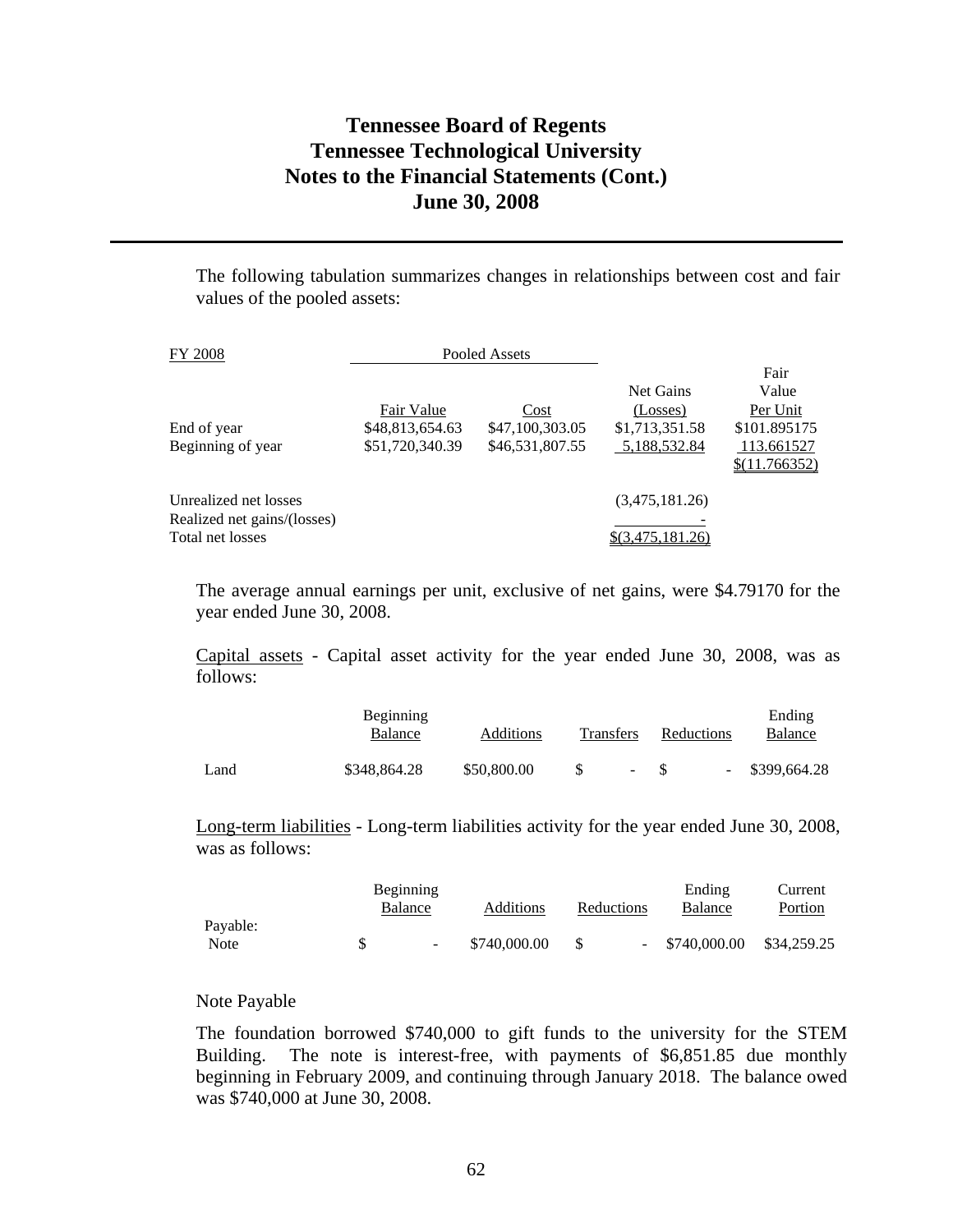The following tabulation summarizes changes in relationships between cost and fair values of the pooled assets:

| FY 2008                                                                  |                                                  | Pooled Assets                              |                                                         |                                                                          |
|--------------------------------------------------------------------------|--------------------------------------------------|--------------------------------------------|---------------------------------------------------------|--------------------------------------------------------------------------|
| End of year<br>Beginning of year                                         | Fair Value<br>\$48,813,654.63<br>\$51,720,340.39 | Cost<br>\$47,100,303.05<br>\$46,531,807.55 | Net Gains<br>(Losses)<br>\$1,713,351.58<br>5,188,532.84 | Fair<br>Value<br>Per Unit<br>\$101.895175<br>113.661527<br>\$(11.766352) |
| Unrealized net losses<br>Realized net gains/(losses)<br>Total net losses |                                                  |                                            | (3,475,181.26)                                          |                                                                          |

The average annual earnings per unit, exclusive of net gains, were \$4.79170 for the year ended June 30, 2008.

Capital assets - Capital asset activity for the year ended June 30, 2008, was as follows:

|      | <b>Beginning</b><br>Balance | Additions   | <b>Transfers</b> |        | Reductions |                          | Ending<br>Balance |
|------|-----------------------------|-------------|------------------|--------|------------|--------------------------|-------------------|
| Land | \$348,864.28                | \$50,800.00 |                  | $\sim$ | - S        | $\overline{\phantom{a}}$ | \$399,664.28      |

Long-term liabilities - Long-term liabilities activity for the year ended June 30, 2008, was as follows:

|          | Beginning                |              |            | Ending       | Current     |
|----------|--------------------------|--------------|------------|--------------|-------------|
|          | Balance                  | Additions    | Reductions | Balance      | Portion     |
| Payable: |                          |              |            |              |             |
| Note     | $\overline{\phantom{a}}$ | \$740,000.00 |            | \$740,000.00 | \$34,259.25 |

#### Note Payable

The foundation borrowed \$740,000 to gift funds to the university for the STEM Building. The note is interest-free, with payments of \$6,851.85 due monthly beginning in February 2009, and continuing through January 2018. The balance owed was \$740,000 at June 30, 2008.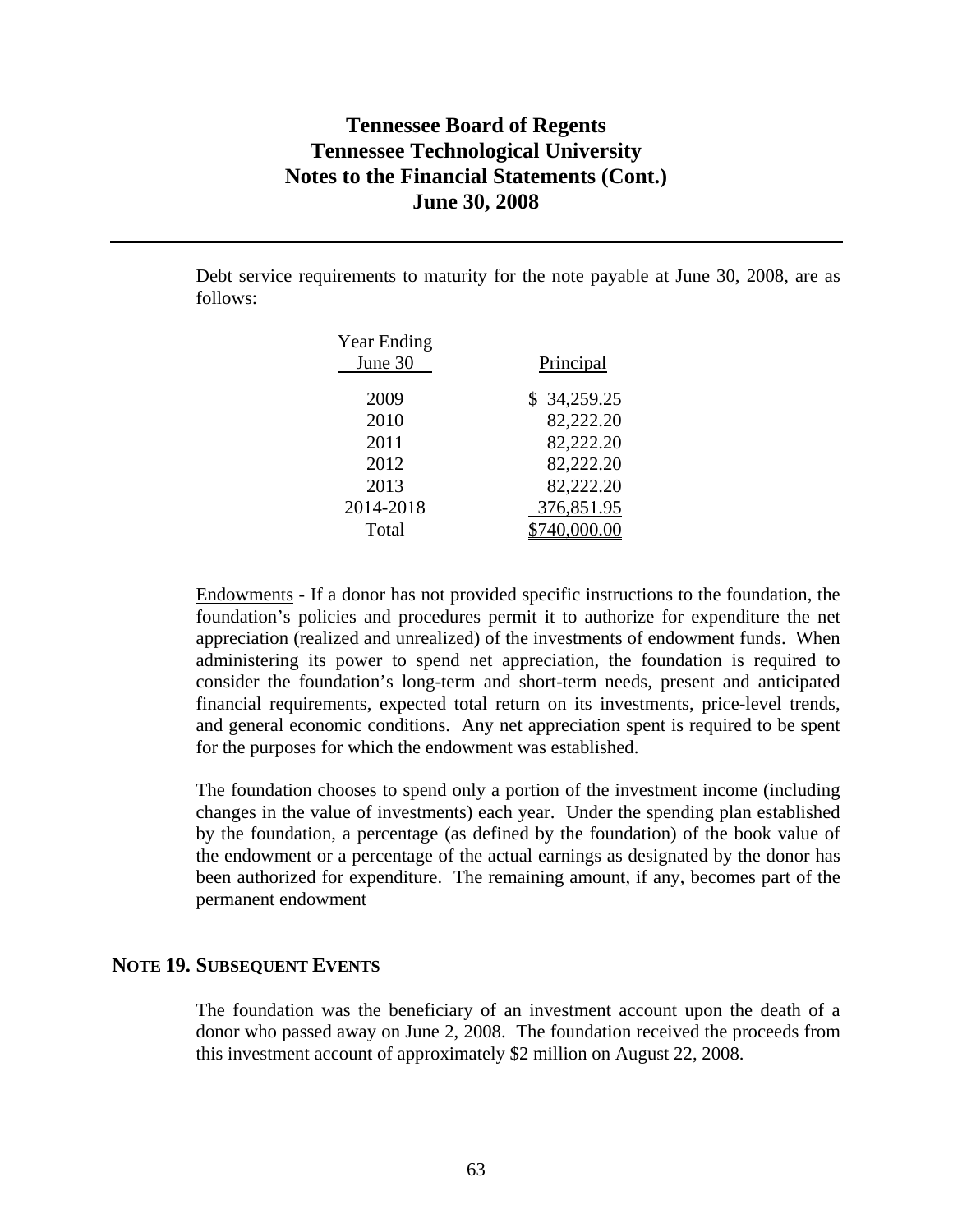Debt service requirements to maturity for the note payable at June 30, 2008, are as follows:

| <b>Year Ending</b> |             |
|--------------------|-------------|
| June 30            | Principal   |
| 2009               |             |
|                    | \$34,259.25 |
| 2010               | 82,222.20   |
| 2011               | 82,222.20   |
| 2012               | 82,222.20   |
| 2013               | 82,222.20   |
| 2014-2018          | 376,851.95  |
| Total              | 40,000.00   |

Endowments - If a donor has not provided specific instructions to the foundation, the foundation's policies and procedures permit it to authorize for expenditure the net appreciation (realized and unrealized) of the investments of endowment funds. When administering its power to spend net appreciation, the foundation is required to consider the foundation's long-term and short-term needs, present and anticipated financial requirements, expected total return on its investments, price-level trends, and general economic conditions. Any net appreciation spent is required to be spent for the purposes for which the endowment was established.

The foundation chooses to spend only a portion of the investment income (including changes in the value of investments) each year. Under the spending plan established by the foundation, a percentage (as defined by the foundation) of the book value of the endowment or a percentage of the actual earnings as designated by the donor has been authorized for expenditure. The remaining amount, if any, becomes part of the permanent endowment

### **NOTE 19. SUBSEQUENT EVENTS**

The foundation was the beneficiary of an investment account upon the death of a donor who passed away on June 2, 2008. The foundation received the proceeds from this investment account of approximately \$2 million on August 22, 2008.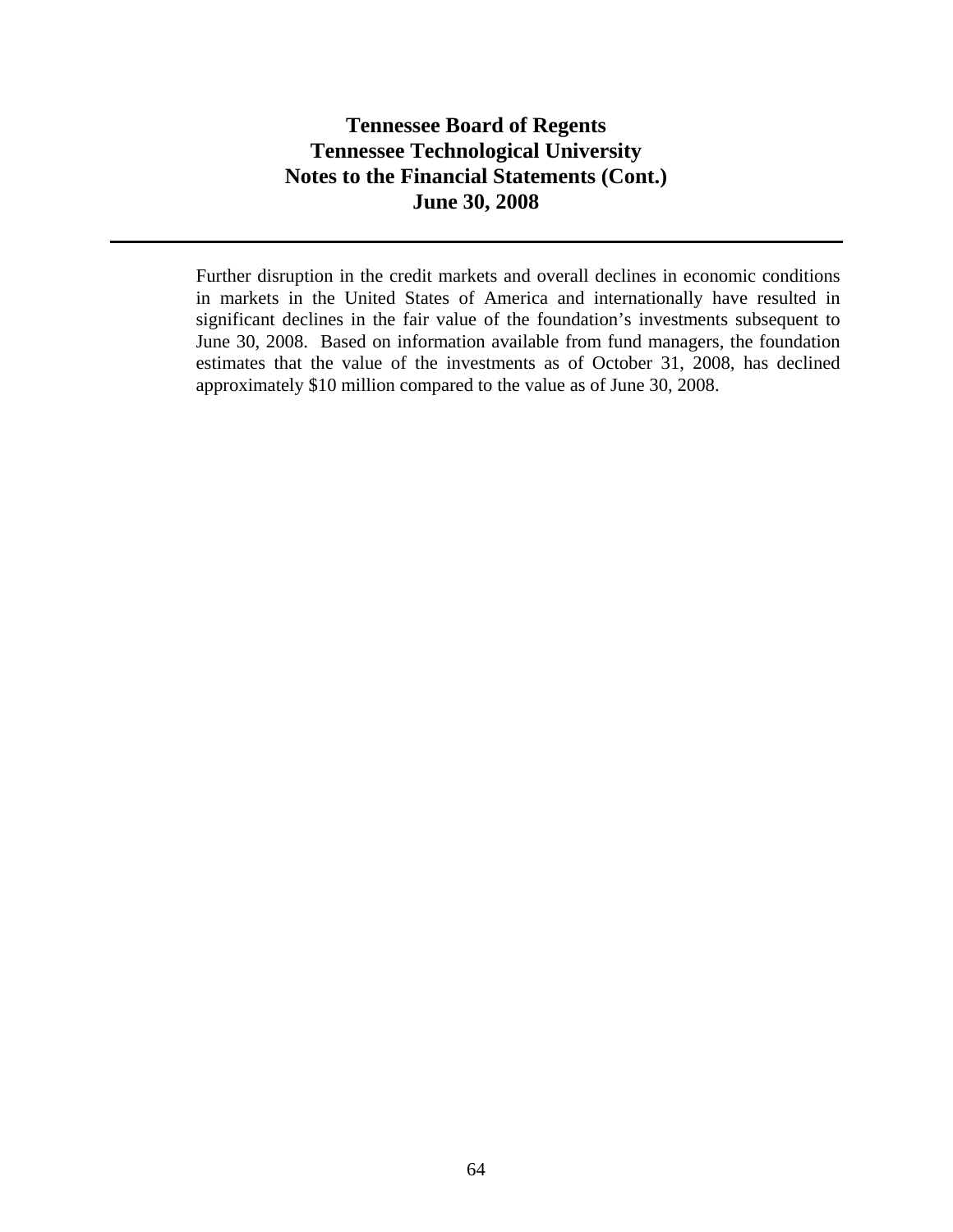Further disruption in the credit markets and overall declines in economic conditions in markets in the United States of America and internationally have resulted in significant declines in the fair value of the foundation's investments subsequent to June 30, 2008. Based on information available from fund managers, the foundation estimates that the value of the investments as of October 31, 2008, has declined approximately \$10 million compared to the value as of June 30, 2008.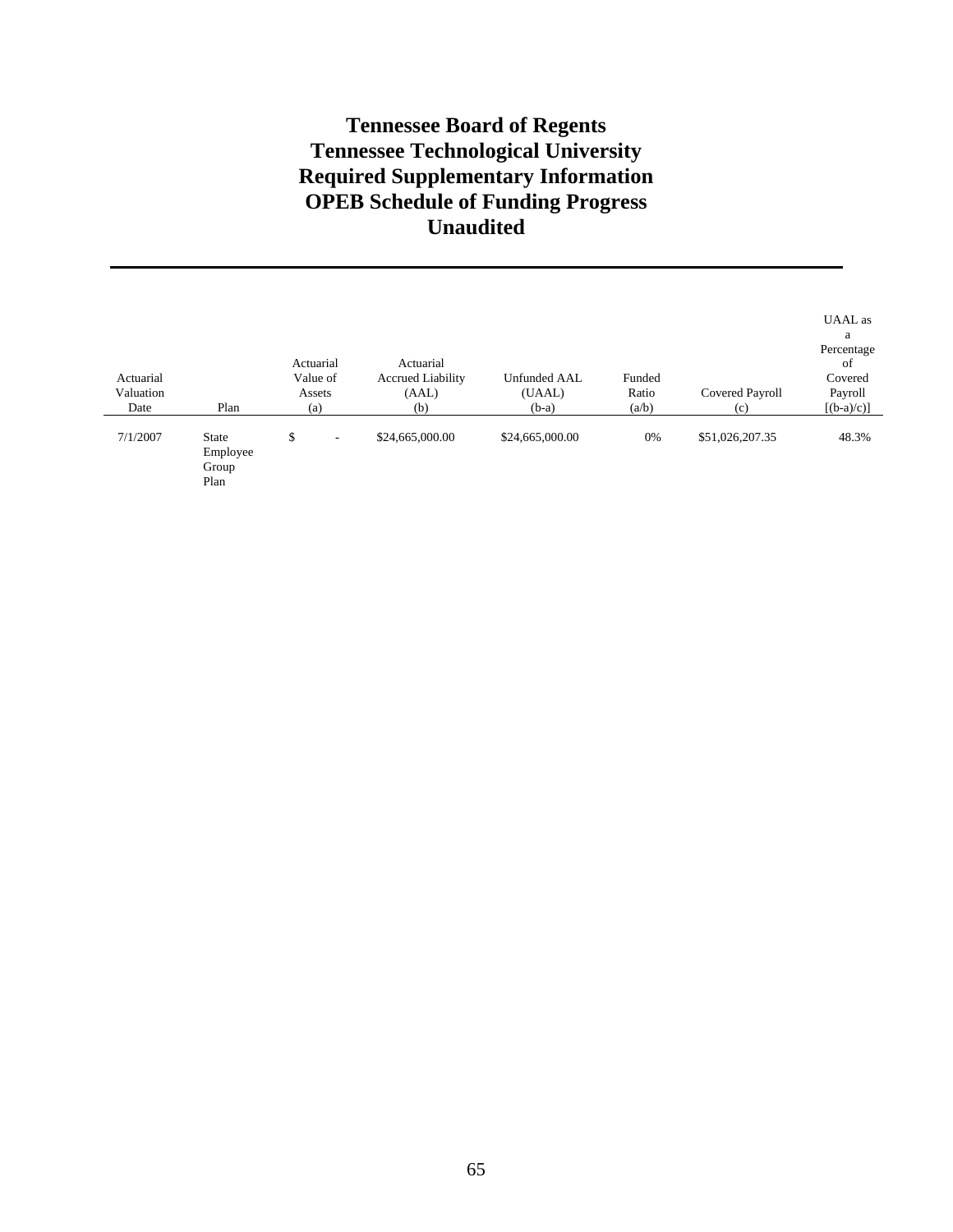# **Tennessee Board of Regents Tennessee Technological University Required Supplementary Information OPEB Schedule of Funding Progress Unaudited**

| Actuarial<br>Valuation<br>Date | Plan                                      | Actuarial<br>Value of<br>Assets<br>(a) | Actuarial<br><b>Accrued Liability</b><br>(AAL)<br>(b) | Unfunded AAL<br>(UAAL)<br>$(b-a)$ | Funded<br>Ratio<br>(a/b) | Covered Payroll<br>(c) | UAAL as<br>a<br>Percentage<br>of<br>Covered<br>Payroll<br>$[(b-a)/c)]$ |
|--------------------------------|-------------------------------------------|----------------------------------------|-------------------------------------------------------|-----------------------------------|--------------------------|------------------------|------------------------------------------------------------------------|
| 7/1/2007                       | <b>State</b><br>Employee<br>Group<br>Plan | \$<br>۰                                | \$24,665,000.00                                       | \$24,665,000.00                   | 0%                       | \$51,026,207.35        | 48.3%                                                                  |